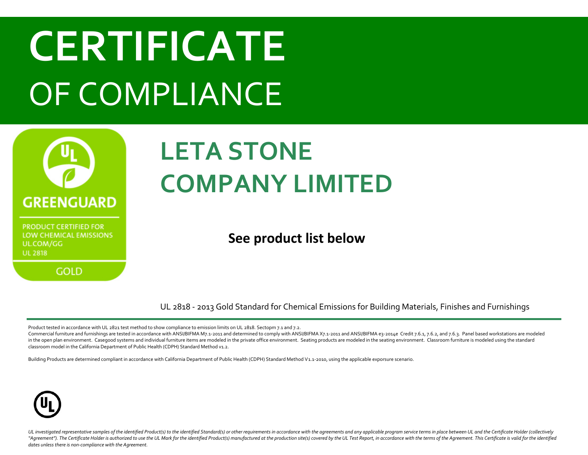

#### **LETA STONE COMPANY LIMITED**

#### **See product list below**

UL 2818 - 2013 Gold Standard for Chemical Emissions for Building Materials, Finishes and Furnishings

Product tested in accordance with UL 2821 test method to show compliance to emission limits on UL 2818. Sectopm 7.1 and 7.2.

Commercial furniture and furnishings are tested in accordance with ANSI/BIFMA M7.1-2011 and determined to comply with ANSI/BIFMA X7.1-2011 and ANSI/BIFMA e3-2014e Credit 7.6.1, 7.6.2, and 7.6.3. Panel based workstations ar in the open plan environment. Casegood systems and individual furniture items are modeled in the private office environment. Seating products are modeled in the seating environment. Classroom furniture is modeled using the classroom model in the California Department of Public Health (CDPH) Standard Method v1.2.

Building Products are determined compliant in accordance with California Department of Public Health (CDPH) Standard Method V1.1-2010, using the applicable exporsure scenario.

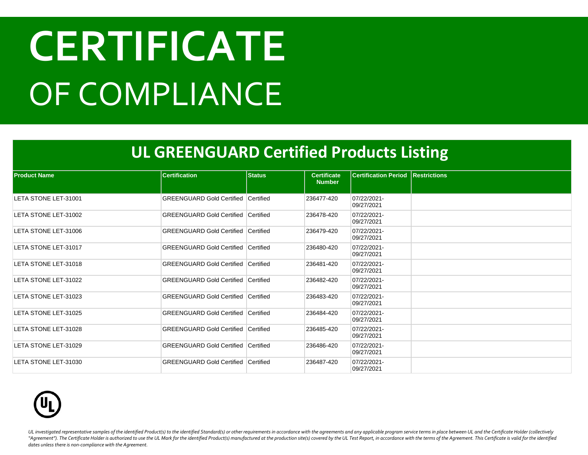#### **UL GREENGUARD Certified Products Listing**

| <b>Product Name</b>  | <b>Certification</b>                       | <b>Status</b> | <b>Certificate</b><br><b>Number</b> | <b>Certification Period Restrictions</b> |  |
|----------------------|--------------------------------------------|---------------|-------------------------------------|------------------------------------------|--|
| LETA STONE LET-31001 | <b>GREENGUARD Gold Certified</b>           | Certified     | 236477-420                          | 07/22/2021-<br>09/27/2021                |  |
| LETA STONE LET-31002 | <b>GREENGUARD Gold Certified Certified</b> |               | 236478-420                          | 07/22/2021-<br>09/27/2021                |  |
| LETA STONE LET-31006 | <b>GREENGUARD Gold Certified Certified</b> |               | 236479-420                          | 07/22/2021-<br>09/27/2021                |  |
| LETA STONE LET-31017 | <b>GREENGUARD Gold Certified Certified</b> |               | 236480-420                          | 07/22/2021-<br>09/27/2021                |  |
| LETA STONE LET-31018 | <b>GREENGUARD Gold Certified Certified</b> |               | 236481-420                          | 07/22/2021-<br>09/27/2021                |  |
| LETA STONE LET-31022 | <b>GREENGUARD Gold Certified Certified</b> |               | 236482-420                          | 07/22/2021-<br>09/27/2021                |  |
| LETA STONE LET-31023 | <b>GREENGUARD Gold Certified Certified</b> |               | 236483-420                          | 07/22/2021-<br>09/27/2021                |  |
| LETA STONE LET-31025 | <b>GREENGUARD Gold Certified Certified</b> |               | 236484-420                          | 07/22/2021-<br>09/27/2021                |  |
| LETA STONE LET-31028 | <b>GREENGUARD Gold Certified</b>           | Certified     | 236485-420                          | 07/22/2021-<br>09/27/2021                |  |
| LETA STONE LET-31029 | <b>GREENGUARD Gold Certified Certified</b> |               | 236486-420                          | 07/22/2021-<br>09/27/2021                |  |
| LETA STONE LET-31030 | <b>GREENGUARD Gold Certified Certified</b> |               | 236487-420                          | 07/22/2021-<br>09/27/2021                |  |

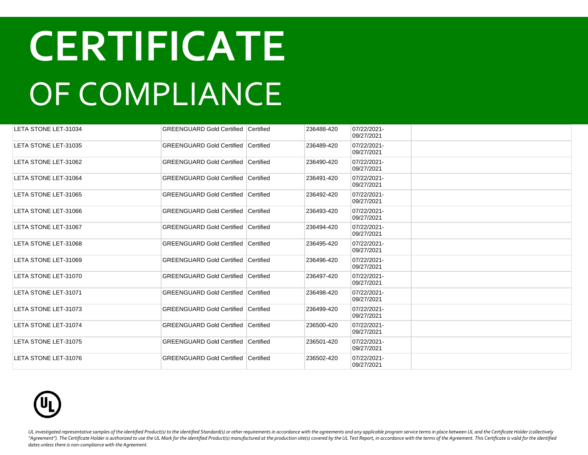| LETA STONE LET-31034 | <b>GREENGUARD Gold Certified   Certified</b> |                  | 236488-420 | 07/22/2021-<br>09/27/2021 |  |
|----------------------|----------------------------------------------|------------------|------------|---------------------------|--|
| LETA STONE LET-31035 | <b>GREENGUARD Gold Certified</b>             | <b>Certified</b> | 236489-420 | 07/22/2021-<br>09/27/2021 |  |
| LETA STONE LET-31062 | <b>GREENGUARD Gold Certified Certified</b>   |                  | 236490-420 | 07/22/2021-<br>09/27/2021 |  |
| LETA STONE LET-31064 | <b>GREENGUARD Gold Certified   Certified</b> |                  | 236491-420 | 07/22/2021-<br>09/27/2021 |  |
| LETA STONE LET-31065 | <b>GREENGUARD Gold Certified Certified</b>   |                  | 236492-420 | 07/22/2021-<br>09/27/2021 |  |
| LETA STONE LET-31066 | <b>GREENGUARD Gold Certified</b>             | <b>Certified</b> | 236493-420 | 07/22/2021-<br>09/27/2021 |  |
| LETA STONE LET-31067 | <b>GREENGUARD Gold Certified Certified</b>   |                  | 236494-420 | 07/22/2021-<br>09/27/2021 |  |
| LETA STONE LET-31068 | <b>GREENGUARD Gold Certified Certified</b>   |                  | 236495-420 | 07/22/2021-<br>09/27/2021 |  |
| LETA STONE LET-31069 | <b>GREENGUARD Gold Certified Certified</b>   |                  | 236496-420 | 07/22/2021-<br>09/27/2021 |  |
| LETA STONE LET-31070 | <b>GREENGUARD Gold Certified Certified</b>   |                  | 236497-420 | 07/22/2021-<br>09/27/2021 |  |
| LETA STONE LET-31071 | <b>GREENGUARD Gold Certified Certified</b>   |                  | 236498-420 | 07/22/2021-<br>09/27/2021 |  |
| LETA STONE LET-31073 | <b>GREENGUARD Gold Certified Certified</b>   |                  | 236499-420 | 07/22/2021-<br>09/27/2021 |  |
| LETA STONE LET-31074 | <b>GREENGUARD Gold Certified Certified</b>   |                  | 236500-420 | 07/22/2021-<br>09/27/2021 |  |
| LETA STONE LET-31075 | <b>GREENGUARD Gold Certified Certified</b>   |                  | 236501-420 | 07/22/2021-<br>09/27/2021 |  |
| LETA STONE LET-31076 | <b>GREENGUARD Gold Certified Certified</b>   |                  | 236502-420 | 07/22/2021-<br>09/27/2021 |  |

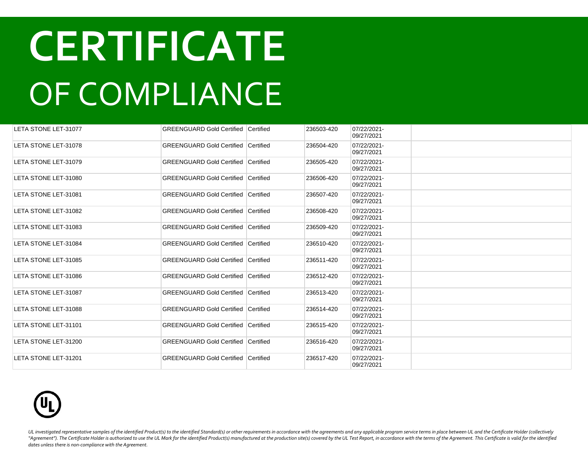| LETA STONE LET-31077 | <b>GREENGUARD Gold Certified Certified</b> |                  | 236503-420 | 07/22/2021-<br>09/27/2021 |  |
|----------------------|--------------------------------------------|------------------|------------|---------------------------|--|
| LETA STONE LET-31078 | <b>GREENGUARD Gold Certified</b>           | <b>Certified</b> | 236504-420 | 07/22/2021-<br>09/27/2021 |  |
| LETA STONE LET-31079 | <b>GREENGUARD Gold Certified Certified</b> |                  | 236505-420 | 07/22/2021-<br>09/27/2021 |  |
| LETA STONE LET-31080 | <b>GREENGUARD Gold Certified Certified</b> |                  | 236506-420 | 07/22/2021-<br>09/27/2021 |  |
| LETA STONE LET-31081 | <b>GREENGUARD Gold Certified Certified</b> |                  | 236507-420 | 07/22/2021-<br>09/27/2021 |  |
| LETA STONE LET-31082 | <b>GREENGUARD Gold Certified Certified</b> |                  | 236508-420 | 07/22/2021-<br>09/27/2021 |  |
| LETA STONE LET-31083 | <b>GREENGUARD Gold Certified Certified</b> |                  | 236509-420 | 07/22/2021-<br>09/27/2021 |  |
| LETA STONE LET-31084 | <b>GREENGUARD Gold Certified Certified</b> |                  | 236510-420 | 07/22/2021-<br>09/27/2021 |  |
| LETA STONE LET-31085 | <b>GREENGUARD Gold Certified Certified</b> |                  | 236511-420 | 07/22/2021-<br>09/27/2021 |  |
| LETA STONE LET-31086 | <b>GREENGUARD Gold Certified Certified</b> |                  | 236512-420 | 07/22/2021-<br>09/27/2021 |  |
| LETA STONE LET-31087 | <b>GREENGUARD Gold Certified Certified</b> |                  | 236513-420 | 07/22/2021-<br>09/27/2021 |  |
| LETA STONE LET-31088 | <b>GREENGUARD Gold Certified Certified</b> |                  | 236514-420 | 07/22/2021-<br>09/27/2021 |  |
| LETA STONE LET-31101 | <b>GREENGUARD Gold Certified Certified</b> |                  | 236515-420 | 07/22/2021-<br>09/27/2021 |  |
| LETA STONE LET-31200 | <b>GREENGUARD Gold Certified Certified</b> |                  | 236516-420 | 07/22/2021-<br>09/27/2021 |  |
| LETA STONE LET-31201 | <b>GREENGUARD Gold Certified Certified</b> |                  | 236517-420 | 07/22/2021-<br>09/27/2021 |  |

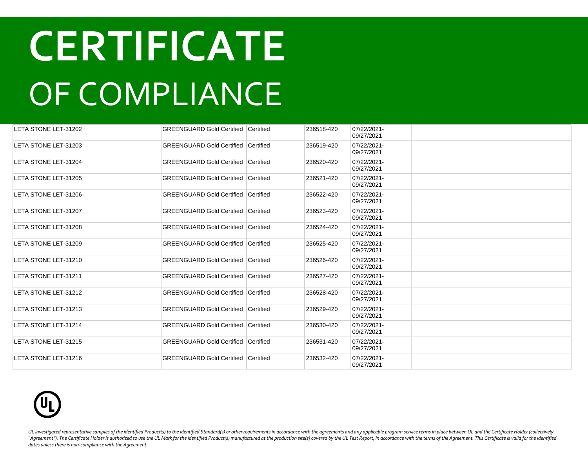| LETA STONE LET-31202 | <b>GREENGUARD Gold Certified Certified</b> |           | 236518-420 | 07/22/2021-<br>09/27/2021 |  |
|----------------------|--------------------------------------------|-----------|------------|---------------------------|--|
| LETA STONE LET-31203 | <b>GREENGUARD Gold Certified Certified</b> |           | 236519-420 | 07/22/2021-<br>09/27/2021 |  |
| LETA STONE LET-31204 | <b>GREENGUARD Gold Certified Certified</b> |           | 236520-420 | 07/22/2021-<br>09/27/2021 |  |
| LETA STONE LET-31205 | <b>GREENGUARD Gold Certified</b>           | Certified | 236521-420 | 07/22/2021-<br>09/27/2021 |  |
| LETA STONE LET-31206 | <b>GREENGUARD Gold Certified Certified</b> |           | 236522-420 | 07/22/2021-<br>09/27/2021 |  |
| LETA STONE LET-31207 | <b>GREENGUARD Gold Certified</b>           | Certified | 236523-420 | 07/22/2021-<br>09/27/2021 |  |
| LETA STONE LET-31208 | <b>GREENGUARD Gold Certified Certified</b> |           | 236524-420 | 07/22/2021-<br>09/27/2021 |  |
| LETA STONE LET-31209 | <b>GREENGUARD Gold Certified Certified</b> |           | 236525-420 | 07/22/2021-<br>09/27/2021 |  |
| LETA STONE LET-31210 | <b>GREENGUARD Gold Certified Certified</b> |           | 236526-420 | 07/22/2021-<br>09/27/2021 |  |
| LETA STONE LET-31211 | <b>GREENGUARD Gold Certified Certified</b> |           | 236527-420 | 07/22/2021-<br>09/27/2021 |  |
| LETA STONE LET-31212 | <b>GREENGUARD Gold Certified Certified</b> |           | 236528-420 | 07/22/2021-<br>09/27/2021 |  |
| LETA STONE LET-31213 | <b>GREENGUARD Gold Certified Certified</b> |           | 236529-420 | 07/22/2021-<br>09/27/2021 |  |
| LETA STONE LET-31214 | <b>GREENGUARD Gold Certified Certified</b> |           | 236530-420 | 07/22/2021-<br>09/27/2021 |  |
| LETA STONE LET-31215 | <b>GREENGUARD Gold Certified Certified</b> |           | 236531-420 | 07/22/2021-<br>09/27/2021 |  |
| LETA STONE LET-31216 | <b>GREENGUARD Gold Certified Certified</b> |           | 236532-420 | 07/22/2021-<br>09/27/2021 |  |

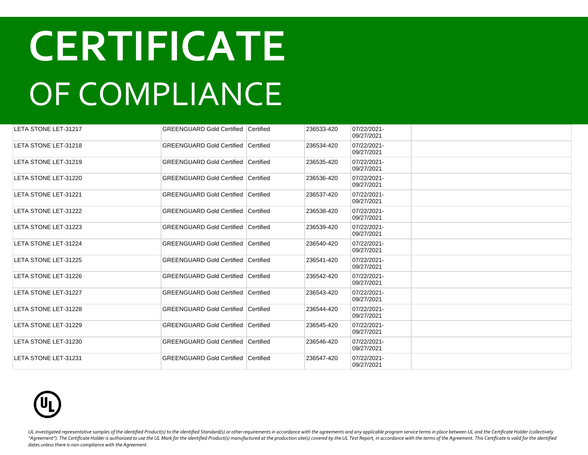| LETA STONE LET-31217 | <b>GREENGUARD Gold Certified Certified</b> |           | 236533-420 | 07/22/2021-<br>09/27/2021 |  |
|----------------------|--------------------------------------------|-----------|------------|---------------------------|--|
| LETA STONE LET-31218 | <b>GREENGUARD Gold Certified Certified</b> |           | 236534-420 | 07/22/2021-<br>09/27/2021 |  |
| LETA STONE LET-31219 | <b>GREENGUARD Gold Certified Certified</b> |           | 236535-420 | 07/22/2021-<br>09/27/2021 |  |
| LETA STONE LET-31220 | <b>GREENGUARD Gold Certified</b>           | Certified | 236536-420 | 07/22/2021-<br>09/27/2021 |  |
| LETA STONE LET-31221 | <b>GREENGUARD Gold Certified Certified</b> |           | 236537-420 | 07/22/2021-<br>09/27/2021 |  |
| LETA STONE LET-31222 | <b>GREENGUARD Gold Certified</b>           | Certified | 236538-420 | 07/22/2021-<br>09/27/2021 |  |
| LETA STONE LET-31223 | <b>GREENGUARD Gold Certified Certified</b> |           | 236539-420 | 07/22/2021-<br>09/27/2021 |  |
| LETA STONE LET-31224 | <b>GREENGUARD Gold Certified Certified</b> |           | 236540-420 | 07/22/2021-<br>09/27/2021 |  |
| LETA STONE LET-31225 | <b>GREENGUARD Gold Certified Certified</b> |           | 236541-420 | 07/22/2021-<br>09/27/2021 |  |
| LETA STONE LET-31226 | <b>GREENGUARD Gold Certified Certified</b> |           | 236542-420 | 07/22/2021-<br>09/27/2021 |  |
| LETA STONE LET-31227 | <b>GREENGUARD Gold Certified Certified</b> |           | 236543-420 | 07/22/2021-<br>09/27/2021 |  |
| LETA STONE LET-31228 | <b>GREENGUARD Gold Certified Certified</b> |           | 236544-420 | 07/22/2021-<br>09/27/2021 |  |
| LETA STONE LET-31229 | <b>GREENGUARD Gold Certified Certified</b> |           | 236545-420 | 07/22/2021-<br>09/27/2021 |  |
| LETA STONE LET-31230 | <b>GREENGUARD Gold Certified Certified</b> |           | 236546-420 | 07/22/2021-<br>09/27/2021 |  |
| LETA STONE LET-31231 | <b>GREENGUARD Gold Certified Certified</b> |           | 236547-420 | 07/22/2021-<br>09/27/2021 |  |

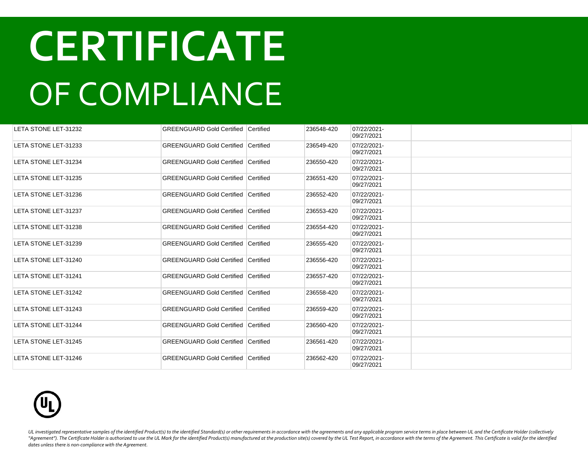| LETA STONE LET-31232 | <b>GREENGUARD Gold Certified   Certified</b> |                  | 236548-420 | 07/22/2021-<br>09/27/2021 |  |
|----------------------|----------------------------------------------|------------------|------------|---------------------------|--|
| LETA STONE LET-31233 | <b>GREENGUARD Gold Certified</b>             | <b>Certified</b> | 236549-420 | 07/22/2021-<br>09/27/2021 |  |
| LETA STONE LET-31234 | <b>GREENGUARD Gold Certified Certified</b>   |                  | 236550-420 | 07/22/2021-<br>09/27/2021 |  |
| LETA STONE LET-31235 | <b>GREENGUARD Gold Certified   Certified</b> |                  | 236551-420 | 07/22/2021-<br>09/27/2021 |  |
| LETA STONE LET-31236 | <b>GREENGUARD Gold Certified Certified</b>   |                  | 236552-420 | 07/22/2021-<br>09/27/2021 |  |
| LETA STONE LET-31237 | <b>GREENGUARD Gold Certified</b>             | Certified        | 236553-420 | 07/22/2021-<br>09/27/2021 |  |
| LETA STONE LET-31238 | <b>GREENGUARD Gold Certified Certified</b>   |                  | 236554-420 | 07/22/2021-<br>09/27/2021 |  |
| LETA STONE LET-31239 | <b>GREENGUARD Gold Certified Certified</b>   |                  | 236555-420 | 07/22/2021-<br>09/27/2021 |  |
| LETA STONE LET-31240 | <b>GREENGUARD Gold Certified Certified</b>   |                  | 236556-420 | 07/22/2021-<br>09/27/2021 |  |
| LETA STONE LET-31241 | <b>GREENGUARD Gold Certified Certified</b>   |                  | 236557-420 | 07/22/2021-<br>09/27/2021 |  |
| LETA STONE LET-31242 | <b>GREENGUARD Gold Certified Certified</b>   |                  | 236558-420 | 07/22/2021-<br>09/27/2021 |  |
| LETA STONE LET-31243 | <b>GREENGUARD Gold Certified Certified</b>   |                  | 236559-420 | 07/22/2021-<br>09/27/2021 |  |
| LETA STONE LET-31244 | <b>GREENGUARD Gold Certified Certified</b>   |                  | 236560-420 | 07/22/2021-<br>09/27/2021 |  |
| LETA STONE LET-31245 | <b>GREENGUARD Gold Certified Certified</b>   |                  | 236561-420 | 07/22/2021-<br>09/27/2021 |  |
| LETA STONE LET-31246 | <b>GREENGUARD Gold Certified Certified</b>   |                  | 236562-420 | 07/22/2021-<br>09/27/2021 |  |

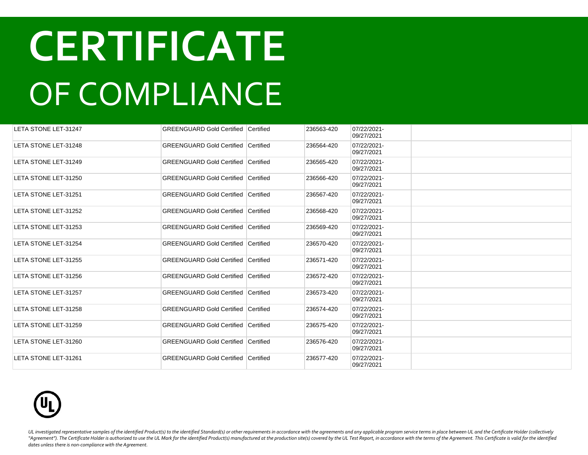| LETA STONE LET-31247 | <b>GREENGUARD Gold Certified Certified</b> |           | 236563-420 | 07/22/2021-<br>09/27/2021 |  |
|----------------------|--------------------------------------------|-----------|------------|---------------------------|--|
| LETA STONE LET-31248 | <b>GREENGUARD Gold Certified Certified</b> |           | 236564-420 | 07/22/2021-<br>09/27/2021 |  |
| LETA STONE LET-31249 | <b>GREENGUARD Gold Certified Certified</b> |           | 236565-420 | 07/22/2021-<br>09/27/2021 |  |
| LETA STONE LET-31250 | <b>GREENGUARD Gold Certified</b>           | Certified | 236566-420 | 07/22/2021-<br>09/27/2021 |  |
| LETA STONE LET-31251 | <b>GREENGUARD Gold Certified Certified</b> |           | 236567-420 | 07/22/2021-<br>09/27/2021 |  |
| LETA STONE LET-31252 | <b>GREENGUARD Gold Certified</b>           | Certified | 236568-420 | 07/22/2021-<br>09/27/2021 |  |
| LETA STONE LET-31253 | <b>GREENGUARD Gold Certified Certified</b> |           | 236569-420 | 07/22/2021-<br>09/27/2021 |  |
| LETA STONE LET-31254 | <b>GREENGUARD Gold Certified Certified</b> |           | 236570-420 | 07/22/2021-<br>09/27/2021 |  |
| LETA STONE LET-31255 | <b>GREENGUARD Gold Certified Certified</b> |           | 236571-420 | 07/22/2021-<br>09/27/2021 |  |
| LETA STONE LET-31256 | <b>GREENGUARD Gold Certified Certified</b> |           | 236572-420 | 07/22/2021-<br>09/27/2021 |  |
| LETA STONE LET-31257 | <b>GREENGUARD Gold Certified Certified</b> |           | 236573-420 | 07/22/2021-<br>09/27/2021 |  |
| LETA STONE LET-31258 | <b>GREENGUARD Gold Certified Certified</b> |           | 236574-420 | 07/22/2021-<br>09/27/2021 |  |
| LETA STONE LET-31259 | <b>GREENGUARD Gold Certified Certified</b> |           | 236575-420 | 07/22/2021-<br>09/27/2021 |  |
| LETA STONE LET-31260 | <b>GREENGUARD Gold Certified Certified</b> |           | 236576-420 | 07/22/2021-<br>09/27/2021 |  |
| LETA STONE LET-31261 | <b>GREENGUARD Gold Certified Certified</b> |           | 236577-420 | 07/22/2021-<br>09/27/2021 |  |

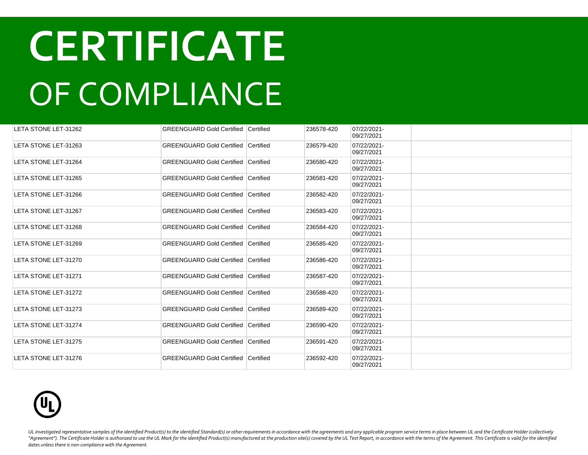| LETA STONE LET-31262 | <b>GREENGUARD Gold Certified Certified</b> |           | 236578-420 | 07/22/2021-<br>09/27/2021 |  |
|----------------------|--------------------------------------------|-----------|------------|---------------------------|--|
| LETA STONE LET-31263 | <b>GREENGUARD Gold Certified Certified</b> |           | 236579-420 | 07/22/2021-<br>09/27/2021 |  |
| LETA STONE LET-31264 | <b>GREENGUARD Gold Certified Certified</b> |           | 236580-420 | 07/22/2021-<br>09/27/2021 |  |
| LETA STONE LET-31265 | <b>GREENGUARD Gold Certified</b>           | Certified | 236581-420 | 07/22/2021-<br>09/27/2021 |  |
| LETA STONE LET-31266 | <b>GREENGUARD Gold Certified Certified</b> |           | 236582-420 | 07/22/2021-<br>09/27/2021 |  |
| LETA STONE LET-31267 | <b>GREENGUARD Gold Certified</b>           | Certified | 236583-420 | 07/22/2021-<br>09/27/2021 |  |
| LETA STONE LET-31268 | <b>GREENGUARD Gold Certified Certified</b> |           | 236584-420 | 07/22/2021-<br>09/27/2021 |  |
| LETA STONE LET-31269 | <b>GREENGUARD Gold Certified Certified</b> |           | 236585-420 | 07/22/2021-<br>09/27/2021 |  |
| LETA STONE LET-31270 | <b>GREENGUARD Gold Certified Certified</b> |           | 236586-420 | 07/22/2021-<br>09/27/2021 |  |
| LETA STONE LET-31271 | <b>GREENGUARD Gold Certified Certified</b> |           | 236587-420 | 07/22/2021-<br>09/27/2021 |  |
| LETA STONE LET-31272 | <b>GREENGUARD Gold Certified Certified</b> |           | 236588-420 | 07/22/2021-<br>09/27/2021 |  |
| LETA STONE LET-31273 | <b>GREENGUARD Gold Certified Certified</b> |           | 236589-420 | 07/22/2021-<br>09/27/2021 |  |
| LETA STONE LET-31274 | <b>GREENGUARD Gold Certified Certified</b> |           | 236590-420 | 07/22/2021-<br>09/27/2021 |  |
| LETA STONE LET-31275 | <b>GREENGUARD Gold Certified Certified</b> |           | 236591-420 | 07/22/2021-<br>09/27/2021 |  |
| LETA STONE LET-31276 | <b>GREENGUARD Gold Certified Certified</b> |           | 236592-420 | 07/22/2021-<br>09/27/2021 |  |

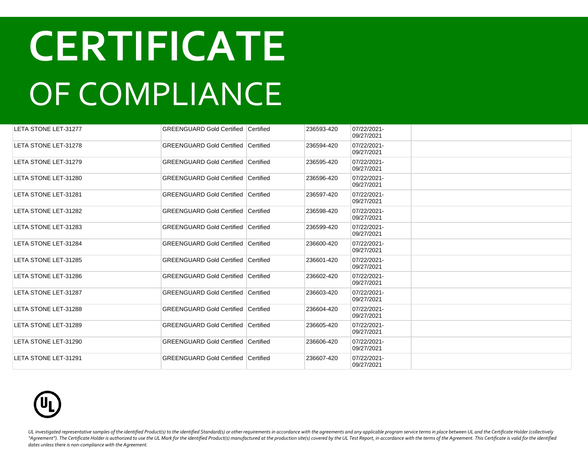| LETA STONE LET-31277 | <b>GREENGUARD Gold Certified Certified</b> |           | 236593-420 | 07/22/2021-<br>09/27/2021 |  |
|----------------------|--------------------------------------------|-----------|------------|---------------------------|--|
| LETA STONE LET-31278 | <b>GREENGUARD Gold Certified Certified</b> |           | 236594-420 | 07/22/2021-<br>09/27/2021 |  |
| LETA STONE LET-31279 | <b>GREENGUARD Gold Certified Certified</b> |           | 236595-420 | 07/22/2021-<br>09/27/2021 |  |
| LETA STONE LET-31280 | <b>GREENGUARD Gold Certified</b>           | Certified | 236596-420 | 07/22/2021-<br>09/27/2021 |  |
| LETA STONE LET-31281 | <b>GREENGUARD Gold Certified Certified</b> |           | 236597-420 | 07/22/2021-<br>09/27/2021 |  |
| LETA STONE LET-31282 | <b>GREENGUARD Gold Certified</b>           | Certified | 236598-420 | 07/22/2021-<br>09/27/2021 |  |
| LETA STONE LET-31283 | <b>GREENGUARD Gold Certified Certified</b> |           | 236599-420 | 07/22/2021-<br>09/27/2021 |  |
| LETA STONE LET-31284 | <b>GREENGUARD Gold Certified Certified</b> |           | 236600-420 | 07/22/2021-<br>09/27/2021 |  |
| LETA STONE LET-31285 | <b>GREENGUARD Gold Certified Certified</b> |           | 236601-420 | 07/22/2021-<br>09/27/2021 |  |
| LETA STONE LET-31286 | <b>GREENGUARD Gold Certified Certified</b> |           | 236602-420 | 07/22/2021-<br>09/27/2021 |  |
| LETA STONE LET-31287 | <b>GREENGUARD Gold Certified Certified</b> |           | 236603-420 | 07/22/2021-<br>09/27/2021 |  |
| LETA STONE LET-31288 | <b>GREENGUARD Gold Certified Certified</b> |           | 236604-420 | 07/22/2021-<br>09/27/2021 |  |
| LETA STONE LET-31289 | <b>GREENGUARD Gold Certified Certified</b> |           | 236605-420 | 07/22/2021-<br>09/27/2021 |  |
| LETA STONE LET-31290 | <b>GREENGUARD Gold Certified Certified</b> |           | 236606-420 | 07/22/2021-<br>09/27/2021 |  |
| LETA STONE LET-31291 | <b>GREENGUARD Gold Certified Certified</b> |           | 236607-420 | 07/22/2021-<br>09/27/2021 |  |

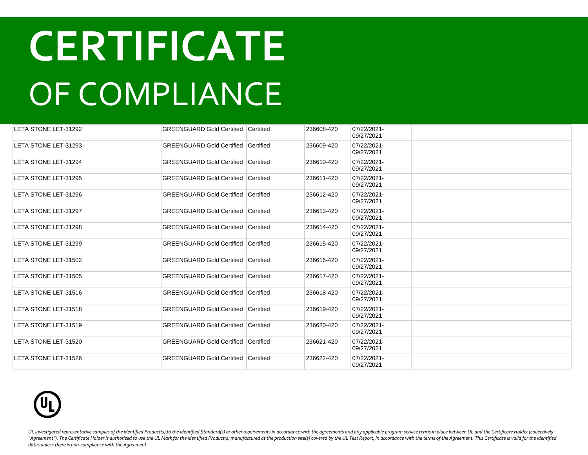| LETA STONE LET-31292 | <b>GREENGUARD Gold Certified Certified</b> |           | 236608-420 | 07/22/2021-<br>09/27/2021 |  |
|----------------------|--------------------------------------------|-----------|------------|---------------------------|--|
| LETA STONE LET-31293 | <b>GREENGUARD Gold Certified</b>           | Certified | 236609-420 | 07/22/2021-<br>09/27/2021 |  |
| LETA STONE LET-31294 | <b>GREENGUARD Gold Certified Certified</b> |           | 236610-420 | 07/22/2021-<br>09/27/2021 |  |
| LETA STONE LET-31295 | <b>GREENGUARD Gold Certified Certified</b> |           | 236611-420 | 07/22/2021-<br>09/27/2021 |  |
| LETA STONE LET-31296 | <b>GREENGUARD Gold Certified Certified</b> |           | 236612-420 | 07/22/2021-<br>09/27/2021 |  |
| LETA STONE LET-31297 | <b>GREENGUARD Gold Certified Certified</b> |           | 236613-420 | 07/22/2021-<br>09/27/2021 |  |
| LETA STONE LET-31298 | <b>GREENGUARD Gold Certified Certified</b> |           | 236614-420 | 07/22/2021-<br>09/27/2021 |  |
| LETA STONE LET-31299 | GREENGUARD Gold Certified Certified        |           | 236615-420 | 07/22/2021-<br>09/27/2021 |  |
| LETA STONE LET-31502 | <b>GREENGUARD Gold Certified Certified</b> |           | 236616-420 | 07/22/2021-<br>09/27/2021 |  |
| LETA STONE LET-31505 | GREENGUARD Gold Certified Certified        |           | 236617-420 | 07/22/2021-<br>09/27/2021 |  |
| LETA STONE LET-31516 | <b>GREENGUARD Gold Certified Certified</b> |           | 236618-420 | 07/22/2021-<br>09/27/2021 |  |
| LETA STONE LET-31518 | <b>GREENGUARD Gold Certified Certified</b> |           | 236619-420 | 07/22/2021-<br>09/27/2021 |  |
| LETA STONE LET-31519 | <b>GREENGUARD Gold Certified Certified</b> |           | 236620-420 | 07/22/2021-<br>09/27/2021 |  |
| LETA STONE LET-31520 | <b>GREENGUARD Gold Certified Certified</b> |           | 236621-420 | 07/22/2021-<br>09/27/2021 |  |
| LETA STONE LET-31526 | <b>GREENGUARD Gold Certified Certified</b> |           | 236622-420 | 07/22/2021-<br>09/27/2021 |  |

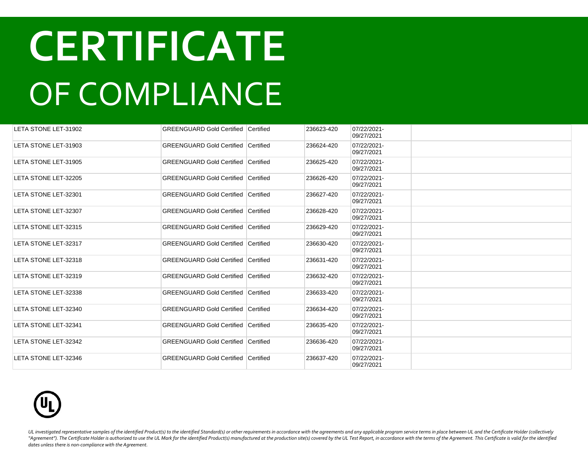| LETA STONE LET-31902 | <b>GREENGUARD Gold Certified Certified</b> |           | 236623-420 | 07/22/2021-<br>09/27/2021 |  |
|----------------------|--------------------------------------------|-----------|------------|---------------------------|--|
| LETA STONE LET-31903 | <b>GREENGUARD Gold Certified Certified</b> |           | 236624-420 | 07/22/2021-<br>09/27/2021 |  |
| LETA STONE LET-31905 | <b>GREENGUARD Gold Certified Certified</b> |           | 236625-420 | 07/22/2021-<br>09/27/2021 |  |
| LETA STONE LET-32205 | <b>GREENGUARD Gold Certified</b>           | Certified | 236626-420 | 07/22/2021-<br>09/27/2021 |  |
| LETA STONE LET-32301 | <b>GREENGUARD Gold Certified Certified</b> |           | 236627-420 | 07/22/2021-<br>09/27/2021 |  |
| LETA STONE LET-32307 | <b>GREENGUARD Gold Certified</b>           | Certified | 236628-420 | 07/22/2021-<br>09/27/2021 |  |
| LETA STONE LET-32315 | <b>GREENGUARD Gold Certified Certified</b> |           | 236629-420 | 07/22/2021-<br>09/27/2021 |  |
| LETA STONE LET-32317 | <b>GREENGUARD Gold Certified Certified</b> |           | 236630-420 | 07/22/2021-<br>09/27/2021 |  |
| LETA STONE LET-32318 | <b>GREENGUARD Gold Certified Certified</b> |           | 236631-420 | 07/22/2021-<br>09/27/2021 |  |
| LETA STONE LET-32319 | <b>GREENGUARD Gold Certified Certified</b> |           | 236632-420 | 07/22/2021-<br>09/27/2021 |  |
| LETA STONE LET-32338 | <b>GREENGUARD Gold Certified Certified</b> |           | 236633-420 | 07/22/2021-<br>09/27/2021 |  |
| LETA STONE LET-32340 | <b>GREENGUARD Gold Certified Certified</b> |           | 236634-420 | 07/22/2021-<br>09/27/2021 |  |
| LETA STONE LET-32341 | <b>GREENGUARD Gold Certified Certified</b> |           | 236635-420 | 07/22/2021-<br>09/27/2021 |  |
| LETA STONE LET-32342 | <b>GREENGUARD Gold Certified Certified</b> |           | 236636-420 | 07/22/2021-<br>09/27/2021 |  |
| LETA STONE LET-32346 | <b>GREENGUARD Gold Certified Certified</b> |           | 236637-420 | 07/22/2021-<br>09/27/2021 |  |

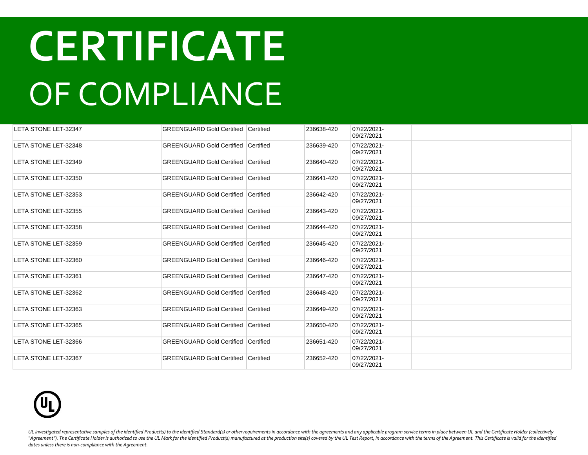| LETA STONE LET-32347        | <b>GREENGUARD Gold Certified Certified</b> |           | 236638-420 | 07/22/2021-<br>09/27/2021 |  |
|-----------------------------|--------------------------------------------|-----------|------------|---------------------------|--|
| LETA STONE LET-32348        | <b>GREENGUARD Gold Certified</b>           | Certified | 236639-420 | 07/22/2021-<br>09/27/2021 |  |
| LETA STONE LET-32349        | <b>GREENGUARD Gold Certified Certified</b> |           | 236640-420 | 07/22/2021-<br>09/27/2021 |  |
| LETA STONE LET-32350        | <b>GREENGUARD Gold Certified Certified</b> |           | 236641-420 | 07/22/2021-<br>09/27/2021 |  |
| LETA STONE LET-32353        | <b>GREENGUARD Gold Certified Certified</b> |           | 236642-420 | 07/22/2021-<br>09/27/2021 |  |
| LETA STONE LET-32355        | <b>GREENGUARD Gold Certified Certified</b> |           | 236643-420 | 07/22/2021-<br>09/27/2021 |  |
| <b>LETA STONE LET-32358</b> | <b>GREENGUARD Gold Certified Certified</b> |           | 236644-420 | 07/22/2021-<br>09/27/2021 |  |
| LETA STONE LET-32359        | GREENGUARD Gold Certified Certified        |           | 236645-420 | 07/22/2021-<br>09/27/2021 |  |
| LETA STONE LET-32360        | <b>GREENGUARD Gold Certified Certified</b> |           | 236646-420 | 07/22/2021-<br>09/27/2021 |  |
| LETA STONE LET-32361        | GREENGUARD Gold Certified Certified        |           | 236647-420 | 07/22/2021-<br>09/27/2021 |  |
| LETA STONE LET-32362        | <b>GREENGUARD Gold Certified Certified</b> |           | 236648-420 | 07/22/2021-<br>09/27/2021 |  |
| LETA STONE LET-32363        | <b>GREENGUARD Gold Certified Certified</b> |           | 236649-420 | 07/22/2021-<br>09/27/2021 |  |
| <b>LETA STONE LET-32365</b> | <b>GREENGUARD Gold Certified Certified</b> |           | 236650-420 | 07/22/2021-<br>09/27/2021 |  |
| LETA STONE LET-32366        | <b>GREENGUARD Gold Certified Certified</b> |           | 236651-420 | 07/22/2021-<br>09/27/2021 |  |
| LETA STONE LET-32367        | <b>GREENGUARD Gold Certified Certified</b> |           | 236652-420 | 07/22/2021-<br>09/27/2021 |  |

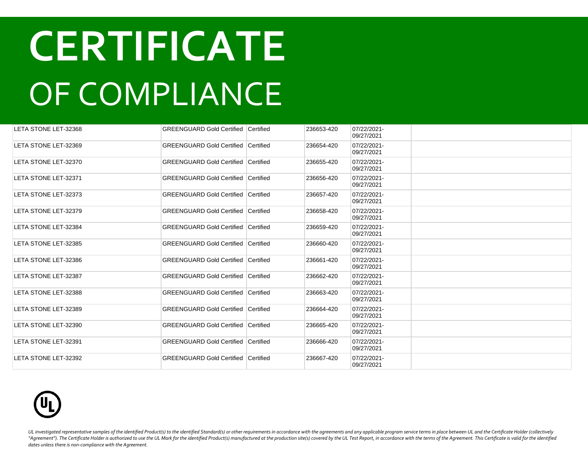| LETA STONE LET-32368        | <b>GREENGUARD Gold Certified Certified</b> |           | 236653-420 | 07/22/2021-<br>09/27/2021 |  |
|-----------------------------|--------------------------------------------|-----------|------------|---------------------------|--|
| LETA STONE LET-32369        | <b>GREENGUARD Gold Certified</b>           | Certified | 236654-420 | 07/22/2021-<br>09/27/2021 |  |
| LETA STONE LET-32370        | <b>GREENGUARD Gold Certified Certified</b> |           | 236655-420 | 07/22/2021-<br>09/27/2021 |  |
| LETA STONE LET-32371        | <b>GREENGUARD Gold Certified Certified</b> |           | 236656-420 | 07/22/2021-<br>09/27/2021 |  |
| LETA STONE LET-32373        | <b>GREENGUARD Gold Certified Certified</b> |           | 236657-420 | 07/22/2021-<br>09/27/2021 |  |
| LETA STONE LET-32379        | <b>GREENGUARD Gold Certified Certified</b> |           | 236658-420 | 07/22/2021-<br>09/27/2021 |  |
| <b>LETA STONE LET-32384</b> | <b>GREENGUARD Gold Certified Certified</b> |           | 236659-420 | 07/22/2021-<br>09/27/2021 |  |
| LETA STONE LET-32385        | GREENGUARD Gold Certified Certified        |           | 236660-420 | 07/22/2021-<br>09/27/2021 |  |
| LETA STONE LET-32386        | <b>GREENGUARD Gold Certified Certified</b> |           | 236661-420 | 07/22/2021-<br>09/27/2021 |  |
| LETA STONE LET-32387        | GREENGUARD Gold Certified Certified        |           | 236662-420 | 07/22/2021-<br>09/27/2021 |  |
| <b>LETA STONE LET-32388</b> | <b>GREENGUARD Gold Certified Certified</b> |           | 236663-420 | 07/22/2021-<br>09/27/2021 |  |
| LETA STONE LET-32389        | <b>GREENGUARD Gold Certified Certified</b> |           | 236664-420 | 07/22/2021-<br>09/27/2021 |  |
| LETA STONE LET-32390        | <b>GREENGUARD Gold Certified Certified</b> |           | 236665-420 | 07/22/2021-<br>09/27/2021 |  |
| LETA STONE LET-32391        | <b>GREENGUARD Gold Certified Certified</b> |           | 236666-420 | 07/22/2021-<br>09/27/2021 |  |
| LETA STONE LET-32392        | <b>GREENGUARD Gold Certified Certified</b> |           | 236667-420 | 07/22/2021-<br>09/27/2021 |  |

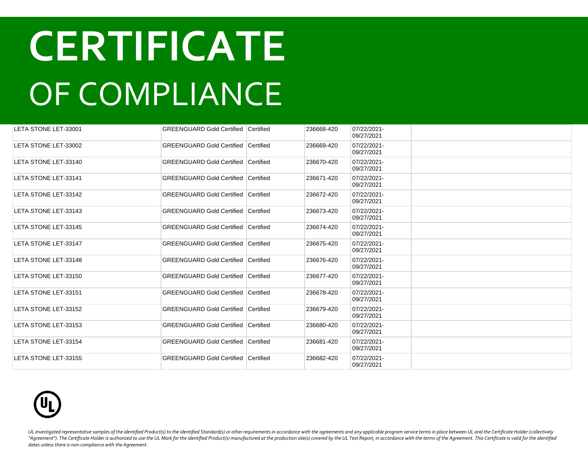| LETA STONE LET-33001 | <b>GREENGUARD Gold Certified Certified</b> |           | 236668-420 | 07/22/2021-<br>09/27/2021 |  |
|----------------------|--------------------------------------------|-----------|------------|---------------------------|--|
| LETA STONE LET-33002 | <b>GREENGUARD Gold Certified Certified</b> |           | 236669-420 | 07/22/2021-<br>09/27/2021 |  |
| LETA STONE LET-33140 | <b>GREENGUARD Gold Certified Certified</b> |           | 236670-420 | 07/22/2021-<br>09/27/2021 |  |
| LETA STONE LET-33141 | <b>GREENGUARD Gold Certified</b>           | Certified | 236671-420 | 07/22/2021-<br>09/27/2021 |  |
| LETA STONE LET-33142 | <b>GREENGUARD Gold Certified Certified</b> |           | 236672-420 | 07/22/2021-<br>09/27/2021 |  |
| LETA STONE LET-33143 | <b>GREENGUARD Gold Certified</b>           | Certified | 236673-420 | 07/22/2021-<br>09/27/2021 |  |
| LETA STONE LET-33145 | <b>GREENGUARD Gold Certified Certified</b> |           | 236674-420 | 07/22/2021-<br>09/27/2021 |  |
| LETA STONE LET-33147 | <b>GREENGUARD Gold Certified Certified</b> |           | 236675-420 | 07/22/2021-<br>09/27/2021 |  |
| LETA STONE LET-33148 | <b>GREENGUARD Gold Certified Certified</b> |           | 236676-420 | 07/22/2021-<br>09/27/2021 |  |
| LETA STONE LET-33150 | <b>GREENGUARD Gold Certified Certified</b> |           | 236677-420 | 07/22/2021-<br>09/27/2021 |  |
| LETA STONE LET-33151 | <b>GREENGUARD Gold Certified Certified</b> |           | 236678-420 | 07/22/2021-<br>09/27/2021 |  |
| LETA STONE LET-33152 | <b>GREENGUARD Gold Certified Certified</b> |           | 236679-420 | 07/22/2021-<br>09/27/2021 |  |
| LETA STONE LET-33153 | <b>GREENGUARD Gold Certified Certified</b> |           | 236680-420 | 07/22/2021-<br>09/27/2021 |  |
| LETA STONE LET-33154 | <b>GREENGUARD Gold Certified Certified</b> |           | 236681-420 | 07/22/2021-<br>09/27/2021 |  |
| LETA STONE LET-33155 | <b>GREENGUARD Gold Certified Certified</b> |           | 236682-420 | 07/22/2021-<br>09/27/2021 |  |

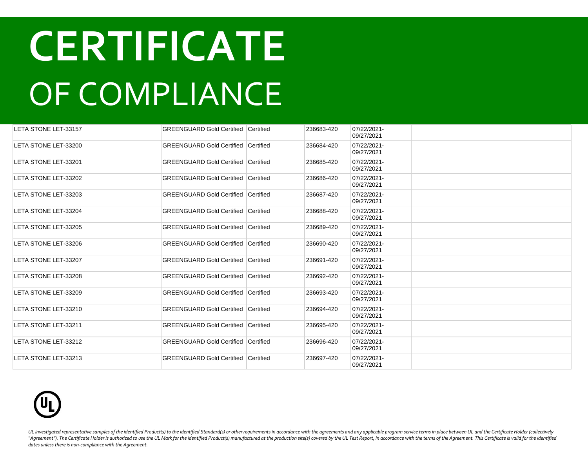| LETA STONE LET-33157 | <b>GREENGUARD Gold Certified Certified</b> |                  | 236683-420 | 07/22/2021-<br>09/27/2021 |  |
|----------------------|--------------------------------------------|------------------|------------|---------------------------|--|
| LETA STONE LET-33200 | <b>GREENGUARD Gold Certified</b>           | <b>Certified</b> | 236684-420 | 07/22/2021-<br>09/27/2021 |  |
| LETA STONE LET-33201 | <b>GREENGUARD Gold Certified Certified</b> |                  | 236685-420 | 07/22/2021-<br>09/27/2021 |  |
| LETA STONE LET-33202 | <b>GREENGUARD Gold Certified Certified</b> |                  | 236686-420 | 07/22/2021-<br>09/27/2021 |  |
| LETA STONE LET-33203 | <b>GREENGUARD Gold Certified Certified</b> |                  | 236687-420 | 07/22/2021-<br>09/27/2021 |  |
| LETA STONE LET-33204 | <b>GREENGUARD Gold Certified</b>           | Certified        | 236688-420 | 07/22/2021-<br>09/27/2021 |  |
| LETA STONE LET-33205 | <b>GREENGUARD Gold Certified Certified</b> |                  | 236689-420 | 07/22/2021-<br>09/27/2021 |  |
| LETA STONE LET-33206 | <b>GREENGUARD Gold Certified Certified</b> |                  | 236690-420 | 07/22/2021-<br>09/27/2021 |  |
| LETA STONE LET-33207 | <b>GREENGUARD Gold Certified Certified</b> |                  | 236691-420 | 07/22/2021-<br>09/27/2021 |  |
| LETA STONE LET-33208 | <b>GREENGUARD Gold Certified Certified</b> |                  | 236692-420 | 07/22/2021-<br>09/27/2021 |  |
| LETA STONE LET-33209 | <b>GREENGUARD Gold Certified Certified</b> |                  | 236693-420 | 07/22/2021-<br>09/27/2021 |  |
| LETA STONE LET-33210 | <b>GREENGUARD Gold Certified Certified</b> |                  | 236694-420 | 07/22/2021-<br>09/27/2021 |  |
| LETA STONE LET-33211 | <b>GREENGUARD Gold Certified Certified</b> |                  | 236695-420 | 07/22/2021-<br>09/27/2021 |  |
| LETA STONE LET-33212 | <b>GREENGUARD Gold Certified Certified</b> |                  | 236696-420 | 07/22/2021-<br>09/27/2021 |  |
| LETA STONE LET-33213 | <b>GREENGUARD Gold Certified Certified</b> |                  | 236697-420 | 07/22/2021-<br>09/27/2021 |  |

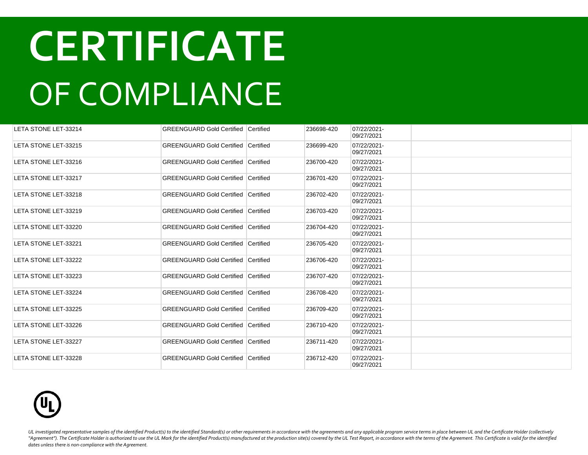| LETA STONE LET-33214        | <b>GREENGUARD Gold Certified Certified</b> |           | 236698-420 | 07/22/2021-<br>09/27/2021 |  |
|-----------------------------|--------------------------------------------|-----------|------------|---------------------------|--|
| LETA STONE LET-33215        | <b>GREENGUARD Gold Certified Certified</b> |           | 236699-420 | 07/22/2021-<br>09/27/2021 |  |
| LETA STONE LET-33216        | <b>GREENGUARD Gold Certified Certified</b> |           | 236700-420 | 07/22/2021-<br>09/27/2021 |  |
| LETA STONE LET-33217        | <b>GREENGUARD Gold Certified</b>           | Certified | 236701-420 | 07/22/2021-<br>09/27/2021 |  |
| LETA STONE LET-33218        | <b>GREENGUARD Gold Certified Certified</b> |           | 236702-420 | 07/22/2021-<br>09/27/2021 |  |
| LETA STONE LET-33219        | <b>GREENGUARD Gold Certified</b>           | Certified | 236703-420 | 07/22/2021-<br>09/27/2021 |  |
| LETA STONE LET-33220        | <b>GREENGUARD Gold Certified Certified</b> |           | 236704-420 | 07/22/2021-<br>09/27/2021 |  |
| LETA STONE LET-33221        | <b>GREENGUARD Gold Certified Certified</b> |           | 236705-420 | 07/22/2021-<br>09/27/2021 |  |
| LETA STONE LET-33222        | <b>GREENGUARD Gold Certified Certified</b> |           | 236706-420 | 07/22/2021-<br>09/27/2021 |  |
| <b>LETA STONE LET-33223</b> | <b>GREENGUARD Gold Certified Certified</b> |           | 236707-420 | 07/22/2021-<br>09/27/2021 |  |
| LETA STONE LET-33224        | <b>GREENGUARD Gold Certified Certified</b> |           | 236708-420 | 07/22/2021-<br>09/27/2021 |  |
| <b>LETA STONE LET-33225</b> | <b>GREENGUARD Gold Certified Certified</b> |           | 236709-420 | 07/22/2021-<br>09/27/2021 |  |
| <b>LETA STONE LET-33226</b> | <b>GREENGUARD Gold Certified Certified</b> |           | 236710-420 | 07/22/2021-<br>09/27/2021 |  |
| <b>LETA STONE LET-33227</b> | <b>GREENGUARD Gold Certified Certified</b> |           | 236711-420 | 07/22/2021-<br>09/27/2021 |  |
| <b>LETA STONE LET-33228</b> | <b>GREENGUARD Gold Certified Certified</b> |           | 236712-420 | 07/22/2021-<br>09/27/2021 |  |

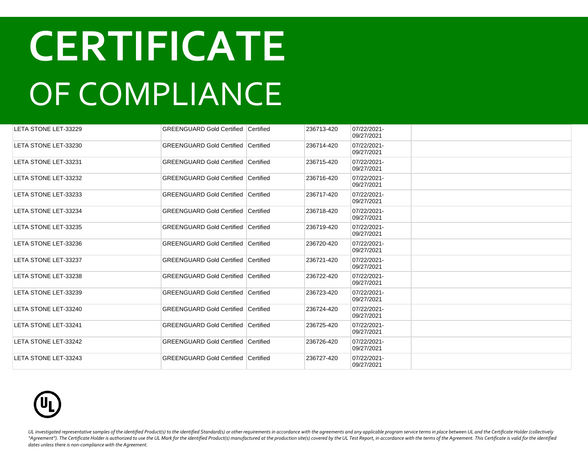| LETA STONE LET-33229        | <b>GREENGUARD Gold Certified Certified</b> |           | 236713-420 | 07/22/2021-<br>09/27/2021 |  |
|-----------------------------|--------------------------------------------|-----------|------------|---------------------------|--|
| LETA STONE LET-33230        | <b>GREENGUARD Gold Certified Certified</b> |           | 236714-420 | 07/22/2021-<br>09/27/2021 |  |
| LETA STONE LET-33231        | <b>GREENGUARD Gold Certified Certified</b> |           | 236715-420 | 07/22/2021-<br>09/27/2021 |  |
| LETA STONE LET-33232        | <b>GREENGUARD Gold Certified</b>           | Certified | 236716-420 | 07/22/2021-<br>09/27/2021 |  |
| LETA STONE LET-33233        | <b>GREENGUARD Gold Certified Certified</b> |           | 236717-420 | 07/22/2021-<br>09/27/2021 |  |
| LETA STONE LET-33234        | <b>GREENGUARD Gold Certified Certified</b> |           | 236718-420 | 07/22/2021-<br>09/27/2021 |  |
| LETA STONE LET-33235        | <b>GREENGUARD Gold Certified Certified</b> |           | 236719-420 | 07/22/2021-<br>09/27/2021 |  |
| LETA STONE LET-33236        | <b>GREENGUARD Gold Certified Certified</b> |           | 236720-420 | 07/22/2021-<br>09/27/2021 |  |
| LETA STONE LET-33237        | <b>GREENGUARD Gold Certified Certified</b> |           | 236721-420 | 07/22/2021-<br>09/27/2021 |  |
| LETA STONE LET-33238        | <b>GREENGUARD Gold Certified Certified</b> |           | 236722-420 | 07/22/2021-<br>09/27/2021 |  |
| LETA STONE LET-33239        | <b>GREENGUARD Gold Certified Certified</b> |           | 236723-420 | 07/22/2021-<br>09/27/2021 |  |
| LETA STONE LET-33240        | <b>GREENGUARD Gold Certified Certified</b> |           | 236724-420 | 07/22/2021-<br>09/27/2021 |  |
| LETA STONE LET-33241        | <b>GREENGUARD Gold Certified Certified</b> |           | 236725-420 | 07/22/2021-<br>09/27/2021 |  |
| LETA STONE LET-33242        | <b>GREENGUARD Gold Certified Certified</b> |           | 236726-420 | 07/22/2021-<br>09/27/2021 |  |
| <b>LETA STONE LET-33243</b> | <b>GREENGUARD Gold Certified Certified</b> |           | 236727-420 | 07/22/2021-<br>09/27/2021 |  |

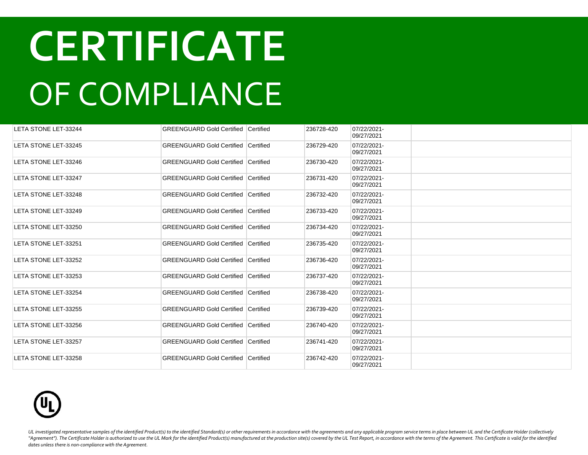| LETA STONE LET-33244        | <b>GREENGUARD Gold Certified Certified</b> |           | 236728-420 | 07/22/2021-<br>09/27/2021 |  |
|-----------------------------|--------------------------------------------|-----------|------------|---------------------------|--|
| LETA STONE LET-33245        | <b>GREENGUARD Gold Certified Certified</b> |           | 236729-420 | 07/22/2021-<br>09/27/2021 |  |
| LETA STONE LET-33246        | <b>GREENGUARD Gold Certified Certified</b> |           | 236730-420 | 07/22/2021-<br>09/27/2021 |  |
| <b>LETA STONE LET-33247</b> | <b>GREENGUARD Gold Certified</b>           | Certified | 236731-420 | 07/22/2021-<br>09/27/2021 |  |
| <b>LETA STONE LET-33248</b> | <b>GREENGUARD Gold Certified Certified</b> |           | 236732-420 | 07/22/2021-<br>09/27/2021 |  |
| LETA STONE LET-33249        | <b>GREENGUARD Gold Certified</b>           | Certified | 236733-420 | 07/22/2021-<br>09/27/2021 |  |
| LETA STONE LET-33250        | <b>GREENGUARD Gold Certified Certified</b> |           | 236734-420 | 07/22/2021-<br>09/27/2021 |  |
| LETA STONE LET-33251        | <b>GREENGUARD Gold Certified Certified</b> |           | 236735-420 | 07/22/2021-<br>09/27/2021 |  |
| LETA STONE LET-33252        | <b>GREENGUARD Gold Certified Certified</b> |           | 236736-420 | 07/22/2021-<br>09/27/2021 |  |
| LETA STONE LET-33253        | <b>GREENGUARD Gold Certified Certified</b> |           | 236737-420 | 07/22/2021-<br>09/27/2021 |  |
| LETA STONE LET-33254        | <b>GREENGUARD Gold Certified Certified</b> |           | 236738-420 | 07/22/2021-<br>09/27/2021 |  |
| LETA STONE LET-33255        | <b>GREENGUARD Gold Certified Certified</b> |           | 236739-420 | 07/22/2021-<br>09/27/2021 |  |
| <b>LETA STONE LET-33256</b> | <b>GREENGUARD Gold Certified Certified</b> |           | 236740-420 | 07/22/2021-<br>09/27/2021 |  |
| <b>LETA STONE LET-33257</b> | <b>GREENGUARD Gold Certified Certified</b> |           | 236741-420 | 07/22/2021-<br>09/27/2021 |  |
| LETA STONE LET-33258        | <b>GREENGUARD Gold Certified Certified</b> |           | 236742-420 | 07/22/2021-<br>09/27/2021 |  |

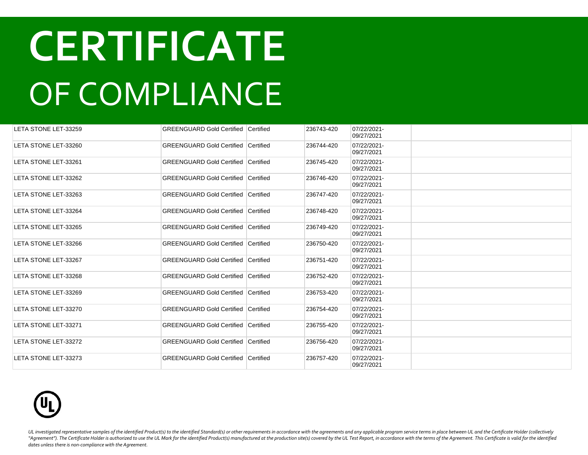| LETA STONE LET-33259 | <b>GREENGUARD Gold Certified Certified</b> |           | 236743-420 | 07/22/2021-<br>09/27/2021 |  |
|----------------------|--------------------------------------------|-----------|------------|---------------------------|--|
| LETA STONE LET-33260 | <b>GREENGUARD Gold Certified Certified</b> |           | 236744-420 | 07/22/2021-<br>09/27/2021 |  |
| LETA STONE LET-33261 | <b>GREENGUARD Gold Certified Certified</b> |           | 236745-420 | 07/22/2021-<br>09/27/2021 |  |
| LETA STONE LET-33262 | <b>GREENGUARD Gold Certified</b>           | Certified | 236746-420 | 07/22/2021-<br>09/27/2021 |  |
| LETA STONE LET-33263 | <b>GREENGUARD Gold Certified Certified</b> |           | 236747-420 | 07/22/2021-<br>09/27/2021 |  |
| LETA STONE LET-33264 | <b>GREENGUARD Gold Certified Certified</b> |           | 236748-420 | 07/22/2021-<br>09/27/2021 |  |
| LETA STONE LET-33265 | <b>GREENGUARD Gold Certified Certified</b> |           | 236749-420 | 07/22/2021-<br>09/27/2021 |  |
| LETA STONE LET-33266 | <b>GREENGUARD Gold Certified Certified</b> |           | 236750-420 | 07/22/2021-<br>09/27/2021 |  |
| LETA STONE LET-33267 | <b>GREENGUARD Gold Certified Certified</b> |           | 236751-420 | 07/22/2021-<br>09/27/2021 |  |
| LETA STONE LET-33268 | <b>GREENGUARD Gold Certified Certified</b> |           | 236752-420 | 07/22/2021-<br>09/27/2021 |  |
| LETA STONE LET-33269 | <b>GREENGUARD Gold Certified Certified</b> |           | 236753-420 | 07/22/2021-<br>09/27/2021 |  |
| LETA STONE LET-33270 | GREENGUARD Gold Certified Certified        |           | 236754-420 | 07/22/2021-<br>09/27/2021 |  |
| LETA STONE LET-33271 | <b>GREENGUARD Gold Certified Certified</b> |           | 236755-420 | 07/22/2021-<br>09/27/2021 |  |
| LETA STONE LET-33272 | <b>GREENGUARD Gold Certified Certified</b> |           | 236756-420 | 07/22/2021-<br>09/27/2021 |  |
| LETA STONE LET-33273 | <b>GREENGUARD Gold Certified Certified</b> |           | 236757-420 | 07/22/2021-<br>09/27/2021 |  |

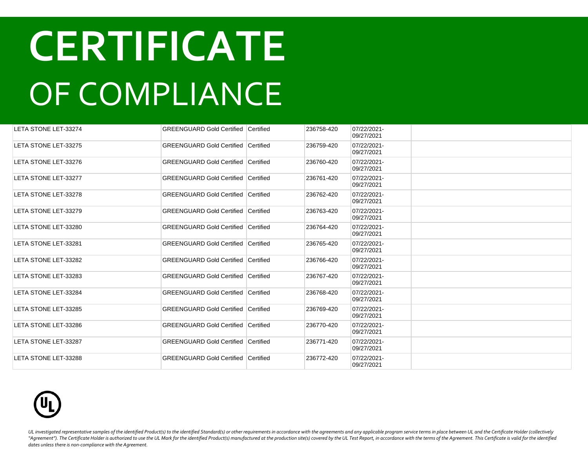| LETA STONE LET-33274 | <b>GREENGUARD Gold Certified Certified</b>   |                  | 236758-420 | 07/22/2021-<br>09/27/2021 |  |
|----------------------|----------------------------------------------|------------------|------------|---------------------------|--|
| LETA STONE LET-33275 | <b>GREENGUARD Gold Certified   Certified</b> |                  | 236759-420 | 07/22/2021-<br>09/27/2021 |  |
| LETA STONE LET-33276 | <b>GREENGUARD Gold Certified Certified</b>   |                  | 236760-420 | 07/22/2021-<br>09/27/2021 |  |
| LETA STONE LET-33277 | <b>GREENGUARD Gold Certified</b>             | Certified        | 236761-420 | 07/22/2021-<br>09/27/2021 |  |
| LETA STONE LET-33278 | <b>GREENGUARD Gold Certified Certified</b>   |                  | 236762-420 | 07/22/2021-<br>09/27/2021 |  |
| LETA STONE LET-33279 | <b>GREENGUARD Gold Certified Certified</b>   |                  | 236763-420 | 07/22/2021-<br>09/27/2021 |  |
| LETA STONE LET-33280 | <b>GREENGUARD Gold Certified Certified</b>   |                  | 236764-420 | 07/22/2021-<br>09/27/2021 |  |
| LETA STONE LET-33281 | <b>GREENGUARD Gold Certified</b>             | Certified        | 236765-420 | 07/22/2021-<br>09/27/2021 |  |
| LETA STONE LET-33282 | <b>GREENGUARD Gold Certified</b>             | Certified        | 236766-420 | 07/22/2021-<br>09/27/2021 |  |
| LETA STONE LET-33283 | <b>GREENGUARD Gold Certified Certified</b>   |                  | 236767-420 | 07/22/2021-<br>09/27/2021 |  |
| LETA STONE LET-33284 | <b>GREENGUARD Gold Certified Certified</b>   |                  | 236768-420 | 07/22/2021-<br>09/27/2021 |  |
| LETA STONE LET-33285 | <b>GREENGUARD Gold Certified</b>             | <b>Certified</b> | 236769-420 | 07/22/2021-<br>09/27/2021 |  |
| LETA STONE LET-33286 | <b>GREENGUARD Gold Certified Certified</b>   |                  | 236770-420 | 07/22/2021-<br>09/27/2021 |  |
| LETA STONE LET-33287 | <b>GREENGUARD Gold Certified Certified</b>   |                  | 236771-420 | 07/22/2021-<br>09/27/2021 |  |
| LETA STONE LET-33288 | <b>GREENGUARD Gold Certified Certified</b>   |                  | 236772-420 | 07/22/2021-<br>09/27/2021 |  |

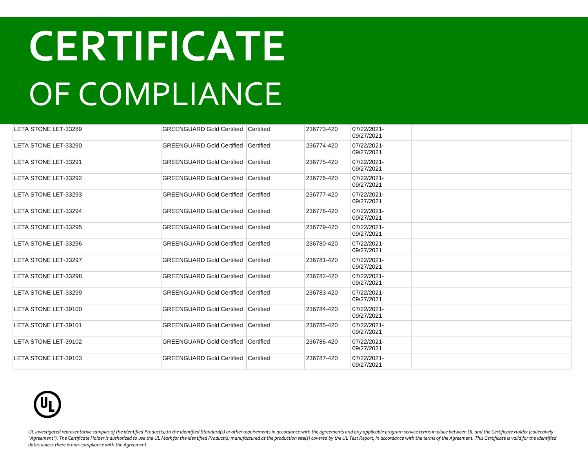| LETA STONE LET-33289 | <b>GREENGUARD Gold Certified Certified</b> |           | 236773-420 | 07/22/2021-<br>09/27/2021 |  |
|----------------------|--------------------------------------------|-----------|------------|---------------------------|--|
| LETA STONE LET-33290 | <b>GREENGUARD Gold Certified Certified</b> |           | 236774-420 | 07/22/2021-<br>09/27/2021 |  |
| LETA STONE LET-33291 | <b>GREENGUARD Gold Certified Certified</b> |           | 236775-420 | 07/22/2021-<br>09/27/2021 |  |
| LETA STONE LET-33292 | <b>GREENGUARD Gold Certified</b>           | Certified | 236776-420 | 07/22/2021-<br>09/27/2021 |  |
| LETA STONE LET-33293 | <b>GREENGUARD Gold Certified Certified</b> |           | 236777-420 | 07/22/2021-<br>09/27/2021 |  |
| LETA STONE LET-33294 | <b>GREENGUARD Gold Certified</b>           | Certified | 236778-420 | 07/22/2021-<br>09/27/2021 |  |
| LETA STONE LET-33295 | <b>GREENGUARD Gold Certified Certified</b> |           | 236779-420 | 07/22/2021-<br>09/27/2021 |  |
| LETA STONE LET-33296 | <b>GREENGUARD Gold Certified Certified</b> |           | 236780-420 | 07/22/2021-<br>09/27/2021 |  |
| LETA STONE LET-33297 | <b>GREENGUARD Gold Certified Certified</b> |           | 236781-420 | 07/22/2021-<br>09/27/2021 |  |
| LETA STONE LET-33298 | <b>GREENGUARD Gold Certified Certified</b> |           | 236782-420 | 07/22/2021-<br>09/27/2021 |  |
| LETA STONE LET-33299 | <b>GREENGUARD Gold Certified Certified</b> |           | 236783-420 | 07/22/2021-<br>09/27/2021 |  |
| LETA STONE LET-39100 | <b>GREENGUARD Gold Certified Certified</b> |           | 236784-420 | 07/22/2021-<br>09/27/2021 |  |
| LETA STONE LET-39101 | <b>GREENGUARD Gold Certified Certified</b> |           | 236785-420 | 07/22/2021-<br>09/27/2021 |  |
| LETA STONE LET-39102 | <b>GREENGUARD Gold Certified Certified</b> |           | 236786-420 | 07/22/2021-<br>09/27/2021 |  |
| LETA STONE LET-39103 | <b>GREENGUARD Gold Certified Certified</b> |           | 236787-420 | 07/22/2021-<br>09/27/2021 |  |

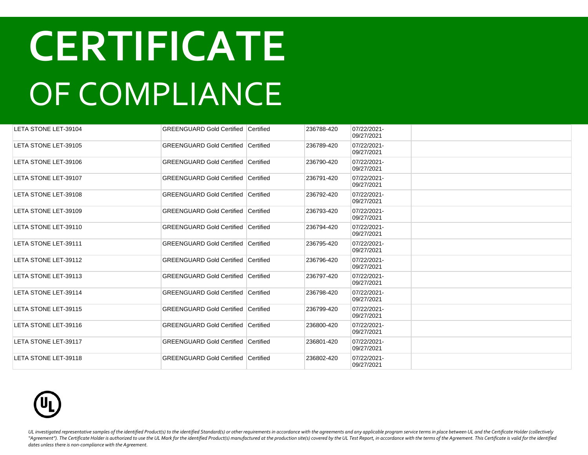| LETA STONE LET-39104 | <b>GREENGUARD Gold Certified   Certified</b> |                  | 236788-420 | 07/22/2021-<br>09/27/2021 |  |
|----------------------|----------------------------------------------|------------------|------------|---------------------------|--|
| LETA STONE LET-39105 | <b>GREENGUARD Gold Certified</b>             | <b>Certified</b> | 236789-420 | 07/22/2021-<br>09/27/2021 |  |
| LETA STONE LET-39106 | <b>GREENGUARD Gold Certified Certified</b>   |                  | 236790-420 | 07/22/2021-<br>09/27/2021 |  |
| LETA STONE LET-39107 | <b>GREENGUARD Gold Certified   Certified</b> |                  | 236791-420 | 07/22/2021-<br>09/27/2021 |  |
| LETA STONE LET-39108 | <b>GREENGUARD Gold Certified Certified</b>   |                  | 236792-420 | 07/22/2021-<br>09/27/2021 |  |
| LETA STONE LET-39109 | <b>GREENGUARD Gold Certified</b>             | <b>Certified</b> | 236793-420 | 07/22/2021-<br>09/27/2021 |  |
| LETA STONE LET-39110 | <b>GREENGUARD Gold Certified Certified</b>   |                  | 236794-420 | 07/22/2021-<br>09/27/2021 |  |
| LETA STONE LET-39111 | <b>GREENGUARD Gold Certified Certified</b>   |                  | 236795-420 | 07/22/2021-<br>09/27/2021 |  |
| LETA STONE LET-39112 | <b>GREENGUARD Gold Certified Certified</b>   |                  | 236796-420 | 07/22/2021-<br>09/27/2021 |  |
| LETA STONE LET-39113 | <b>GREENGUARD Gold Certified Certified</b>   |                  | 236797-420 | 07/22/2021-<br>09/27/2021 |  |
| LETA STONE LET-39114 | <b>GREENGUARD Gold Certified Certified</b>   |                  | 236798-420 | 07/22/2021-<br>09/27/2021 |  |
| LETA STONE LET-39115 | <b>GREENGUARD Gold Certified Certified</b>   |                  | 236799-420 | 07/22/2021-<br>09/27/2021 |  |
| LETA STONE LET-39116 | <b>GREENGUARD Gold Certified Certified</b>   |                  | 236800-420 | 07/22/2021-<br>09/27/2021 |  |
| LETA STONE LET-39117 | <b>GREENGUARD Gold Certified Certified</b>   |                  | 236801-420 | 07/22/2021-<br>09/27/2021 |  |
| LETA STONE LET-39118 | <b>GREENGUARD Gold Certified Certified</b>   |                  | 236802-420 | 07/22/2021-<br>09/27/2021 |  |

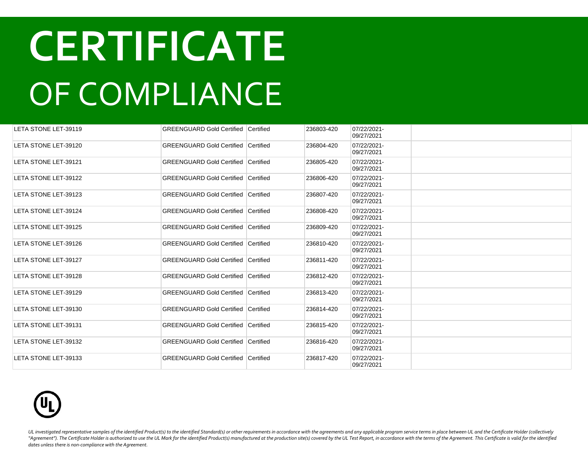| LETA STONE LET-39119 | <b>GREENGUARD Gold Certified Certified</b> |                  | 236803-420 | 07/22/2021-<br>09/27/2021 |  |
|----------------------|--------------------------------------------|------------------|------------|---------------------------|--|
| LETA STONE LET-39120 | <b>GREENGUARD Gold Certified</b>           | <b>Certified</b> | 236804-420 | 07/22/2021-<br>09/27/2021 |  |
| LETA STONE LET-39121 | <b>GREENGUARD Gold Certified Certified</b> |                  | 236805-420 | 07/22/2021-<br>09/27/2021 |  |
| LETA STONE LET-39122 | <b>GREENGUARD Gold Certified</b>           | Certified        | 236806-420 | 07/22/2021-<br>09/27/2021 |  |
| LETA STONE LET-39123 | <b>GREENGUARD Gold Certified Certified</b> |                  | 236807-420 | 07/22/2021-<br>09/27/2021 |  |
| LETA STONE LET-39124 | <b>GREENGUARD Gold Certified Certified</b> |                  | 236808-420 | 07/22/2021-<br>09/27/2021 |  |
| LETA STONE LET-39125 | <b>GREENGUARD Gold Certified Certified</b> |                  | 236809-420 | 07/22/2021-<br>09/27/2021 |  |
| LETA STONE LET-39126 | <b>GREENGUARD Gold Certified</b>           | Certified        | 236810-420 | 07/22/2021-<br>09/27/2021 |  |
| LETA STONE LET-39127 | <b>GREENGUARD Gold Certified Certified</b> |                  | 236811-420 | 07/22/2021-<br>09/27/2021 |  |
| LETA STONE LET-39128 | <b>GREENGUARD Gold Certified Certified</b> |                  | 236812-420 | 07/22/2021-<br>09/27/2021 |  |
| LETA STONE LET-39129 | <b>GREENGUARD Gold Certified Certified</b> |                  | 236813-420 | 07/22/2021-<br>09/27/2021 |  |
| LETA STONE LET-39130 | <b>GREENGUARD Gold Certified</b>           | Certified        | 236814-420 | 07/22/2021-<br>09/27/2021 |  |
| LETA STONE LET-39131 | <b>GREENGUARD Gold Certified Certified</b> |                  | 236815-420 | 07/22/2021-<br>09/27/2021 |  |
| LETA STONE LET-39132 | <b>GREENGUARD Gold Certified Certified</b> |                  | 236816-420 | 07/22/2021-<br>09/27/2021 |  |
| LETA STONE LET-39133 | <b>GREENGUARD Gold Certified</b>           | Certified        | 236817-420 | 07/22/2021-<br>09/27/2021 |  |

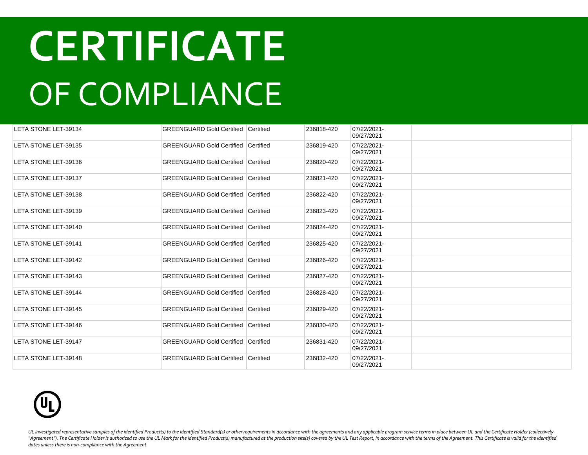| LETA STONE LET-39134 | <b>GREENGUARD Gold Certified Certified</b> |                  | 236818-420 | 07/22/2021-<br>09/27/2021 |  |
|----------------------|--------------------------------------------|------------------|------------|---------------------------|--|
| LETA STONE LET-39135 | <b>GREENGUARD Gold Certified Certified</b> |                  | 236819-420 | 07/22/2021-<br>09/27/2021 |  |
| LETA STONE LET-39136 | <b>GREENGUARD Gold Certified Certified</b> |                  | 236820-420 | 07/22/2021-<br>09/27/2021 |  |
| LETA STONE LET-39137 | <b>GREENGUARD Gold Certified</b>           | <b>Certified</b> | 236821-420 | 07/22/2021-<br>09/27/2021 |  |
| LETA STONE LET-39138 | <b>GREENGUARD Gold Certified Certified</b> |                  | 236822-420 | 07/22/2021-<br>09/27/2021 |  |
| LETA STONE LET-39139 | <b>GREENGUARD Gold Certified</b>           | Certified        | 236823-420 | 07/22/2021-<br>09/27/2021 |  |
| LETA STONE LET-39140 | <b>GREENGUARD Gold Certified Certified</b> |                  | 236824-420 | 07/22/2021-<br>09/27/2021 |  |
| LETA STONE LET-39141 | <b>GREENGUARD Gold Certified</b>           | <b>Certified</b> | 236825-420 | 07/22/2021-<br>09/27/2021 |  |
| LETA STONE LET-39142 | <b>GREENGUARD Gold Certified Certified</b> |                  | 236826-420 | 07/22/2021-<br>09/27/2021 |  |
| LETA STONE LET-39143 | <b>GREENGUARD Gold Certified Certified</b> |                  | 236827-420 | 07/22/2021-<br>09/27/2021 |  |
| LETA STONE LET-39144 | <b>GREENGUARD Gold Certified Certified</b> |                  | 236828-420 | 07/22/2021-<br>09/27/2021 |  |
| LETA STONE LET-39145 | <b>GREENGUARD Gold Certified Certified</b> |                  | 236829-420 | 07/22/2021-<br>09/27/2021 |  |
| LETA STONE LET-39146 | <b>GREENGUARD Gold Certified Certified</b> |                  | 236830-420 | 07/22/2021-<br>09/27/2021 |  |
| LETA STONE LET-39147 | <b>GREENGUARD Gold Certified Certified</b> |                  | 236831-420 | 07/22/2021-<br>09/27/2021 |  |
| LETA STONE LET-39148 | <b>GREENGUARD Gold Certified Certified</b> |                  | 236832-420 | 07/22/2021-<br>09/27/2021 |  |

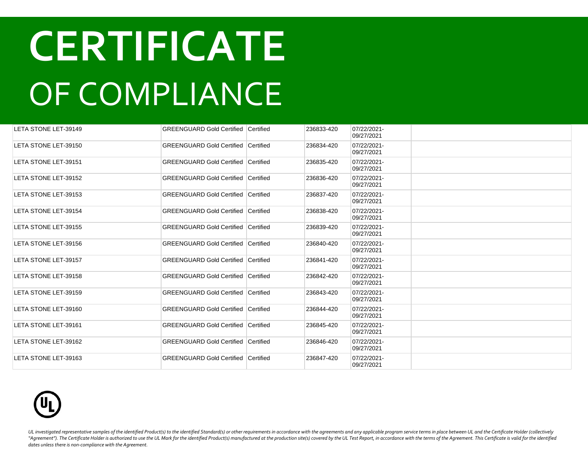| LETA STONE LET-39149 | <b>GREENGUARD Gold Certified Certified</b> |           | 236833-420 | 07/22/2021-<br>09/27/2021 |  |
|----------------------|--------------------------------------------|-----------|------------|---------------------------|--|
| LETA STONE LET-39150 | <b>GREENGUARD Gold Certified Certified</b> |           | 236834-420 | 07/22/2021-<br>09/27/2021 |  |
| LETA STONE LET-39151 | <b>GREENGUARD Gold Certified Certified</b> |           | 236835-420 | 07/22/2021-<br>09/27/2021 |  |
| LETA STONE LET-39152 | <b>GREENGUARD Gold Certified</b>           | Certified | 236836-420 | 07/22/2021-<br>09/27/2021 |  |
| LETA STONE LET-39153 | <b>GREENGUARD Gold Certified Certified</b> |           | 236837-420 | 07/22/2021-<br>09/27/2021 |  |
| LETA STONE LET-39154 | <b>GREENGUARD Gold Certified</b>           | Certified | 236838-420 | 07/22/2021-<br>09/27/2021 |  |
| LETA STONE LET-39155 | <b>GREENGUARD Gold Certified Certified</b> |           | 236839-420 | 07/22/2021-<br>09/27/2021 |  |
| LETA STONE LET-39156 | <b>GREENGUARD Gold Certified Certified</b> |           | 236840-420 | 07/22/2021-<br>09/27/2021 |  |
| LETA STONE LET-39157 | <b>GREENGUARD Gold Certified Certified</b> |           | 236841-420 | 07/22/2021-<br>09/27/2021 |  |
| LETA STONE LET-39158 | <b>GREENGUARD Gold Certified Certified</b> |           | 236842-420 | 07/22/2021-<br>09/27/2021 |  |
| LETA STONE LET-39159 | <b>GREENGUARD Gold Certified Certified</b> |           | 236843-420 | 07/22/2021-<br>09/27/2021 |  |
| LETA STONE LET-39160 | <b>GREENGUARD Gold Certified Certified</b> |           | 236844-420 | 07/22/2021-<br>09/27/2021 |  |
| LETA STONE LET-39161 | <b>GREENGUARD Gold Certified Certified</b> |           | 236845-420 | 07/22/2021-<br>09/27/2021 |  |
| LETA STONE LET-39162 | <b>GREENGUARD Gold Certified Certified</b> |           | 236846-420 | 07/22/2021-<br>09/27/2021 |  |
| LETA STONE LET-39163 | <b>GREENGUARD Gold Certified Certified</b> |           | 236847-420 | 07/22/2021-<br>09/27/2021 |  |

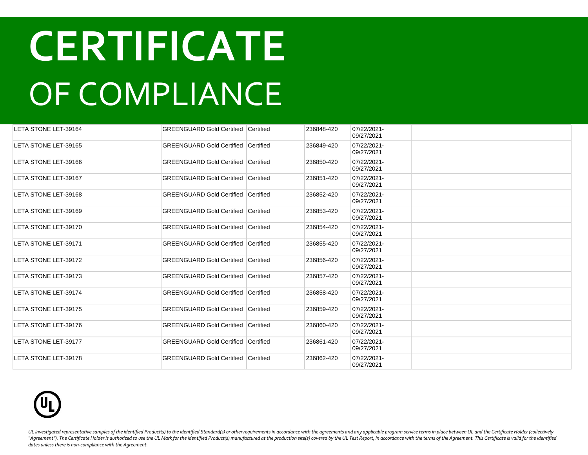| LETA STONE LET-39164 | <b>GREENGUARD Gold Certified Certified</b>   |                  | 236848-420 | 07/22/2021-<br>09/27/2021 |  |
|----------------------|----------------------------------------------|------------------|------------|---------------------------|--|
| LETA STONE LET-39165 | <b>GREENGUARD Gold Certified</b>             | Certified        | 236849-420 | 07/22/2021-<br>09/27/2021 |  |
| LETA STONE LET-39166 | <b>GREENGUARD Gold Certified Certified</b>   |                  | 236850-420 | 07/22/2021-<br>09/27/2021 |  |
| LETA STONE LET-39167 | <b>GREENGUARD Gold Certified</b>             | <b>Certified</b> | 236851-420 | 07/22/2021-<br>09/27/2021 |  |
| LETA STONE LET-39168 | <b>GREENGUARD Gold Certified Certified</b>   |                  | 236852-420 | 07/22/2021-<br>09/27/2021 |  |
| LETA STONE LET-39169 | <b>GREENGUARD Gold Certified Certified</b>   |                  | 236853-420 | 07/22/2021-<br>09/27/2021 |  |
| LETA STONE LET-39170 | <b>GREENGUARD Gold Certified Certified</b>   |                  | 236854-420 | 07/22/2021-<br>09/27/2021 |  |
| LETA STONE LET-39171 | <b>GREENGUARD Gold Certified</b>             | Certified        | 236855-420 | 07/22/2021-<br>09/27/2021 |  |
| LETA STONE LET-39172 | <b>GREENGUARD Gold Certified</b>             | Certified        | 236856-420 | 07/22/2021-<br>09/27/2021 |  |
| LETA STONE LET-39173 | <b>GREENGUARD Gold Certified</b>             | Certified        | 236857-420 | 07/22/2021-<br>09/27/2021 |  |
| LETA STONE LET-39174 | <b>GREENGUARD Gold Certified   Certified</b> |                  | 236858-420 | 07/22/2021-<br>09/27/2021 |  |
| LETA STONE LET-39175 | <b>GREENGUARD Gold Certified</b>             | <b>Certified</b> | 236859-420 | 07/22/2021-<br>09/27/2021 |  |
| LETA STONE LET-39176 | <b>GREENGUARD Gold Certified Certified</b>   |                  | 236860-420 | 07/22/2021-<br>09/27/2021 |  |
| LETA STONE LET-39177 | <b>GREENGUARD Gold Certified Certified</b>   |                  | 236861-420 | 07/22/2021-<br>09/27/2021 |  |
| LETA STONE LET-39178 | <b>GREENGUARD Gold Certified Certified</b>   |                  | 236862-420 | 07/22/2021-<br>09/27/2021 |  |

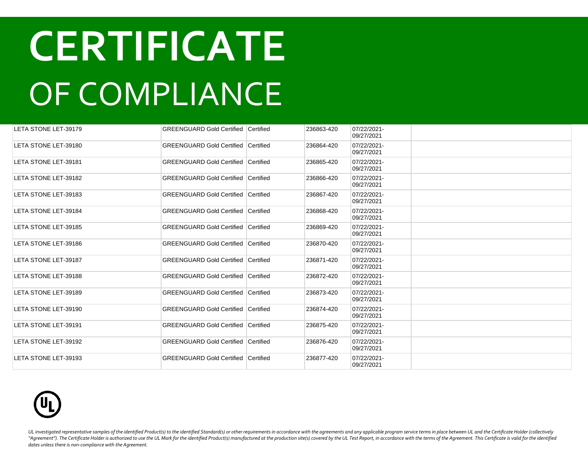| LETA STONE LET-39179 | <b>GREENGUARD Gold Certified Certified</b> |           | 236863-420 | 07/22/2021-<br>09/27/2021 |  |
|----------------------|--------------------------------------------|-----------|------------|---------------------------|--|
| LETA STONE LET-39180 | <b>GREENGUARD Gold Certified Certified</b> |           | 236864-420 | 07/22/2021-<br>09/27/2021 |  |
| LETA STONE LET-39181 | <b>GREENGUARD Gold Certified Certified</b> |           | 236865-420 | 07/22/2021-<br>09/27/2021 |  |
| LETA STONE LET-39182 | <b>GREENGUARD Gold Certified</b>           | Certified | 236866-420 | 07/22/2021-<br>09/27/2021 |  |
| LETA STONE LET-39183 | <b>GREENGUARD Gold Certified Certified</b> |           | 236867-420 | 07/22/2021-<br>09/27/2021 |  |
| LETA STONE LET-39184 | <b>GREENGUARD Gold Certified</b>           | Certified | 236868-420 | 07/22/2021-<br>09/27/2021 |  |
| LETA STONE LET-39185 | <b>GREENGUARD Gold Certified Certified</b> |           | 236869-420 | 07/22/2021-<br>09/27/2021 |  |
| LETA STONE LET-39186 | <b>GREENGUARD Gold Certified Certified</b> |           | 236870-420 | 07/22/2021-<br>09/27/2021 |  |
| LETA STONE LET-39187 | <b>GREENGUARD Gold Certified Certified</b> |           | 236871-420 | 07/22/2021-<br>09/27/2021 |  |
| LETA STONE LET-39188 | <b>GREENGUARD Gold Certified Certified</b> |           | 236872-420 | 07/22/2021-<br>09/27/2021 |  |
| LETA STONE LET-39189 | <b>GREENGUARD Gold Certified Certified</b> |           | 236873-420 | 07/22/2021-<br>09/27/2021 |  |
| LETA STONE LET-39190 | <b>GREENGUARD Gold Certified Certified</b> |           | 236874-420 | 07/22/2021-<br>09/27/2021 |  |
| LETA STONE LET-39191 | <b>GREENGUARD Gold Certified Certified</b> |           | 236875-420 | 07/22/2021-<br>09/27/2021 |  |
| LETA STONE LET-39192 | <b>GREENGUARD Gold Certified Certified</b> |           | 236876-420 | 07/22/2021-<br>09/27/2021 |  |
| LETA STONE LET-39193 | <b>GREENGUARD Gold Certified Certified</b> |           | 236877-420 | 07/22/2021-<br>09/27/2021 |  |

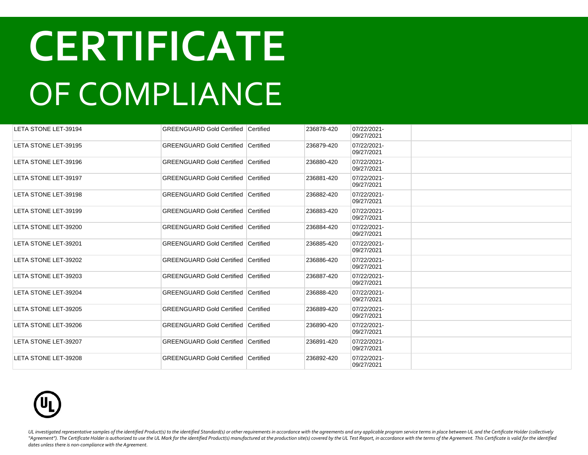| LETA STONE LET-39194 | <b>GREENGUARD Gold Certified Certified</b> |           | 236878-420 | 07/22/2021-<br>09/27/2021 |  |
|----------------------|--------------------------------------------|-----------|------------|---------------------------|--|
| LETA STONE LET-39195 | <b>GREENGUARD Gold Certified</b>           | Certified | 236879-420 | 07/22/2021-<br>09/27/2021 |  |
| LETA STONE LET-39196 | <b>GREENGUARD Gold Certified Certified</b> |           | 236880-420 | 07/22/2021-<br>09/27/2021 |  |
| LETA STONE LET-39197 | <b>GREENGUARD Gold Certified Certified</b> |           | 236881-420 | 07/22/2021-<br>09/27/2021 |  |
| LETA STONE LET-39198 | <b>GREENGUARD Gold Certified Certified</b> |           | 236882-420 | 07/22/2021-<br>09/27/2021 |  |
| LETA STONE LET-39199 | <b>GREENGUARD Gold Certified Certified</b> |           | 236883-420 | 07/22/2021-<br>09/27/2021 |  |
| LETA STONE LET-39200 | <b>GREENGUARD Gold Certified Certified</b> |           | 236884-420 | 07/22/2021-<br>09/27/2021 |  |
| LETA STONE LET-39201 | GREENGUARD Gold Certified Certified        |           | 236885-420 | 07/22/2021-<br>09/27/2021 |  |
| LETA STONE LET-39202 | <b>GREENGUARD Gold Certified Certified</b> |           | 236886-420 | 07/22/2021-<br>09/27/2021 |  |
| LETA STONE LET-39203 | GREENGUARD Gold Certified Certified        |           | 236887-420 | 07/22/2021-<br>09/27/2021 |  |
| LETA STONE LET-39204 | <b>GREENGUARD Gold Certified Certified</b> |           | 236888-420 | 07/22/2021-<br>09/27/2021 |  |
| LETA STONE LET-39205 | <b>GREENGUARD Gold Certified Certified</b> |           | 236889-420 | 07/22/2021-<br>09/27/2021 |  |
| LETA STONE LET-39206 | <b>GREENGUARD Gold Certified Certified</b> |           | 236890-420 | 07/22/2021-<br>09/27/2021 |  |
| LETA STONE LET-39207 | <b>GREENGUARD Gold Certified Certified</b> |           | 236891-420 | 07/22/2021-<br>09/27/2021 |  |
| LETA STONE LET-39208 | <b>GREENGUARD Gold Certified Certified</b> |           | 236892-420 | 07/22/2021-<br>09/27/2021 |  |

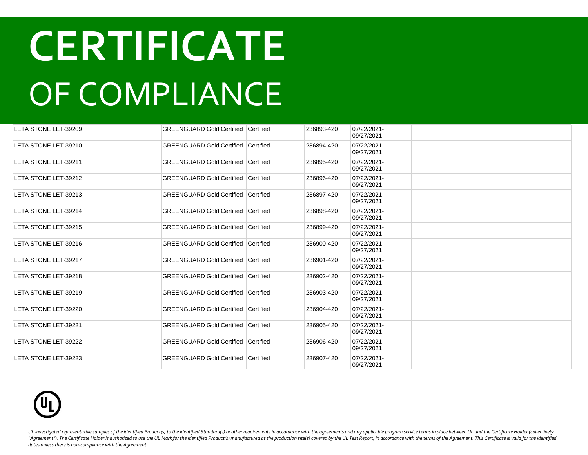| LETA STONE LET-39209        | <b>GREENGUARD Gold Certified Certified</b> |                  | 236893-420 | 07/22/2021-<br>09/27/2021 |  |
|-----------------------------|--------------------------------------------|------------------|------------|---------------------------|--|
| LETA STONE LET-39210        | <b>GREENGUARD Gold Certified</b>           | <b>Certified</b> | 236894-420 | 07/22/2021-<br>09/27/2021 |  |
| LETA STONE LET-39211        | <b>GREENGUARD Gold Certified Certified</b> |                  | 236895-420 | 07/22/2021-<br>09/27/2021 |  |
| LETA STONE LET-39212        | <b>GREENGUARD Gold Certified</b>           | Certified        | 236896-420 | 07/22/2021-<br>09/27/2021 |  |
| LETA STONE LET-39213        | <b>GREENGUARD Gold Certified Certified</b> |                  | 236897-420 | 07/22/2021-<br>09/27/2021 |  |
| LETA STONE LET-39214        | <b>GREENGUARD Gold Certified Certified</b> |                  | 236898-420 | 07/22/2021-<br>09/27/2021 |  |
| LETA STONE LET-39215        | GREENGUARD Gold Certified Certified        |                  | 236899-420 | 07/22/2021-<br>09/27/2021 |  |
| LETA STONE LET-39216        | GREENGUARD Gold Certified Certified        |                  | 236900-420 | 07/22/2021-<br>09/27/2021 |  |
| LETA STONE LET-39217        | GREENGUARD Gold Certified Certified        |                  | 236901-420 | 07/22/2021-<br>09/27/2021 |  |
| LETA STONE LET-39218        | <b>GREENGUARD Gold Certified Certified</b> |                  | 236902-420 | 07/22/2021-<br>09/27/2021 |  |
| LETA STONE LET-39219        | <b>GREENGUARD Gold Certified Certified</b> |                  | 236903-420 | 07/22/2021-<br>09/27/2021 |  |
| LETA STONE LET-39220        | <b>GREENGUARD Gold Certified Certified</b> |                  | 236904-420 | 07/22/2021-<br>09/27/2021 |  |
| <b>LETA STONE LET-39221</b> | <b>GREENGUARD Gold Certified Certified</b> |                  | 236905-420 | 07/22/2021-<br>09/27/2021 |  |
| LETA STONE LET-39222        | <b>GREENGUARD Gold Certified Certified</b> |                  | 236906-420 | 07/22/2021-<br>09/27/2021 |  |
| LETA STONE LET-39223        | <b>GREENGUARD Gold Certified Certified</b> |                  | 236907-420 | 07/22/2021-<br>09/27/2021 |  |

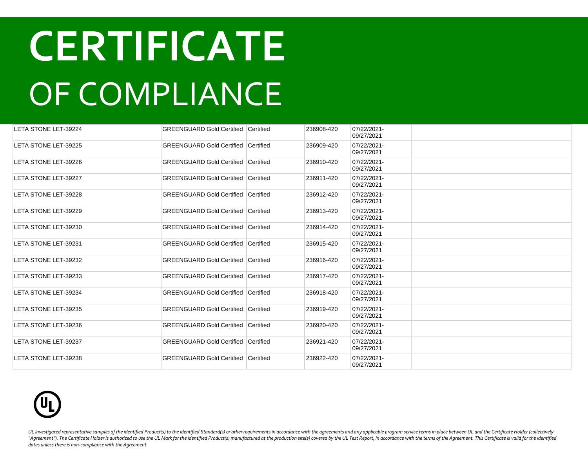| LETA STONE LET-39224        | <b>GREENGUARD Gold Certified Certified</b> |           | 236908-420 | 07/22/2021-<br>09/27/2021 |  |
|-----------------------------|--------------------------------------------|-----------|------------|---------------------------|--|
| LETA STONE LET-39225        | <b>GREENGUARD Gold Certified Certified</b> |           | 236909-420 | 07/22/2021-<br>09/27/2021 |  |
| LETA STONE LET-39226        | <b>GREENGUARD Gold Certified Certified</b> |           | 236910-420 | 07/22/2021-<br>09/27/2021 |  |
| LETA STONE LET-39227        | <b>GREENGUARD Gold Certified</b>           | Certified | 236911-420 | 07/22/2021-<br>09/27/2021 |  |
| <b>LETA STONE LET-39228</b> | <b>GREENGUARD Gold Certified Certified</b> |           | 236912-420 | 07/22/2021-<br>09/27/2021 |  |
| LETA STONE LET-39229        | <b>GREENGUARD Gold Certified</b>           | Certified | 236913-420 | 07/22/2021-<br>09/27/2021 |  |
| LETA STONE LET-39230        | <b>GREENGUARD Gold Certified Certified</b> |           | 236914-420 | 07/22/2021-<br>09/27/2021 |  |
| LETA STONE LET-39231        | <b>GREENGUARD Gold Certified Certified</b> |           | 236915-420 | 07/22/2021-<br>09/27/2021 |  |
| LETA STONE LET-39232        | <b>GREENGUARD Gold Certified Certified</b> |           | 236916-420 | 07/22/2021-<br>09/27/2021 |  |
| LETA STONE LET-39233        | <b>GREENGUARD Gold Certified Certified</b> |           | 236917-420 | 07/22/2021-<br>09/27/2021 |  |
| LETA STONE LET-39234        | <b>GREENGUARD Gold Certified Certified</b> |           | 236918-420 | 07/22/2021-<br>09/27/2021 |  |
| LETA STONE LET-39235        | <b>GREENGUARD Gold Certified Certified</b> |           | 236919-420 | 07/22/2021-<br>09/27/2021 |  |
| LETA STONE LET-39236        | <b>GREENGUARD Gold Certified Certified</b> |           | 236920-420 | 07/22/2021-<br>09/27/2021 |  |
| LETA STONE LET-39237        | <b>GREENGUARD Gold Certified Certified</b> |           | 236921-420 | 07/22/2021-<br>09/27/2021 |  |
| LETA STONE LET-39238        | <b>GREENGUARD Gold Certified Certified</b> |           | 236922-420 | 07/22/2021-<br>09/27/2021 |  |

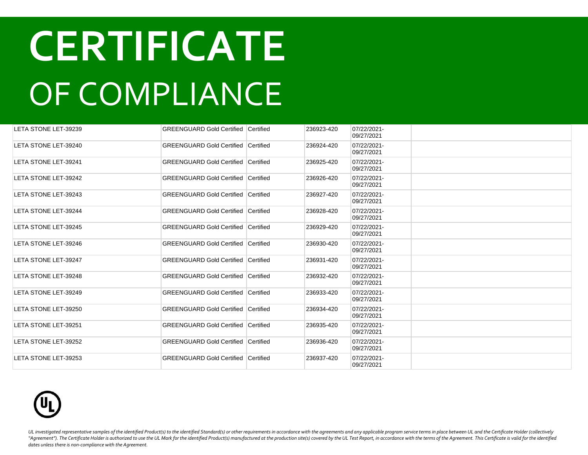| LETA STONE LET-39239        | <b>GREENGUARD Gold Certified Certified</b> |                  | 236923-420 | 07/22/2021-<br>09/27/2021 |  |
|-----------------------------|--------------------------------------------|------------------|------------|---------------------------|--|
| LETA STONE LET-39240        | <b>GREENGUARD Gold Certified</b>           | <b>Certified</b> | 236924-420 | 07/22/2021-<br>09/27/2021 |  |
| LETA STONE LET-39241        | <b>GREENGUARD Gold Certified Certified</b> |                  | 236925-420 | 07/22/2021-<br>09/27/2021 |  |
| LETA STONE LET-39242        | GREENGUARD Gold Certified Certified        |                  | 236926-420 | 07/22/2021-<br>09/27/2021 |  |
| LETA STONE LET-39243        | GREENGUARD Gold Certified Certified        |                  | 236927-420 | 07/22/2021-<br>09/27/2021 |  |
| LETA STONE LET-39244        | GREENGUARD Gold Certified Certified        |                  | 236928-420 | 07/22/2021-<br>09/27/2021 |  |
| LETA STONE LET-39245        | <b>GREENGUARD Gold Certified Certified</b> |                  | 236929-420 | 07/22/2021-<br>09/27/2021 |  |
| LETA STONE LET-39246        | <b>GREENGUARD Gold Certified Certified</b> |                  | 236930-420 | 07/22/2021-<br>09/27/2021 |  |
| LETA STONE LET-39247        | <b>GREENGUARD Gold Certified Certified</b> |                  | 236931-420 | 07/22/2021-<br>09/27/2021 |  |
| LETA STONE LET-39248        | <b>GREENGUARD Gold Certified Certified</b> |                  | 236932-420 | 07/22/2021-<br>09/27/2021 |  |
| LETA STONE LET-39249        | <b>GREENGUARD Gold Certified Certified</b> |                  | 236933-420 | 07/22/2021-<br>09/27/2021 |  |
| LETA STONE LET-39250        | <b>GREENGUARD Gold Certified Certified</b> |                  | 236934-420 | 07/22/2021-<br>09/27/2021 |  |
| <b>LETA STONE LET-39251</b> | <b>GREENGUARD Gold Certified Certified</b> |                  | 236935-420 | 07/22/2021-<br>09/27/2021 |  |
| LETA STONE LET-39252        | <b>GREENGUARD Gold Certified Certified</b> |                  | 236936-420 | 07/22/2021-<br>09/27/2021 |  |
| LETA STONE LET-39253        | GREENGUARD Gold Certified Certified        |                  | 236937-420 | 07/22/2021-<br>09/27/2021 |  |

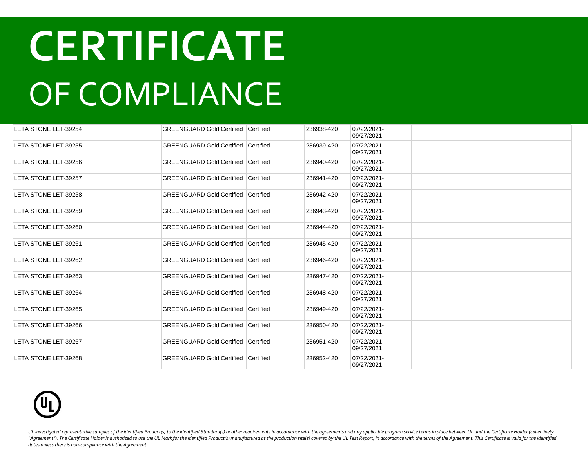| LETA STONE LET-39254 | <b>GREENGUARD Gold Certified Certified</b> |           | 236938-420 | 07/22/2021-<br>09/27/2021 |  |
|----------------------|--------------------------------------------|-----------|------------|---------------------------|--|
| LETA STONE LET-39255 | <b>GREENGUARD Gold Certified Certified</b> |           | 236939-420 | 07/22/2021-<br>09/27/2021 |  |
| LETA STONE LET-39256 | <b>GREENGUARD Gold Certified Certified</b> |           | 236940-420 | 07/22/2021-<br>09/27/2021 |  |
| LETA STONE LET-39257 | <b>GREENGUARD Gold Certified</b>           | Certified | 236941-420 | 07/22/2021-<br>09/27/2021 |  |
| LETA STONE LET-39258 | <b>GREENGUARD Gold Certified Certified</b> |           | 236942-420 | 07/22/2021-<br>09/27/2021 |  |
| LETA STONE LET-39259 | <b>GREENGUARD Gold Certified</b>           | Certified | 236943-420 | 07/22/2021-<br>09/27/2021 |  |
| LETA STONE LET-39260 | <b>GREENGUARD Gold Certified</b>           | Certified | 236944-420 | 07/22/2021-<br>09/27/2021 |  |
| LETA STONE LET-39261 | <b>GREENGUARD Gold Certified</b>           | Certified | 236945-420 | 07/22/2021-<br>09/27/2021 |  |
| LETA STONE LET-39262 | <b>GREENGUARD Gold Certified</b>           | Certified | 236946-420 | 07/22/2021-<br>09/27/2021 |  |
| LETA STONE LET-39263 | <b>GREENGUARD Gold Certified Certified</b> |           | 236947-420 | 07/22/2021-<br>09/27/2021 |  |
| LETA STONE LET-39264 | <b>GREENGUARD Gold Certified Certified</b> |           | 236948-420 | 07/22/2021-<br>09/27/2021 |  |
| LETA STONE LET-39265 | <b>GREENGUARD Gold Certified</b>           | Certified | 236949-420 | 07/22/2021-<br>09/27/2021 |  |
| LETA STONE LET-39266 | <b>GREENGUARD Gold Certified Certified</b> |           | 236950-420 | 07/22/2021-<br>09/27/2021 |  |
| LETA STONE LET-39267 | <b>GREENGUARD Gold Certified Certified</b> |           | 236951-420 | 07/22/2021-<br>09/27/2021 |  |
| LETA STONE LET-39268 | <b>GREENGUARD Gold Certified Certified</b> |           | 236952-420 | 07/22/2021-<br>09/27/2021 |  |

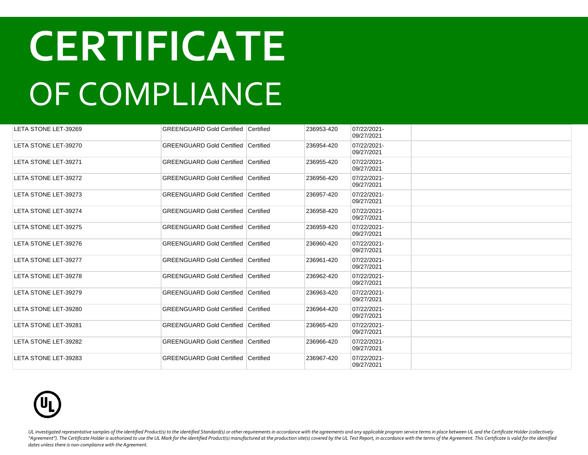| LETA STONE LET-39269        | <b>GREENGUARD Gold Certified Certified</b> |           | 236953-420 | 07/22/2021-<br>09/27/2021 |  |
|-----------------------------|--------------------------------------------|-----------|------------|---------------------------|--|
| LETA STONE LET-39270        | <b>GREENGUARD Gold Certified Certified</b> |           | 236954-420 | 07/22/2021-<br>09/27/2021 |  |
| LETA STONE LET-39271        | <b>GREENGUARD Gold Certified Certified</b> |           | 236955-420 | 07/22/2021-<br>09/27/2021 |  |
| LETA STONE LET-39272        | <b>GREENGUARD Gold Certified</b>           | Certified | 236956-420 | 07/22/2021-<br>09/27/2021 |  |
| LETA STONE LET-39273        | <b>GREENGUARD Gold Certified Certified</b> |           | 236957-420 | 07/22/2021-<br>09/27/2021 |  |
| LETA STONE LET-39274        | <b>GREENGUARD Gold Certified Certified</b> |           | 236958-420 | 07/22/2021-<br>09/27/2021 |  |
| LETA STONE LET-39275        | GREENGUARD Gold Certified Certified        |           | 236959-420 | 07/22/2021-<br>09/27/2021 |  |
| LETA STONE LET-39276        | GREENGUARD Gold Certified Certified        |           | 236960-420 | 07/22/2021-<br>09/27/2021 |  |
| LETA STONE LET-39277        | GREENGUARD Gold Certified Certified        |           | 236961-420 | 07/22/2021-<br>09/27/2021 |  |
| LETA STONE LET-39278        | <b>GREENGUARD Gold Certified Certified</b> |           | 236962-420 | 07/22/2021-<br>09/27/2021 |  |
| LETA STONE LET-39279        | <b>GREENGUARD Gold Certified Certified</b> |           | 236963-420 | 07/22/2021-<br>09/27/2021 |  |
| LETA STONE LET-39280        | <b>GREENGUARD Gold Certified Certified</b> |           | 236964-420 | 07/22/2021-<br>09/27/2021 |  |
| <b>LETA STONE LET-39281</b> | <b>GREENGUARD Gold Certified Certified</b> |           | 236965-420 | 07/22/2021-<br>09/27/2021 |  |
| LETA STONE LET-39282        | <b>GREENGUARD Gold Certified Certified</b> |           | 236966-420 | 07/22/2021-<br>09/27/2021 |  |
| LETA STONE LET-39283        | <b>GREENGUARD Gold Certified Certified</b> |           | 236967-420 | 07/22/2021-<br>09/27/2021 |  |

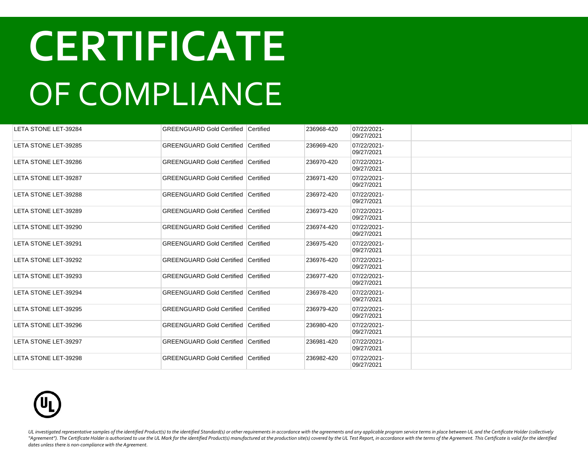| LETA STONE LET-39284 | <b>GREENGUARD Gold Certified Certified</b> |                  | 236968-420 | 07/22/2021-<br>09/27/2021 |  |
|----------------------|--------------------------------------------|------------------|------------|---------------------------|--|
| LETA STONE LET-39285 | <b>GREENGUARD Gold Certified</b>           | <b>Certified</b> | 236969-420 | 07/22/2021-<br>09/27/2021 |  |
| LETA STONE LET-39286 | <b>GREENGUARD Gold Certified Certified</b> |                  | 236970-420 | 07/22/2021-<br>09/27/2021 |  |
| LETA STONE LET-39287 | <b>GREENGUARD Gold Certified</b>           | Certified        | 236971-420 | 07/22/2021-<br>09/27/2021 |  |
| LETA STONE LET-39288 | <b>GREENGUARD Gold Certified Certified</b> |                  | 236972-420 | 07/22/2021-<br>09/27/2021 |  |
| LETA STONE LET-39289 | <b>GREENGUARD Gold Certified Certified</b> |                  | 236973-420 | 07/22/2021-<br>09/27/2021 |  |
| LETA STONE LET-39290 | GREENGUARD Gold Certified Certified        |                  | 236974-420 | 07/22/2021-<br>09/27/2021 |  |
| LETA STONE LET-39291 | GREENGUARD Gold Certified Certified        |                  | 236975-420 | 07/22/2021-<br>09/27/2021 |  |
| LETA STONE LET-39292 | GREENGUARD Gold Certified Certified        |                  | 236976-420 | 07/22/2021-<br>09/27/2021 |  |
| LETA STONE LET-39293 | <b>GREENGUARD Gold Certified Certified</b> |                  | 236977-420 | 07/22/2021-<br>09/27/2021 |  |
| LETA STONE LET-39294 | <b>GREENGUARD Gold Certified Certified</b> |                  | 236978-420 | 07/22/2021-<br>09/27/2021 |  |
| LETA STONE LET-39295 | <b>GREENGUARD Gold Certified Certified</b> |                  | 236979-420 | 07/22/2021-<br>09/27/2021 |  |
| LETA STONE LET-39296 | <b>GREENGUARD Gold Certified Certified</b> |                  | 236980-420 | 07/22/2021-<br>09/27/2021 |  |
| LETA STONE LET-39297 | <b>GREENGUARD Gold Certified Certified</b> |                  | 236981-420 | 07/22/2021-<br>09/27/2021 |  |
| LETA STONE LET-39298 | <b>GREENGUARD Gold Certified Certified</b> |                  | 236982-420 | 07/22/2021-<br>09/27/2021 |  |

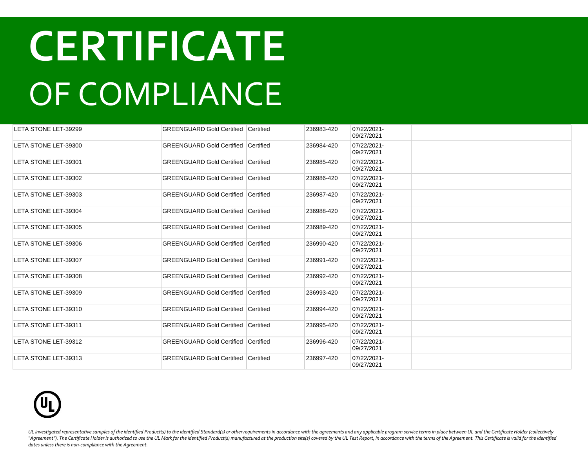| LETA STONE LET-39299        | <b>GREENGUARD Gold Certified Certified</b> |                  | 236983-420 | 07/22/2021-<br>09/27/2021 |  |
|-----------------------------|--------------------------------------------|------------------|------------|---------------------------|--|
| LETA STONE LET-39300        | <b>GREENGUARD Gold Certified</b>           | <b>Certified</b> | 236984-420 | 07/22/2021-<br>09/27/2021 |  |
| LETA STONE LET-39301        | <b>GREENGUARD Gold Certified Certified</b> |                  | 236985-420 | 07/22/2021-<br>09/27/2021 |  |
| LETA STONE LET-39302        | GREENGUARD Gold Certified Certified        |                  | 236986-420 | 07/22/2021-<br>09/27/2021 |  |
| LETA STONE LET-39303        | <b>GREENGUARD Gold Certified Certified</b> |                  | 236987-420 | 07/22/2021-<br>09/27/2021 |  |
| LETA STONE LET-39304        | GREENGUARD Gold Certified Certified        |                  | 236988-420 | 07/22/2021-<br>09/27/2021 |  |
| LETA STONE LET-39305        | <b>GREENGUARD Gold Certified Certified</b> |                  | 236989-420 | 07/22/2021-<br>09/27/2021 |  |
| LETA STONE LET-39306        | <b>GREENGUARD Gold Certified Certified</b> |                  | 236990-420 | 07/22/2021-<br>09/27/2021 |  |
| <b>LETA STONE LET-39307</b> | <b>GREENGUARD Gold Certified Certified</b> |                  | 236991-420 | 07/22/2021-<br>09/27/2021 |  |
| LETA STONE LET-39308        | <b>GREENGUARD Gold Certified Certified</b> |                  | 236992-420 | 07/22/2021-<br>09/27/2021 |  |
| LETA STONE LET-39309        | <b>GREENGUARD Gold Certified Certified</b> |                  | 236993-420 | 07/22/2021-<br>09/27/2021 |  |
| LETA STONE LET-39310        | <b>GREENGUARD Gold Certified Certified</b> |                  | 236994-420 | 07/22/2021-<br>09/27/2021 |  |
| LETA STONE LET-39311        | <b>GREENGUARD Gold Certified Certified</b> |                  | 236995-420 | 07/22/2021-<br>09/27/2021 |  |
| LETA STONE LET-39312        | <b>GREENGUARD Gold Certified Certified</b> |                  | 236996-420 | 07/22/2021-<br>09/27/2021 |  |
| LETA STONE LET-39313        | GREENGUARD Gold Certified Certified        |                  | 236997-420 | 07/22/2021-<br>09/27/2021 |  |

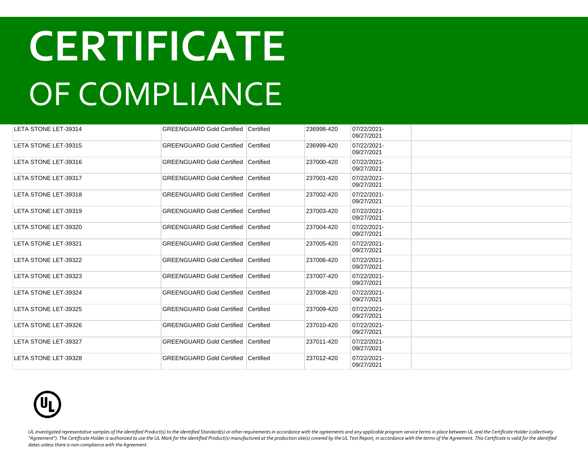| LETA STONE LET-39314 | <b>GREENGUARD Gold Certified Certified</b> |                  | 236998-420 | 07/22/2021-<br>09/27/2021 |  |
|----------------------|--------------------------------------------|------------------|------------|---------------------------|--|
| LETA STONE LET-39315 | <b>GREENGUARD Gold Certified Certified</b> |                  | 236999-420 | 07/22/2021-<br>09/27/2021 |  |
| LETA STONE LET-39316 | <b>GREENGUARD Gold Certified Certified</b> |                  | 237000-420 | 07/22/2021-<br>09/27/2021 |  |
| LETA STONE LET-39317 | <b>GREENGUARD Gold Certified</b>           | Certified        | 237001-420 | 07/22/2021-<br>09/27/2021 |  |
| LETA STONE LET-39318 | <b>GREENGUARD Gold Certified Certified</b> |                  | 237002-420 | 07/22/2021-<br>09/27/2021 |  |
| LETA STONE LET-39319 | <b>GREENGUARD Gold Certified Certified</b> |                  | 237003-420 | 07/22/2021-<br>09/27/2021 |  |
| LETA STONE LET-39320 | <b>GREENGUARD Gold Certified</b>           | Certified        | 237004-420 | 07/22/2021-<br>09/27/2021 |  |
| LETA STONE LET-39321 | <b>GREENGUARD Gold Certified</b>           | <b>Certified</b> | 237005-420 | 07/22/2021-<br>09/27/2021 |  |
| LETA STONE LET-39322 | <b>GREENGUARD Gold Certified</b>           | Certified        | 237006-420 | 07/22/2021-<br>09/27/2021 |  |
| LETA STONE LET-39323 | <b>GREENGUARD Gold Certified Certified</b> |                  | 237007-420 | 07/22/2021-<br>09/27/2021 |  |
| LETA STONE LET-39324 | <b>GREENGUARD Gold Certified Certified</b> |                  | 237008-420 | 07/22/2021-<br>09/27/2021 |  |
| LETA STONE LET-39325 | <b>GREENGUARD Gold Certified Certified</b> |                  | 237009-420 | 07/22/2021-<br>09/27/2021 |  |
| LETA STONE LET-39326 | <b>GREENGUARD Gold Certified Certified</b> |                  | 237010-420 | 07/22/2021-<br>09/27/2021 |  |
| LETA STONE LET-39327 | <b>GREENGUARD Gold Certified Certified</b> |                  | 237011-420 | 07/22/2021-<br>09/27/2021 |  |
| LETA STONE LET-39328 | <b>GREENGUARD Gold Certified Certified</b> |                  | 237012-420 | 07/22/2021-<br>09/27/2021 |  |

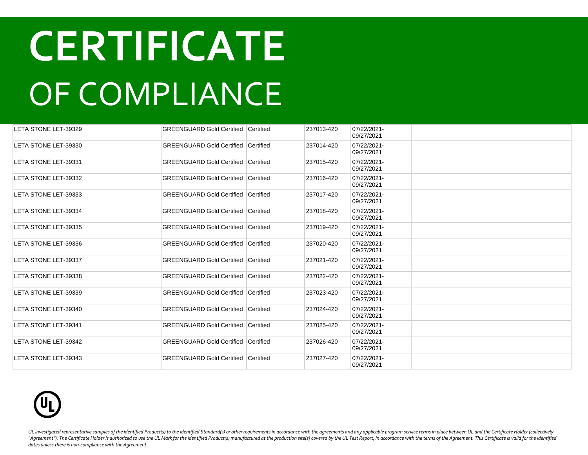| LETA STONE LET-39329 | <b>GREENGUARD Gold Certified Certified</b> |                  | 237013-420 | 07/22/2021-<br>09/27/2021 |  |
|----------------------|--------------------------------------------|------------------|------------|---------------------------|--|
| LETA STONE LET-39330 | <b>GREENGUARD Gold Certified</b>           | <b>Certified</b> | 237014-420 | 07/22/2021-<br>09/27/2021 |  |
| LETA STONE LET-39331 | <b>GREENGUARD Gold Certified Certified</b> |                  | 237015-420 | 07/22/2021-<br>09/27/2021 |  |
| LETA STONE LET-39332 | <b>GREENGUARD Gold Certified Certified</b> |                  | 237016-420 | 07/22/2021-<br>09/27/2021 |  |
| LETA STONE LET-39333 | <b>GREENGUARD Gold Certified Certified</b> |                  | 237017-420 | 07/22/2021-<br>09/27/2021 |  |
| LETA STONE LET-39334 | <b>GREENGUARD Gold Certified Certified</b> |                  | 237018-420 | 07/22/2021-<br>09/27/2021 |  |
| LETA STONE LET-39335 | <b>GREENGUARD Gold Certified Certified</b> |                  | 237019-420 | 07/22/2021-<br>09/27/2021 |  |
| LETA STONE LET-39336 | <b>GREENGUARD Gold Certified Certified</b> |                  | 237020-420 | 07/22/2021-<br>09/27/2021 |  |
| LETA STONE LET-39337 | <b>GREENGUARD Gold Certified Certified</b> |                  | 237021-420 | 07/22/2021-<br>09/27/2021 |  |
| LETA STONE LET-39338 | <b>GREENGUARD Gold Certified Certified</b> |                  | 237022-420 | 07/22/2021-<br>09/27/2021 |  |
| LETA STONE LET-39339 | <b>GREENGUARD Gold Certified Certified</b> |                  | 237023-420 | 07/22/2021-<br>09/27/2021 |  |
| LETA STONE LET-39340 | <b>GREENGUARD Gold Certified Certified</b> |                  | 237024-420 | 07/22/2021-<br>09/27/2021 |  |
| LETA STONE LET-39341 | <b>GREENGUARD Gold Certified Certified</b> |                  | 237025-420 | 07/22/2021-<br>09/27/2021 |  |
| LETA STONE LET-39342 | <b>GREENGUARD Gold Certified Certified</b> |                  | 237026-420 | 07/22/2021-<br>09/27/2021 |  |
| LETA STONE LET-39343 | <b>GREENGUARD Gold Certified Certified</b> |                  | 237027-420 | 07/22/2021-<br>09/27/2021 |  |

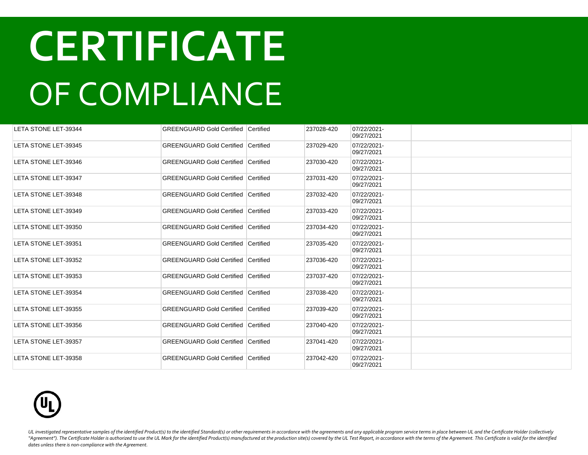| LETA STONE LET-39344        | <b>GREENGUARD Gold Certified Certified</b> |           | 237028-420 | 07/22/2021-<br>09/27/2021 |  |
|-----------------------------|--------------------------------------------|-----------|------------|---------------------------|--|
| LETA STONE LET-39345        | <b>GREENGUARD Gold Certified</b>           | Certified | 237029-420 | 07/22/2021-<br>09/27/2021 |  |
| LETA STONE LET-39346        | <b>GREENGUARD Gold Certified Certified</b> |           | 237030-420 | 07/22/2021-<br>09/27/2021 |  |
| <b>LETA STONE LET-39347</b> | <b>GREENGUARD Gold Certified Certified</b> |           | 237031-420 | 07/22/2021-<br>09/27/2021 |  |
| LETA STONE LET-39348        | <b>GREENGUARD Gold Certified Certified</b> |           | 237032-420 | 07/22/2021-<br>09/27/2021 |  |
| LETA STONE LET-39349        | <b>GREENGUARD Gold Certified Certified</b> |           | 237033-420 | 07/22/2021-<br>09/27/2021 |  |
| LETA STONE LET-39350        | <b>GREENGUARD Gold Certified Certified</b> |           | 237034-420 | 07/22/2021-<br>09/27/2021 |  |
| LETA STONE LET-39351        | GREENGUARD Gold Certified Certified        |           | 237035-420 | 07/22/2021-<br>09/27/2021 |  |
| LETA STONE LET-39352        | <b>GREENGUARD Gold Certified Certified</b> |           | 237036-420 | 07/22/2021-<br>09/27/2021 |  |
| LETA STONE LET-39353        | GREENGUARD Gold Certified Certified        |           | 237037-420 | 07/22/2021-<br>09/27/2021 |  |
| LETA STONE LET-39354        | <b>GREENGUARD Gold Certified Certified</b> |           | 237038-420 | 07/22/2021-<br>09/27/2021 |  |
| LETA STONE LET-39355        | <b>GREENGUARD Gold Certified Certified</b> |           | 237039-420 | 07/22/2021-<br>09/27/2021 |  |
| LETA STONE LET-39356        | <b>GREENGUARD Gold Certified Certified</b> |           | 237040-420 | 07/22/2021-<br>09/27/2021 |  |
| LETA STONE LET-39357        | <b>GREENGUARD Gold Certified Certified</b> |           | 237041-420 | 07/22/2021-<br>09/27/2021 |  |
| LETA STONE LET-39358        | <b>GREENGUARD Gold Certified Certified</b> |           | 237042-420 | 07/22/2021-<br>09/27/2021 |  |

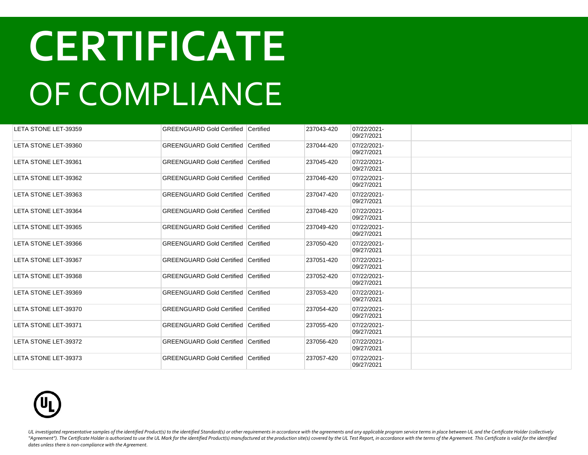| LETA STONE LET-39359 | <b>GREENGUARD Gold Certified Certified</b> |                  | 237043-420 | 07/22/2021-<br>09/27/2021 |  |
|----------------------|--------------------------------------------|------------------|------------|---------------------------|--|
| LETA STONE LET-39360 | <b>GREENGUARD Gold Certified Certified</b> |                  | 237044-420 | 07/22/2021-<br>09/27/2021 |  |
| LETA STONE LET-39361 | <b>GREENGUARD Gold Certified Certified</b> |                  | 237045-420 | 07/22/2021-<br>09/27/2021 |  |
| LETA STONE LET-39362 | <b>GREENGUARD Gold Certified</b>           | Certified        | 237046-420 | 07/22/2021-<br>09/27/2021 |  |
| LETA STONE LET-39363 | <b>GREENGUARD Gold Certified Certified</b> |                  | 237047-420 | 07/22/2021-<br>09/27/2021 |  |
| LETA STONE LET-39364 | <b>GREENGUARD Gold Certified Certified</b> |                  | 237048-420 | 07/22/2021-<br>09/27/2021 |  |
| LETA STONE LET-39365 | <b>GREENGUARD Gold Certified</b>           | Certified        | 237049-420 | 07/22/2021-<br>09/27/2021 |  |
| LETA STONE LET-39366 | <b>GREENGUARD Gold Certified</b>           | <b>Certified</b> | 237050-420 | 07/22/2021-<br>09/27/2021 |  |
| LETA STONE LET-39367 | <b>GREENGUARD Gold Certified</b>           | Certified        | 237051-420 | 07/22/2021-<br>09/27/2021 |  |
| LETA STONE LET-39368 | <b>GREENGUARD Gold Certified Certified</b> |                  | 237052-420 | 07/22/2021-<br>09/27/2021 |  |
| LETA STONE LET-39369 | <b>GREENGUARD Gold Certified Certified</b> |                  | 237053-420 | 07/22/2021-<br>09/27/2021 |  |
| LETA STONE LET-39370 | <b>GREENGUARD Gold Certified Certified</b> |                  | 237054-420 | 07/22/2021-<br>09/27/2021 |  |
| LETA STONE LET-39371 | <b>GREENGUARD Gold Certified Certified</b> |                  | 237055-420 | 07/22/2021-<br>09/27/2021 |  |
| LETA STONE LET-39372 | <b>GREENGUARD Gold Certified Certified</b> |                  | 237056-420 | 07/22/2021-<br>09/27/2021 |  |
| LETA STONE LET-39373 | <b>GREENGUARD Gold Certified Certified</b> |                  | 237057-420 | 07/22/2021-<br>09/27/2021 |  |

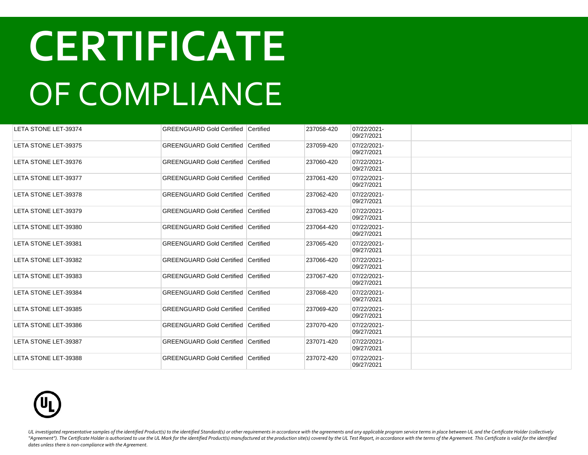| LETA STONE LET-39374        | <b>GREENGUARD Gold Certified Certified</b> |           | 237058-420 | 07/22/2021-<br>09/27/2021 |  |
|-----------------------------|--------------------------------------------|-----------|------------|---------------------------|--|
| LETA STONE LET-39375        | <b>GREENGUARD Gold Certified Certified</b> |           | 237059-420 | 07/22/2021-<br>09/27/2021 |  |
| LETA STONE LET-39376        | <b>GREENGUARD Gold Certified Certified</b> |           | 237060-420 | 07/22/2021-<br>09/27/2021 |  |
| LETA STONE LET-39377        | <b>GREENGUARD Gold Certified</b>           | Certified | 237061-420 | 07/22/2021-<br>09/27/2021 |  |
| LETA STONE LET-39378        | <b>GREENGUARD Gold Certified Certified</b> |           | 237062-420 | 07/22/2021-<br>09/27/2021 |  |
| LETA STONE LET-39379        | <b>GREENGUARD Gold Certified</b>           | Certified | 237063-420 | 07/22/2021-<br>09/27/2021 |  |
| LETA STONE LET-39380        | <b>GREENGUARD Gold Certified Certified</b> |           | 237064-420 | 07/22/2021-<br>09/27/2021 |  |
| LETA STONE LET-39381        | <b>GREENGUARD Gold Certified Certified</b> |           | 237065-420 | 07/22/2021-<br>09/27/2021 |  |
| LETA STONE LET-39382        | <b>GREENGUARD Gold Certified Certified</b> |           | 237066-420 | 07/22/2021-<br>09/27/2021 |  |
| LETA STONE LET-39383        | <b>GREENGUARD Gold Certified Certified</b> |           | 237067-420 | 07/22/2021-<br>09/27/2021 |  |
| LETA STONE LET-39384        | <b>GREENGUARD Gold Certified Certified</b> |           | 237068-420 | 07/22/2021-<br>09/27/2021 |  |
| LETA STONE LET-39385        | <b>GREENGUARD Gold Certified Certified</b> |           | 237069-420 | 07/22/2021-<br>09/27/2021 |  |
| LETA STONE LET-39386        | <b>GREENGUARD Gold Certified Certified</b> |           | 237070-420 | 07/22/2021-<br>09/27/2021 |  |
| LETA STONE LET-39387        | <b>GREENGUARD Gold Certified Certified</b> |           | 237071-420 | 07/22/2021-<br>09/27/2021 |  |
| <b>LETA STONE LET-39388</b> | <b>GREENGUARD Gold Certified Certified</b> |           | 237072-420 | 07/22/2021-<br>09/27/2021 |  |

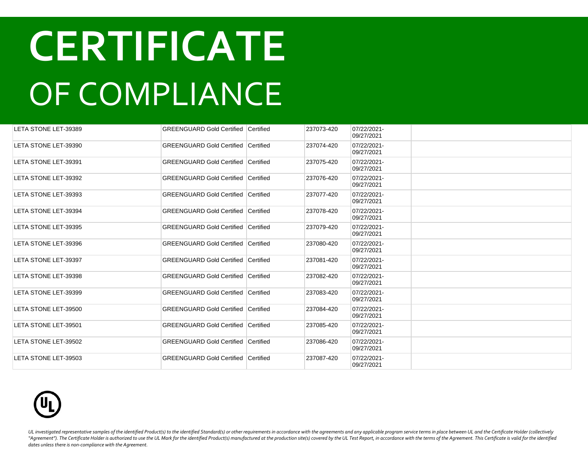| LETA STONE LET-39389 | <b>GREENGUARD Gold Certified Certified</b> |           | 237073-420 | 07/22/2021-<br>09/27/2021 |  |
|----------------------|--------------------------------------------|-----------|------------|---------------------------|--|
| LETA STONE LET-39390 | <b>GREENGUARD Gold Certified</b>           | Certified | 237074-420 | 07/22/2021-<br>09/27/2021 |  |
| LETA STONE LET-39391 | <b>GREENGUARD Gold Certified Certified</b> |           | 237075-420 | 07/22/2021-<br>09/27/2021 |  |
| LETA STONE LET-39392 | <b>GREENGUARD Gold Certified Certified</b> |           | 237076-420 | 07/22/2021-<br>09/27/2021 |  |
| LETA STONE LET-39393 | <b>GREENGUARD Gold Certified Certified</b> |           | 237077-420 | 07/22/2021-<br>09/27/2021 |  |
| LETA STONE LET-39394 | <b>GREENGUARD Gold Certified Certified</b> |           | 237078-420 | 07/22/2021-<br>09/27/2021 |  |
| LETA STONE LET-39395 | <b>GREENGUARD Gold Certified Certified</b> |           | 237079-420 | 07/22/2021-<br>09/27/2021 |  |
| LETA STONE LET-39396 | GREENGUARD Gold Certified Certified        |           | 237080-420 | 07/22/2021-<br>09/27/2021 |  |
| LETA STONE LET-39397 | <b>GREENGUARD Gold Certified Certified</b> |           | 237081-420 | 07/22/2021-<br>09/27/2021 |  |
| LETA STONE LET-39398 | GREENGUARD Gold Certified Certified        |           | 237082-420 | 07/22/2021-<br>09/27/2021 |  |
| LETA STONE LET-39399 | <b>GREENGUARD Gold Certified Certified</b> |           | 237083-420 | 07/22/2021-<br>09/27/2021 |  |
| LETA STONE LET-39500 | <b>GREENGUARD Gold Certified Certified</b> |           | 237084-420 | 07/22/2021-<br>09/27/2021 |  |
| LETA STONE LET-39501 | <b>GREENGUARD Gold Certified Certified</b> |           | 237085-420 | 07/22/2021-<br>09/27/2021 |  |
| LETA STONE LET-39502 | <b>GREENGUARD Gold Certified Certified</b> |           | 237086-420 | 07/22/2021-<br>09/27/2021 |  |
| LETA STONE LET-39503 | <b>GREENGUARD Gold Certified Certified</b> |           | 237087-420 | 07/22/2021-<br>09/27/2021 |  |

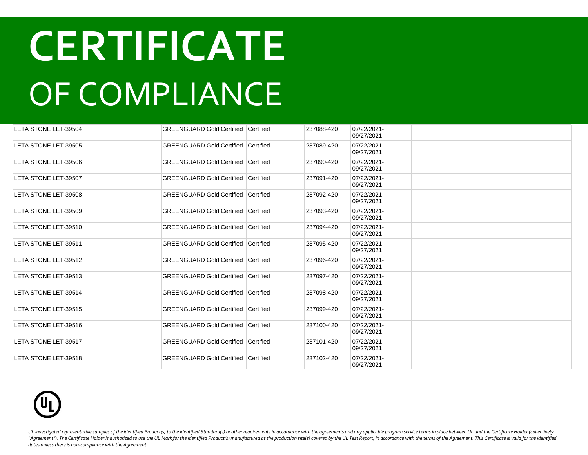| LETA STONE LET-39504 | <b>GREENGUARD Gold Certified Certified</b> |           | 237088-420 | 07/22/2021-<br>09/27/2021 |  |
|----------------------|--------------------------------------------|-----------|------------|---------------------------|--|
| LETA STONE LET-39505 | <b>GREENGUARD Gold Certified Certified</b> |           | 237089-420 | 07/22/2021-<br>09/27/2021 |  |
| LETA STONE LET-39506 | <b>GREENGUARD Gold Certified Certified</b> |           | 237090-420 | 07/22/2021-<br>09/27/2021 |  |
| LETA STONE LET-39507 | <b>GREENGUARD Gold Certified</b>           | Certified | 237091-420 | 07/22/2021-<br>09/27/2021 |  |
| LETA STONE LET-39508 | <b>GREENGUARD Gold Certified Certified</b> |           | 237092-420 | 07/22/2021-<br>09/27/2021 |  |
| LETA STONE LET-39509 | <b>GREENGUARD Gold Certified</b>           | Certified | 237093-420 | 07/22/2021-<br>09/27/2021 |  |
| LETA STONE LET-39510 | <b>GREENGUARD Gold Certified Certified</b> |           | 237094-420 | 07/22/2021-<br>09/27/2021 |  |
| LETA STONE LET-39511 | <b>GREENGUARD Gold Certified Certified</b> |           | 237095-420 | 07/22/2021-<br>09/27/2021 |  |
| LETA STONE LET-39512 | <b>GREENGUARD Gold Certified Certified</b> |           | 237096-420 | 07/22/2021-<br>09/27/2021 |  |
| LETA STONE LET-39513 | <b>GREENGUARD Gold Certified Certified</b> |           | 237097-420 | 07/22/2021-<br>09/27/2021 |  |
| LETA STONE LET-39514 | <b>GREENGUARD Gold Certified Certified</b> |           | 237098-420 | 07/22/2021-<br>09/27/2021 |  |
| LETA STONE LET-39515 | <b>GREENGUARD Gold Certified Certified</b> |           | 237099-420 | 07/22/2021-<br>09/27/2021 |  |
| LETA STONE LET-39516 | <b>GREENGUARD Gold Certified Certified</b> |           | 237100-420 | 07/22/2021-<br>09/27/2021 |  |
| LETA STONE LET-39517 | <b>GREENGUARD Gold Certified Certified</b> |           | 237101-420 | 07/22/2021-<br>09/27/2021 |  |
| LETA STONE LET-39518 | <b>GREENGUARD Gold Certified Certified</b> |           | 237102-420 | 07/22/2021-<br>09/27/2021 |  |

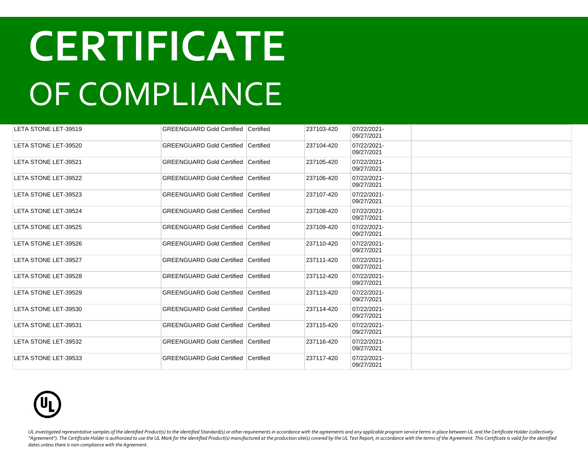| LETA STONE LET-39519 | <b>GREENGUARD Gold Certified Certified</b> |           | 237103-420 | 07/22/2021-<br>09/27/2021 |  |
|----------------------|--------------------------------------------|-----------|------------|---------------------------|--|
| LETA STONE LET-39520 | <b>GREENGUARD Gold Certified Certified</b> |           | 237104-420 | 07/22/2021-<br>09/27/2021 |  |
| LETA STONE LET-39521 | <b>GREENGUARD Gold Certified Certified</b> |           | 237105-420 | 07/22/2021-<br>09/27/2021 |  |
| LETA STONE LET-39522 | <b>GREENGUARD Gold Certified</b>           | Certified | 237106-420 | 07/22/2021-<br>09/27/2021 |  |
| LETA STONE LET-39523 | <b>GREENGUARD Gold Certified Certified</b> |           | 237107-420 | 07/22/2021-<br>09/27/2021 |  |
| LETA STONE LET-39524 | <b>GREENGUARD Gold Certified</b>           | Certified | 237108-420 | 07/22/2021-<br>09/27/2021 |  |
| LETA STONE LET-39525 | <b>GREENGUARD Gold Certified Certified</b> |           | 237109-420 | 07/22/2021-<br>09/27/2021 |  |
| LETA STONE LET-39526 | <b>GREENGUARD Gold Certified Certified</b> |           | 237110-420 | 07/22/2021-<br>09/27/2021 |  |
| LETA STONE LET-39527 | <b>GREENGUARD Gold Certified Certified</b> |           | 237111-420 | 07/22/2021-<br>09/27/2021 |  |
| LETA STONE LET-39528 | <b>GREENGUARD Gold Certified Certified</b> |           | 237112-420 | 07/22/2021-<br>09/27/2021 |  |
| LETA STONE LET-39529 | <b>GREENGUARD Gold Certified Certified</b> |           | 237113-420 | 07/22/2021-<br>09/27/2021 |  |
| LETA STONE LET-39530 | <b>GREENGUARD Gold Certified Certified</b> |           | 237114-420 | 07/22/2021-<br>09/27/2021 |  |
| LETA STONE LET-39531 | <b>GREENGUARD Gold Certified Certified</b> |           | 237115-420 | 07/22/2021-<br>09/27/2021 |  |
| LETA STONE LET-39532 | <b>GREENGUARD Gold Certified Certified</b> |           | 237116-420 | 07/22/2021-<br>09/27/2021 |  |
| LETA STONE LET-39533 | <b>GREENGUARD Gold Certified Certified</b> |           | 237117-420 | 07/22/2021-<br>09/27/2021 |  |

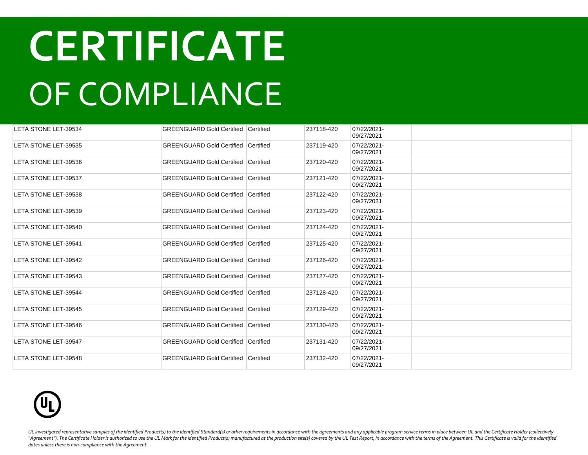| LETA STONE LET-39534 | <b>GREENGUARD Gold Certified Certified</b> |           | 237118-420 | 07/22/2021-<br>09/27/2021 |  |
|----------------------|--------------------------------------------|-----------|------------|---------------------------|--|
| LETA STONE LET-39535 | <b>GREENGUARD Gold Certified Certified</b> |           | 237119-420 | 07/22/2021-<br>09/27/2021 |  |
| LETA STONE LET-39536 | <b>GREENGUARD Gold Certified Certified</b> |           | 237120-420 | 07/22/2021-<br>09/27/2021 |  |
| LETA STONE LET-39537 | <b>GREENGUARD Gold Certified</b>           | Certified | 237121-420 | 07/22/2021-<br>09/27/2021 |  |
| LETA STONE LET-39538 | <b>GREENGUARD Gold Certified Certified</b> |           | 237122-420 | 07/22/2021-<br>09/27/2021 |  |
| LETA STONE LET-39539 | <b>GREENGUARD Gold Certified Certified</b> |           | 237123-420 | 07/22/2021-<br>09/27/2021 |  |
| LETA STONE LET-39540 | <b>GREENGUARD Gold Certified Certified</b> |           | 237124-420 | 07/22/2021-<br>09/27/2021 |  |
| LETA STONE LET-39541 | <b>GREENGUARD Gold Certified</b>           | Certified | 237125-420 | 07/22/2021-<br>09/27/2021 |  |
| LETA STONE LET-39542 | <b>GREENGUARD Gold Certified</b>           | Certified | 237126-420 | 07/22/2021-<br>09/27/2021 |  |
| LETA STONE LET-39543 | <b>GREENGUARD Gold Certified Certified</b> |           | 237127-420 | 07/22/2021-<br>09/27/2021 |  |
| LETA STONE LET-39544 | <b>GREENGUARD Gold Certified Certified</b> |           | 237128-420 | 07/22/2021-<br>09/27/2021 |  |
| LETA STONE LET-39545 | <b>GREENGUARD Gold Certified Certified</b> |           | 237129-420 | 07/22/2021-<br>09/27/2021 |  |
| LETA STONE LET-39546 | <b>GREENGUARD Gold Certified Certified</b> |           | 237130-420 | 07/22/2021-<br>09/27/2021 |  |
| LETA STONE LET-39547 | <b>GREENGUARD Gold Certified Certified</b> |           | 237131-420 | 07/22/2021-<br>09/27/2021 |  |
| LETA STONE LET-39548 | <b>GREENGUARD Gold Certified Certified</b> |           | 237132-420 | 07/22/2021-<br>09/27/2021 |  |

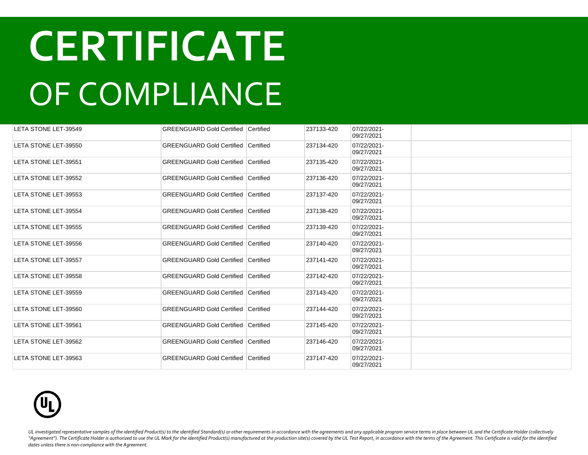| LETA STONE LET-39549 | <b>GREENGUARD Gold Certified Certified</b> |           | 237133-420 | 07/22/2021-<br>09/27/2021 |  |
|----------------------|--------------------------------------------|-----------|------------|---------------------------|--|
| LETA STONE LET-39550 | <b>GREENGUARD Gold Certified Certified</b> |           | 237134-420 | 07/22/2021-<br>09/27/2021 |  |
| LETA STONE LET-39551 | <b>GREENGUARD Gold Certified Certified</b> |           | 237135-420 | 07/22/2021-<br>09/27/2021 |  |
| LETA STONE LET-39552 | <b>GREENGUARD Gold Certified</b>           | Certified | 237136-420 | 07/22/2021-<br>09/27/2021 |  |
| LETA STONE LET-39553 | <b>GREENGUARD Gold Certified Certified</b> |           | 237137-420 | 07/22/2021-<br>09/27/2021 |  |
| LETA STONE LET-39554 | <b>GREENGUARD Gold Certified</b>           | Certified | 237138-420 | 07/22/2021-<br>09/27/2021 |  |
| LETA STONE LET-39555 | <b>GREENGUARD Gold Certified Certified</b> |           | 237139-420 | 07/22/2021-<br>09/27/2021 |  |
| LETA STONE LET-39556 | <b>GREENGUARD Gold Certified Certified</b> |           | 237140-420 | 07/22/2021-<br>09/27/2021 |  |
| LETA STONE LET-39557 | <b>GREENGUARD Gold Certified Certified</b> |           | 237141-420 | 07/22/2021-<br>09/27/2021 |  |
| LETA STONE LET-39558 | <b>GREENGUARD Gold Certified Certified</b> |           | 237142-420 | 07/22/2021-<br>09/27/2021 |  |
| LETA STONE LET-39559 | <b>GREENGUARD Gold Certified Certified</b> |           | 237143-420 | 07/22/2021-<br>09/27/2021 |  |
| LETA STONE LET-39560 | <b>GREENGUARD Gold Certified Certified</b> |           | 237144-420 | 07/22/2021-<br>09/27/2021 |  |
| LETA STONE LET-39561 | <b>GREENGUARD Gold Certified Certified</b> |           | 237145-420 | 07/22/2021-<br>09/27/2021 |  |
| LETA STONE LET-39562 | <b>GREENGUARD Gold Certified Certified</b> |           | 237146-420 | 07/22/2021-<br>09/27/2021 |  |
| LETA STONE LET-39563 | <b>GREENGUARD Gold Certified Certified</b> |           | 237147-420 | 07/22/2021-<br>09/27/2021 |  |

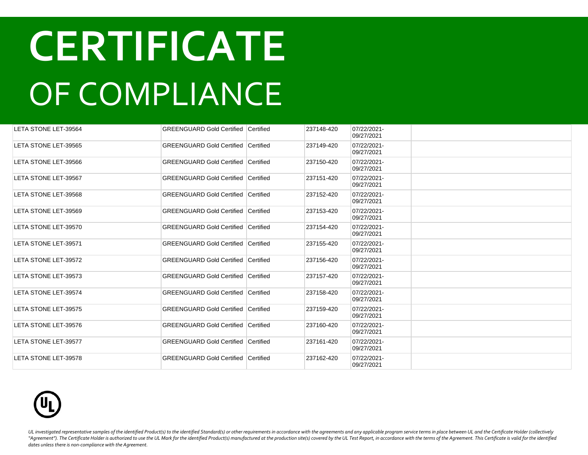| LETA STONE LET-39564 | <b>GREENGUARD Gold Certified Certified</b> |           | 237148-420 | 07/22/2021-<br>09/27/2021 |  |
|----------------------|--------------------------------------------|-----------|------------|---------------------------|--|
| LETA STONE LET-39565 | <b>GREENGUARD Gold Certified Certified</b> |           | 237149-420 | 07/22/2021-<br>09/27/2021 |  |
| LETA STONE LET-39566 | <b>GREENGUARD Gold Certified Certified</b> |           | 237150-420 | 07/22/2021-<br>09/27/2021 |  |
| LETA STONE LET-39567 | <b>GREENGUARD Gold Certified</b>           | Certified | 237151-420 | 07/22/2021-<br>09/27/2021 |  |
| LETA STONE LET-39568 | <b>GREENGUARD Gold Certified Certified</b> |           | 237152-420 | 07/22/2021-<br>09/27/2021 |  |
| LETA STONE LET-39569 | <b>GREENGUARD Gold Certified</b>           | Certified | 237153-420 | 07/22/2021-<br>09/27/2021 |  |
| LETA STONE LET-39570 | <b>GREENGUARD Gold Certified Certified</b> |           | 237154-420 | 07/22/2021-<br>09/27/2021 |  |
| LETA STONE LET-39571 | <b>GREENGUARD Gold Certified Certified</b> |           | 237155-420 | 07/22/2021-<br>09/27/2021 |  |
| LETA STONE LET-39572 | <b>GREENGUARD Gold Certified Certified</b> |           | 237156-420 | 07/22/2021-<br>09/27/2021 |  |
| LETA STONE LET-39573 | <b>GREENGUARD Gold Certified Certified</b> |           | 237157-420 | 07/22/2021-<br>09/27/2021 |  |
| LETA STONE LET-39574 | <b>GREENGUARD Gold Certified Certified</b> |           | 237158-420 | 07/22/2021-<br>09/27/2021 |  |
| LETA STONE LET-39575 | <b>GREENGUARD Gold Certified Certified</b> |           | 237159-420 | 07/22/2021-<br>09/27/2021 |  |
| LETA STONE LET-39576 | <b>GREENGUARD Gold Certified Certified</b> |           | 237160-420 | 07/22/2021-<br>09/27/2021 |  |
| LETA STONE LET-39577 | <b>GREENGUARD Gold Certified Certified</b> |           | 237161-420 | 07/22/2021-<br>09/27/2021 |  |
| LETA STONE LET-39578 | <b>GREENGUARD Gold Certified Certified</b> |           | 237162-420 | 07/22/2021-<br>09/27/2021 |  |

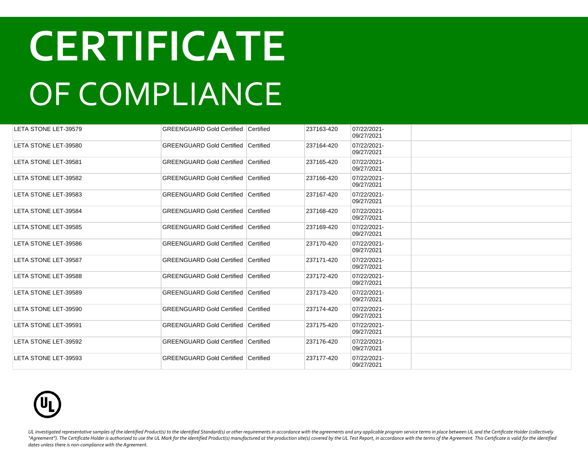| LETA STONE LET-39579 | <b>GREENGUARD Gold Certified Certified</b> |           | 237163-420 | 07/22/2021-<br>09/27/2021 |  |
|----------------------|--------------------------------------------|-----------|------------|---------------------------|--|
| LETA STONE LET-39580 | <b>GREENGUARD Gold Certified Certified</b> |           | 237164-420 | 07/22/2021-<br>09/27/2021 |  |
| LETA STONE LET-39581 | <b>GREENGUARD Gold Certified Certified</b> |           | 237165-420 | 07/22/2021-<br>09/27/2021 |  |
| LETA STONE LET-39582 | <b>GREENGUARD Gold Certified</b>           | Certified | 237166-420 | 07/22/2021-<br>09/27/2021 |  |
| LETA STONE LET-39583 | <b>GREENGUARD Gold Certified Certified</b> |           | 237167-420 | 07/22/2021-<br>09/27/2021 |  |
| LETA STONE LET-39584 | <b>GREENGUARD Gold Certified Certified</b> |           | 237168-420 | 07/22/2021-<br>09/27/2021 |  |
| LETA STONE LET-39585 | <b>GREENGUARD Gold Certified Certified</b> |           | 237169-420 | 07/22/2021-<br>09/27/2021 |  |
| LETA STONE LET-39586 | <b>GREENGUARD Gold Certified Certified</b> |           | 237170-420 | 07/22/2021-<br>09/27/2021 |  |
| LETA STONE LET-39587 | <b>GREENGUARD Gold Certified Certified</b> |           | 237171-420 | 07/22/2021-<br>09/27/2021 |  |
| LETA STONE LET-39588 | <b>GREENGUARD Gold Certified Certified</b> |           | 237172-420 | 07/22/2021-<br>09/27/2021 |  |
| LETA STONE LET-39589 | <b>GREENGUARD Gold Certified Certified</b> |           | 237173-420 | 07/22/2021-<br>09/27/2021 |  |
| LETA STONE LET-39590 | GREENGUARD Gold Certified Certified        |           | 237174-420 | 07/22/2021-<br>09/27/2021 |  |
| LETA STONE LET-39591 | <b>GREENGUARD Gold Certified Certified</b> |           | 237175-420 | 07/22/2021-<br>09/27/2021 |  |
| LETA STONE LET-39592 | <b>GREENGUARD Gold Certified Certified</b> |           | 237176-420 | 07/22/2021-<br>09/27/2021 |  |
| LETA STONE LET-39593 | <b>GREENGUARD Gold Certified Certified</b> |           | 237177-420 | 07/22/2021-<br>09/27/2021 |  |

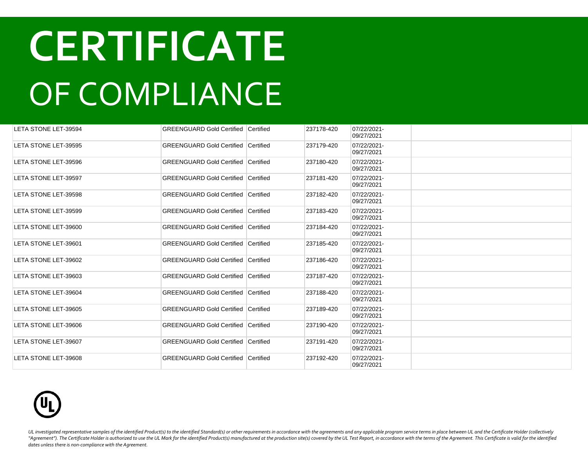| LETA STONE LET-39594 | <b>GREENGUARD Gold Certified Certified</b> |           | 237178-420 | 07/22/2021-<br>09/27/2021 |  |
|----------------------|--------------------------------------------|-----------|------------|---------------------------|--|
| LETA STONE LET-39595 | <b>GREENGUARD Gold Certified Certified</b> |           | 237179-420 | 07/22/2021-<br>09/27/2021 |  |
| LETA STONE LET-39596 | <b>GREENGUARD Gold Certified Certified</b> |           | 237180-420 | 07/22/2021-<br>09/27/2021 |  |
| LETA STONE LET-39597 | <b>GREENGUARD Gold Certified</b>           | Certified | 237181-420 | 07/22/2021-<br>09/27/2021 |  |
| LETA STONE LET-39598 | <b>GREENGUARD Gold Certified Certified</b> |           | 237182-420 | 07/22/2021-<br>09/27/2021 |  |
| LETA STONE LET-39599 | <b>GREENGUARD Gold Certified Certified</b> |           | 237183-420 | 07/22/2021-<br>09/27/2021 |  |
| LETA STONE LET-39600 | <b>GREENGUARD Gold Certified Certified</b> |           | 237184-420 | 07/22/2021-<br>09/27/2021 |  |
| LETA STONE LET-39601 | <b>GREENGUARD Gold Certified Certified</b> |           | 237185-420 | 07/22/2021-<br>09/27/2021 |  |
| LETA STONE LET-39602 | <b>GREENGUARD Gold Certified Certified</b> |           | 237186-420 | 07/22/2021-<br>09/27/2021 |  |
| LETA STONE LET-39603 | <b>GREENGUARD Gold Certified Certified</b> |           | 237187-420 | 07/22/2021-<br>09/27/2021 |  |
| LETA STONE LET-39604 | <b>GREENGUARD Gold Certified Certified</b> |           | 237188-420 | 07/22/2021-<br>09/27/2021 |  |
| LETA STONE LET-39605 | <b>GREENGUARD Gold Certified Certified</b> |           | 237189-420 | 07/22/2021-<br>09/27/2021 |  |
| LETA STONE LET-39606 | <b>GREENGUARD Gold Certified Certified</b> |           | 237190-420 | 07/22/2021-<br>09/27/2021 |  |
| LETA STONE LET-39607 | <b>GREENGUARD Gold Certified Certified</b> |           | 237191-420 | 07/22/2021-<br>09/27/2021 |  |
| LETA STONE LET-39608 | <b>GREENGUARD Gold Certified Certified</b> |           | 237192-420 | 07/22/2021-<br>09/27/2021 |  |

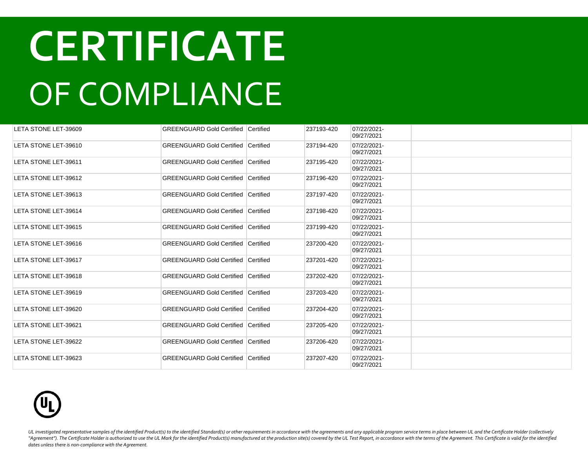| LETA STONE LET-39609 | <b>GREENGUARD Gold Certified Certified</b> |           | 237193-420 | 07/22/2021-<br>09/27/2021 |  |
|----------------------|--------------------------------------------|-----------|------------|---------------------------|--|
| LETA STONE LET-39610 | <b>GREENGUARD Gold Certified</b>           | Certified | 237194-420 | 07/22/2021-<br>09/27/2021 |  |
| LETA STONE LET-39611 | <b>GREENGUARD Gold Certified Certified</b> |           | 237195-420 | 07/22/2021-<br>09/27/2021 |  |
| LETA STONE LET-39612 | GREENGUARD Gold Certified Certified        |           | 237196-420 | 07/22/2021-<br>09/27/2021 |  |
| LETA STONE LET-39613 | GREENGUARD Gold Certified Certified        |           | 237197-420 | 07/22/2021-<br>09/27/2021 |  |
| LETA STONE LET-39614 | GREENGUARD Gold Certified Certified        |           | 237198-420 | 07/22/2021-<br>09/27/2021 |  |
| LETA STONE LET-39615 | <b>GREENGUARD Gold Certified Certified</b> |           | 237199-420 | 07/22/2021-<br>09/27/2021 |  |
| LETA STONE LET-39616 | <b>GREENGUARD Gold Certified Certified</b> |           | 237200-420 | 07/22/2021-<br>09/27/2021 |  |
| LETA STONE LET-39617 | <b>GREENGUARD Gold Certified Certified</b> |           | 237201-420 | 07/22/2021-<br>09/27/2021 |  |
| LETA STONE LET-39618 | <b>GREENGUARD Gold Certified Certified</b> |           | 237202-420 | 07/22/2021-<br>09/27/2021 |  |
| LETA STONE LET-39619 | <b>GREENGUARD Gold Certified Certified</b> |           | 237203-420 | 07/22/2021-<br>09/27/2021 |  |
| LETA STONE LET-39620 | <b>GREENGUARD Gold Certified Certified</b> |           | 237204-420 | 07/22/2021-<br>09/27/2021 |  |
| LETA STONE LET-39621 | <b>GREENGUARD Gold Certified Certified</b> |           | 237205-420 | 07/22/2021-<br>09/27/2021 |  |
| LETA STONE LET-39622 | <b>GREENGUARD Gold Certified Certified</b> |           | 237206-420 | 07/22/2021-<br>09/27/2021 |  |
| LETA STONE LET-39623 | GREENGUARD Gold Certified Certified        |           | 237207-420 | 07/22/2021-<br>09/27/2021 |  |

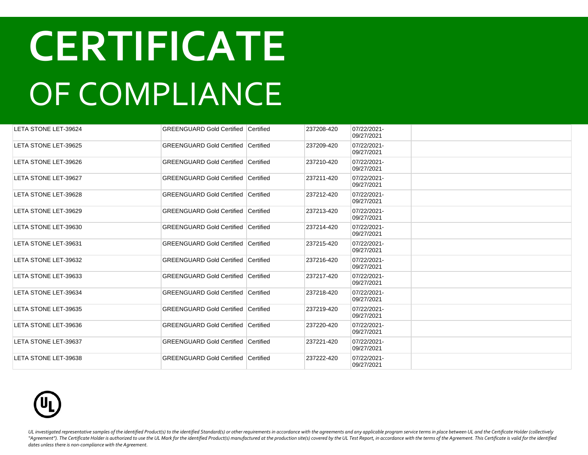| LETA STONE LET-39624 | <b>GREENGUARD Gold Certified Certified</b> |           | 237208-420 | 07/22/2021-<br>09/27/2021 |  |
|----------------------|--------------------------------------------|-----------|------------|---------------------------|--|
| LETA STONE LET-39625 | <b>GREENGUARD Gold Certified Certified</b> |           | 237209-420 | 07/22/2021-<br>09/27/2021 |  |
| LETA STONE LET-39626 | <b>GREENGUARD Gold Certified Certified</b> |           | 237210-420 | 07/22/2021-<br>09/27/2021 |  |
| LETA STONE LET-39627 | <b>GREENGUARD Gold Certified</b>           | Certified | 237211-420 | 07/22/2021-<br>09/27/2021 |  |
| LETA STONE LET-39628 | <b>GREENGUARD Gold Certified Certified</b> |           | 237212-420 | 07/22/2021-<br>09/27/2021 |  |
| LETA STONE LET-39629 | <b>GREENGUARD Gold Certified</b>           | Certified | 237213-420 | 07/22/2021-<br>09/27/2021 |  |
| LETA STONE LET-39630 | <b>GREENGUARD Gold Certified Certified</b> |           | 237214-420 | 07/22/2021-<br>09/27/2021 |  |
| LETA STONE LET-39631 | <b>GREENGUARD Gold Certified Certified</b> |           | 237215-420 | 07/22/2021-<br>09/27/2021 |  |
| LETA STONE LET-39632 | <b>GREENGUARD Gold Certified Certified</b> |           | 237216-420 | 07/22/2021-<br>09/27/2021 |  |
| LETA STONE LET-39633 | <b>GREENGUARD Gold Certified Certified</b> |           | 237217-420 | 07/22/2021-<br>09/27/2021 |  |
| LETA STONE LET-39634 | <b>GREENGUARD Gold Certified Certified</b> |           | 237218-420 | 07/22/2021-<br>09/27/2021 |  |
| LETA STONE LET-39635 | <b>GREENGUARD Gold Certified Certified</b> |           | 237219-420 | 07/22/2021-<br>09/27/2021 |  |
| LETA STONE LET-39636 | <b>GREENGUARD Gold Certified Certified</b> |           | 237220-420 | 07/22/2021-<br>09/27/2021 |  |
| LETA STONE LET-39637 | <b>GREENGUARD Gold Certified Certified</b> |           | 237221-420 | 07/22/2021-<br>09/27/2021 |  |
| LETA STONE LET-39638 | <b>GREENGUARD Gold Certified Certified</b> |           | 237222-420 | 07/22/2021-<br>09/27/2021 |  |

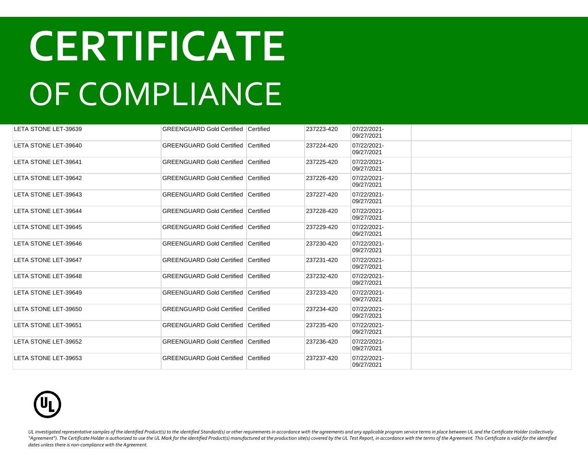| LETA STONE LET-39639 | <b>GREENGUARD Gold Certified Certified</b> |                  | 237223-420 | 07/22/2021-<br>09/27/2021 |  |
|----------------------|--------------------------------------------|------------------|------------|---------------------------|--|
| LETA STONE LET-39640 | <b>GREENGUARD Gold Certified Certified</b> |                  | 237224-420 | 07/22/2021-<br>09/27/2021 |  |
| LETA STONE LET-39641 | <b>GREENGUARD Gold Certified Certified</b> |                  | 237225-420 | 07/22/2021-<br>09/27/2021 |  |
| LETA STONE LET-39642 | <b>GREENGUARD Gold Certified</b>           | <b>Certified</b> | 237226-420 | 07/22/2021-<br>09/27/2021 |  |
| LETA STONE LET-39643 | <b>GREENGUARD Gold Certified Certified</b> |                  | 237227-420 | 07/22/2021-<br>09/27/2021 |  |
| LETA STONE LET-39644 | <b>GREENGUARD Gold Certified</b>           | <b>Certified</b> | 237228-420 | 07/22/2021-<br>09/27/2021 |  |
| LETA STONE LET-39645 | <b>GREENGUARD Gold Certified Certified</b> |                  | 237229-420 | 07/22/2021-<br>09/27/2021 |  |
| LETA STONE LET-39646 | <b>GREENGUARD Gold Certified Certified</b> |                  | 237230-420 | 07/22/2021-<br>09/27/2021 |  |
| LETA STONE LET-39647 | <b>GREENGUARD Gold Certified Certified</b> |                  | 237231-420 | 07/22/2021-<br>09/27/2021 |  |
| LETA STONE LET-39648 | GREENGUARD Gold Certified Certified        |                  | 237232-420 | 07/22/2021-<br>09/27/2021 |  |
| LETA STONE LET-39649 | GREENGUARD Gold Certified Certified        |                  | 237233-420 | 07/22/2021-<br>09/27/2021 |  |
| LETA STONE LET-39650 | GREENGUARD Gold Certified Certified        |                  | 237234-420 | 07/22/2021-<br>09/27/2021 |  |
| LETA STONE LET-39651 | <b>GREENGUARD Gold Certified Certified</b> |                  | 237235-420 | 07/22/2021-<br>09/27/2021 |  |
| LETA STONE LET-39652 | <b>GREENGUARD Gold Certified Certified</b> |                  | 237236-420 | 07/22/2021-<br>09/27/2021 |  |
| LETA STONE LET-39653 | <b>GREENGUARD Gold Certified Certified</b> |                  | 237237-420 | 07/22/2021-<br>09/27/2021 |  |

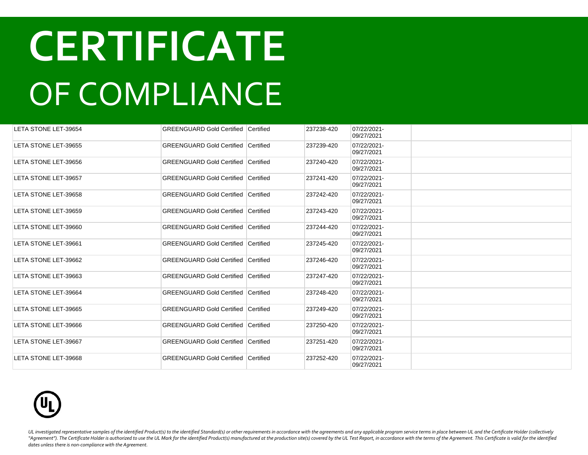| LETA STONE LET-39654 | <b>GREENGUARD Gold Certified Certified</b> |                  | 237238-420 | 07/22/2021-<br>09/27/2021 |  |
|----------------------|--------------------------------------------|------------------|------------|---------------------------|--|
| LETA STONE LET-39655 | <b>GREENGUARD Gold Certified Certified</b> |                  | 237239-420 | 07/22/2021-<br>09/27/2021 |  |
| LETA STONE LET-39656 | <b>GREENGUARD Gold Certified Certified</b> |                  | 237240-420 | 07/22/2021-<br>09/27/2021 |  |
| LETA STONE LET-39657 | <b>GREENGUARD Gold Certified</b>           | <b>Certified</b> | 237241-420 | 07/22/2021-<br>09/27/2021 |  |
| LETA STONE LET-39658 | <b>GREENGUARD Gold Certified Certified</b> |                  | 237242-420 | 07/22/2021-<br>09/27/2021 |  |
| LETA STONE LET-39659 | <b>GREENGUARD Gold Certified</b>           | <b>Certified</b> | 237243-420 | 07/22/2021-<br>09/27/2021 |  |
| LETA STONE LET-39660 | <b>GREENGUARD Gold Certified Certified</b> |                  | 237244-420 | 07/22/2021-<br>09/27/2021 |  |
| LETA STONE LET-39661 | <b>GREENGUARD Gold Certified Certified</b> |                  | 237245-420 | 07/22/2021-<br>09/27/2021 |  |
| LETA STONE LET-39662 | <b>GREENGUARD Gold Certified Certified</b> |                  | 237246-420 | 07/22/2021-<br>09/27/2021 |  |
| LETA STONE LET-39663 | GREENGUARD Gold Certified Certified        |                  | 237247-420 | 07/22/2021-<br>09/27/2021 |  |
| LETA STONE LET-39664 | GREENGUARD Gold Certified Certified        |                  | 237248-420 | 07/22/2021-<br>09/27/2021 |  |
| LETA STONE LET-39665 | GREENGUARD Gold Certified Certified        |                  | 237249-420 | 07/22/2021-<br>09/27/2021 |  |
| LETA STONE LET-39666 | <b>GREENGUARD Gold Certified Certified</b> |                  | 237250-420 | 07/22/2021-<br>09/27/2021 |  |
| LETA STONE LET-39667 | <b>GREENGUARD Gold Certified Certified</b> |                  | 237251-420 | 07/22/2021-<br>09/27/2021 |  |
| LETA STONE LET-39668 | <b>GREENGUARD Gold Certified Certified</b> |                  | 237252-420 | 07/22/2021-<br>09/27/2021 |  |

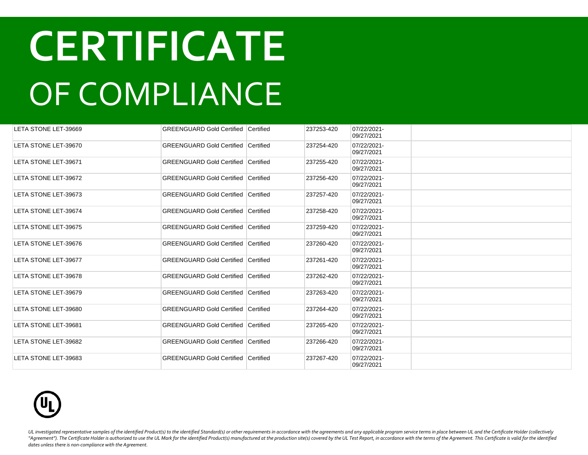| LETA STONE LET-39669        | <b>GREENGUARD Gold Certified Certified</b> |           | 237253-420 | 07/22/2021-<br>09/27/2021 |  |
|-----------------------------|--------------------------------------------|-----------|------------|---------------------------|--|
| LETA STONE LET-39670        | <b>GREENGUARD Gold Certified Certified</b> |           | 237254-420 | 07/22/2021-<br>09/27/2021 |  |
| LETA STONE LET-39671        | <b>GREENGUARD Gold Certified Certified</b> |           | 237255-420 | 07/22/2021-<br>09/27/2021 |  |
| <b>LETA STONE LET-39672</b> | <b>GREENGUARD Gold Certified</b>           | Certified | 237256-420 | 07/22/2021-<br>09/27/2021 |  |
| LETA STONE LET-39673        | <b>GREENGUARD Gold Certified Certified</b> |           | 237257-420 | 07/22/2021-<br>09/27/2021 |  |
| LETA STONE LET-39674        | <b>GREENGUARD Gold Certified Certified</b> |           | 237258-420 | 07/22/2021-<br>09/27/2021 |  |
| LETA STONE LET-39675        | GREENGUARD Gold Certified Certified        |           | 237259-420 | 07/22/2021-<br>09/27/2021 |  |
| LETA STONE LET-39676        | GREENGUARD Gold Certified Certified        |           | 237260-420 | 07/22/2021-<br>09/27/2021 |  |
| LETA STONE LET-39677        | GREENGUARD Gold Certified Certified        |           | 237261-420 | 07/22/2021-<br>09/27/2021 |  |
| LETA STONE LET-39678        | <b>GREENGUARD Gold Certified Certified</b> |           | 237262-420 | 07/22/2021-<br>09/27/2021 |  |
| LETA STONE LET-39679        | <b>GREENGUARD Gold Certified Certified</b> |           | 237263-420 | 07/22/2021-<br>09/27/2021 |  |
| LETA STONE LET-39680        | <b>GREENGUARD Gold Certified Certified</b> |           | 237264-420 | 07/22/2021-<br>09/27/2021 |  |
| LETA STONE LET-39681        | <b>GREENGUARD Gold Certified Certified</b> |           | 237265-420 | 07/22/2021-<br>09/27/2021 |  |
| LETA STONE LET-39682        | <b>GREENGUARD Gold Certified Certified</b> |           | 237266-420 | 07/22/2021-<br>09/27/2021 |  |
| LETA STONE LET-39683        | <b>GREENGUARD Gold Certified Certified</b> |           | 237267-420 | 07/22/2021-<br>09/27/2021 |  |

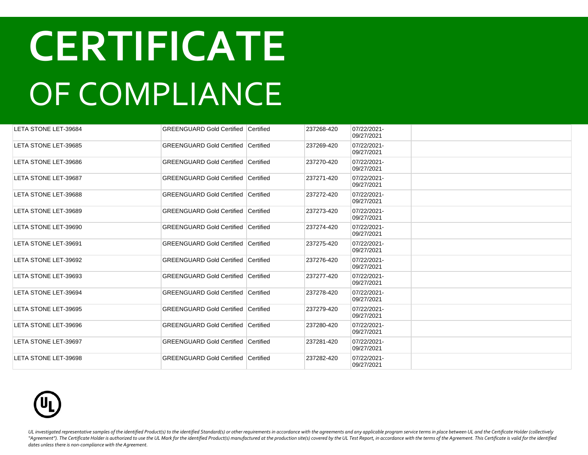| LETA STONE LET-39684 | <b>GREENGUARD Gold Certified Certified</b> |                  | 237268-420 | 07/22/2021-<br>09/27/2021 |  |
|----------------------|--------------------------------------------|------------------|------------|---------------------------|--|
| LETA STONE LET-39685 | <b>GREENGUARD Gold Certified Certified</b> |                  | 237269-420 | 07/22/2021-<br>09/27/2021 |  |
| LETA STONE LET-39686 | <b>GREENGUARD Gold Certified Certified</b> |                  | 237270-420 | 07/22/2021-<br>09/27/2021 |  |
| LETA STONE LET-39687 | <b>GREENGUARD Gold Certified</b>           | <b>Certified</b> | 237271-420 | 07/22/2021-<br>09/27/2021 |  |
| LETA STONE LET-39688 | <b>GREENGUARD Gold Certified Certified</b> |                  | 237272-420 | 07/22/2021-<br>09/27/2021 |  |
| LETA STONE LET-39689 | <b>GREENGUARD Gold Certified</b>           | <b>Certified</b> | 237273-420 | 07/22/2021-<br>09/27/2021 |  |
| LETA STONE LET-39690 | <b>GREENGUARD Gold Certified Certified</b> |                  | 237274-420 | 07/22/2021-<br>09/27/2021 |  |
| LETA STONE LET-39691 | <b>GREENGUARD Gold Certified Certified</b> |                  | 237275-420 | 07/22/2021-<br>09/27/2021 |  |
| LETA STONE LET-39692 | <b>GREENGUARD Gold Certified Certified</b> |                  | 237276-420 | 07/22/2021-<br>09/27/2021 |  |
| LETA STONE LET-39693 | GREENGUARD Gold Certified Certified        |                  | 237277-420 | 07/22/2021-<br>09/27/2021 |  |
| LETA STONE LET-39694 | GREENGUARD Gold Certified Certified        |                  | 237278-420 | 07/22/2021-<br>09/27/2021 |  |
| LETA STONE LET-39695 | GREENGUARD Gold Certified Certified        |                  | 237279-420 | 07/22/2021-<br>09/27/2021 |  |
| LETA STONE LET-39696 | <b>GREENGUARD Gold Certified Certified</b> |                  | 237280-420 | 07/22/2021-<br>09/27/2021 |  |
| LETA STONE LET-39697 | <b>GREENGUARD Gold Certified Certified</b> |                  | 237281-420 | 07/22/2021-<br>09/27/2021 |  |
| LETA STONE LET-39698 | <b>GREENGUARD Gold Certified Certified</b> |                  | 237282-420 | 07/22/2021-<br>09/27/2021 |  |

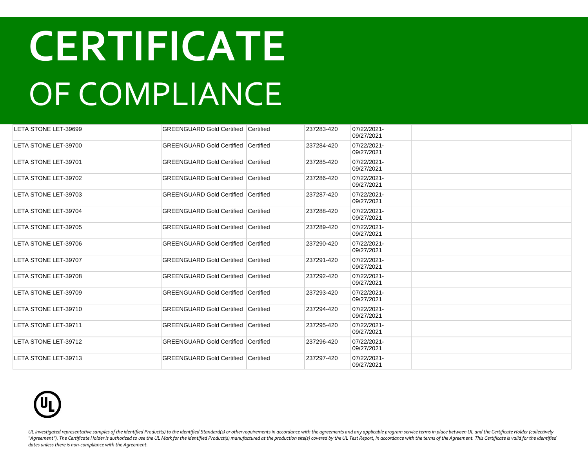| LETA STONE LET-39699 | <b>GREENGUARD Gold Certified Certified</b> |           | 237283-420 | 07/22/2021-<br>09/27/2021 |  |
|----------------------|--------------------------------------------|-----------|------------|---------------------------|--|
| LETA STONE LET-39700 | <b>GREENGUARD Gold Certified Certified</b> |           | 237284-420 | 07/22/2021-<br>09/27/2021 |  |
| LETA STONE LET-39701 | <b>GREENGUARD Gold Certified Certified</b> |           | 237285-420 | 07/22/2021-<br>09/27/2021 |  |
| LETA STONE LET-39702 | <b>GREENGUARD Gold Certified</b>           | Certified | 237286-420 | 07/22/2021-<br>09/27/2021 |  |
| LETA STONE LET-39703 | <b>GREENGUARD Gold Certified Certified</b> |           | 237287-420 | 07/22/2021-<br>09/27/2021 |  |
| LETA STONE LET-39704 | <b>GREENGUARD Gold Certified</b>           | Certified | 237288-420 | 07/22/2021-<br>09/27/2021 |  |
| LETA STONE LET-39705 | <b>GREENGUARD Gold Certified Certified</b> |           | 237289-420 | 07/22/2021-<br>09/27/2021 |  |
| LETA STONE LET-39706 | <b>GREENGUARD Gold Certified Certified</b> |           | 237290-420 | 07/22/2021-<br>09/27/2021 |  |
| LETA STONE LET-39707 | <b>GREENGUARD Gold Certified Certified</b> |           | 237291-420 | 07/22/2021-<br>09/27/2021 |  |
| LETA STONE LET-39708 | <b>GREENGUARD Gold Certified Certified</b> |           | 237292-420 | 07/22/2021-<br>09/27/2021 |  |
| LETA STONE LET-39709 | <b>GREENGUARD Gold Certified Certified</b> |           | 237293-420 | 07/22/2021-<br>09/27/2021 |  |
| LETA STONE LET-39710 | <b>GREENGUARD Gold Certified Certified</b> |           | 237294-420 | 07/22/2021-<br>09/27/2021 |  |
| LETA STONE LET-39711 | <b>GREENGUARD Gold Certified Certified</b> |           | 237295-420 | 07/22/2021-<br>09/27/2021 |  |
| LETA STONE LET-39712 | <b>GREENGUARD Gold Certified Certified</b> |           | 237296-420 | 07/22/2021-<br>09/27/2021 |  |
| LETA STONE LET-39713 | <b>GREENGUARD Gold Certified Certified</b> |           | 237297-420 | 07/22/2021-<br>09/27/2021 |  |

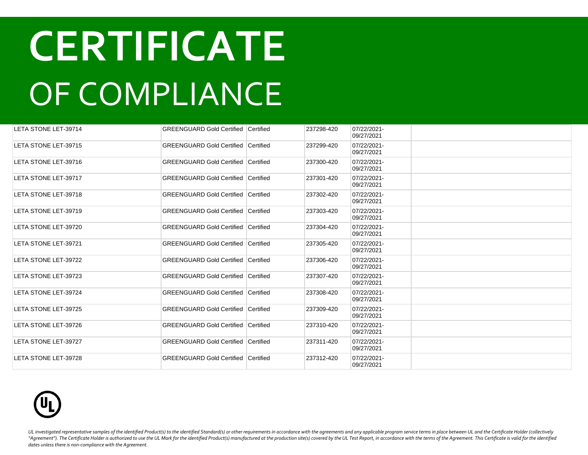| LETA STONE LET-39714        | <b>GREENGUARD Gold Certified Certified</b> |                  | 237298-420 | 07/22/2021-<br>09/27/2021 |  |
|-----------------------------|--------------------------------------------|------------------|------------|---------------------------|--|
| LETA STONE LET-39715        | <b>GREENGUARD Gold Certified</b>           | <b>Certified</b> | 237299-420 | 07/22/2021-<br>09/27/2021 |  |
| LETA STONE LET-39716        | <b>GREENGUARD Gold Certified Certified</b> |                  | 237300-420 | 07/22/2021-<br>09/27/2021 |  |
| LETA STONE LET-39717        | <b>GREENGUARD Gold Certified</b>           | Certified        | 237301-420 | 07/22/2021-<br>09/27/2021 |  |
| LETA STONE LET-39718        | <b>GREENGUARD Gold Certified Certified</b> |                  | 237302-420 | 07/22/2021-<br>09/27/2021 |  |
| LETA STONE LET-39719        | <b>GREENGUARD Gold Certified Certified</b> |                  | 237303-420 | 07/22/2021-<br>09/27/2021 |  |
| LETA STONE LET-39720        | <b>GREENGUARD Gold Certified Certified</b> |                  | 237304-420 | 07/22/2021-<br>09/27/2021 |  |
| LETA STONE LET-39721        | <b>GREENGUARD Gold Certified</b>           | Certified        | 237305-420 | 07/22/2021-<br>09/27/2021 |  |
| LETA STONE LET-39722        | <b>GREENGUARD Gold Certified Certified</b> |                  | 237306-420 | 07/22/2021-<br>09/27/2021 |  |
| LETA STONE LET-39723        | <b>GREENGUARD Gold Certified Certified</b> |                  | 237307-420 | 07/22/2021-<br>09/27/2021 |  |
| LETA STONE LET-39724        | <b>GREENGUARD Gold Certified Certified</b> |                  | 237308-420 | 07/22/2021-<br>09/27/2021 |  |
| <b>LETA STONE LET-39725</b> | <b>GREENGUARD Gold Certified</b>           | Certified        | 237309-420 | 07/22/2021-<br>09/27/2021 |  |
| LETA STONE LET-39726        | <b>GREENGUARD Gold Certified Certified</b> |                  | 237310-420 | 07/22/2021-<br>09/27/2021 |  |
| LETA STONE LET-39727        | <b>GREENGUARD Gold Certified Certified</b> |                  | 237311-420 | 07/22/2021-<br>09/27/2021 |  |
| LETA STONE LET-39728        | <b>GREENGUARD Gold Certified</b>           | Certified        | 237312-420 | 07/22/2021-<br>09/27/2021 |  |

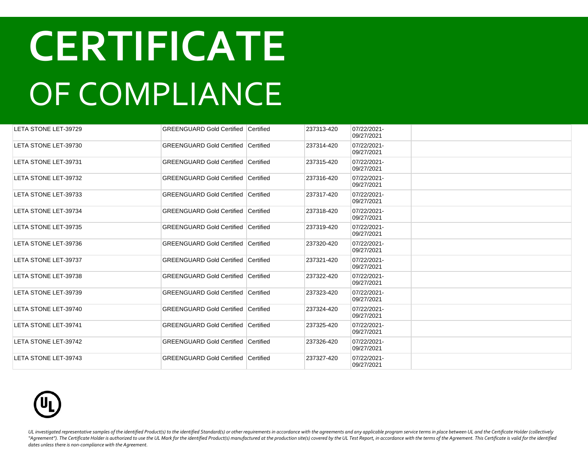| LETA STONE LET-39729 | <b>GREENGUARD Gold Certified Certified</b> |                  | 237313-420 | 07/22/2021-<br>09/27/2021 |  |
|----------------------|--------------------------------------------|------------------|------------|---------------------------|--|
| LETA STONE LET-39730 | <b>GREENGUARD Gold Certified</b>           | <b>Certified</b> | 237314-420 | 07/22/2021-<br>09/27/2021 |  |
| LETA STONE LET-39731 | <b>GREENGUARD Gold Certified Certified</b> |                  | 237315-420 | 07/22/2021-<br>09/27/2021 |  |
| LETA STONE LET-39732 | <b>GREENGUARD Gold Certified Certified</b> |                  | 237316-420 | 07/22/2021-<br>09/27/2021 |  |
| LETA STONE LET-39733 | <b>GREENGUARD Gold Certified Certified</b> |                  | 237317-420 | 07/22/2021-<br>09/27/2021 |  |
| LETA STONE LET-39734 | <b>GREENGUARD Gold Certified Certified</b> |                  | 237318-420 | 07/22/2021-<br>09/27/2021 |  |
| LETA STONE LET-39735 | <b>GREENGUARD Gold Certified Certified</b> |                  | 237319-420 | 07/22/2021-<br>09/27/2021 |  |
| LETA STONE LET-39736 | <b>GREENGUARD Gold Certified Certified</b> |                  | 237320-420 | 07/22/2021-<br>09/27/2021 |  |
| LETA STONE LET-39737 | <b>GREENGUARD Gold Certified Certified</b> |                  | 237321-420 | 07/22/2021-<br>09/27/2021 |  |
| LETA STONE LET-39738 | <b>GREENGUARD Gold Certified Certified</b> |                  | 237322-420 | 07/22/2021-<br>09/27/2021 |  |
| LETA STONE LET-39739 | <b>GREENGUARD Gold Certified Certified</b> |                  | 237323-420 | 07/22/2021-<br>09/27/2021 |  |
| LETA STONE LET-39740 | <b>GREENGUARD Gold Certified Certified</b> |                  | 237324-420 | 07/22/2021-<br>09/27/2021 |  |
| LETA STONE LET-39741 | <b>GREENGUARD Gold Certified Certified</b> |                  | 237325-420 | 07/22/2021-<br>09/27/2021 |  |
| LETA STONE LET-39742 | <b>GREENGUARD Gold Certified Certified</b> |                  | 237326-420 | 07/22/2021-<br>09/27/2021 |  |
| LETA STONE LET-39743 | <b>GREENGUARD Gold Certified Certified</b> |                  | 237327-420 | 07/22/2021-<br>09/27/2021 |  |

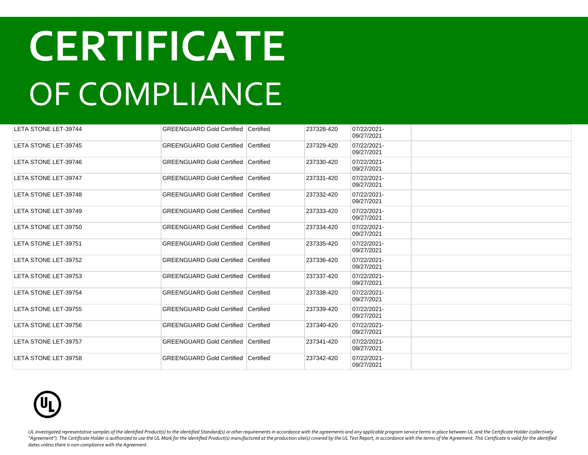| LETA STONE LET-39744 | <b>GREENGUARD Gold Certified Certified</b> |           | 237328-420 | 07/22/2021-<br>09/27/2021 |  |
|----------------------|--------------------------------------------|-----------|------------|---------------------------|--|
| LETA STONE LET-39745 | <b>GREENGUARD Gold Certified Certified</b> |           | 237329-420 | 07/22/2021-<br>09/27/2021 |  |
| LETA STONE LET-39746 | <b>GREENGUARD Gold Certified Certified</b> |           | 237330-420 | 07/22/2021-<br>09/27/2021 |  |
| LETA STONE LET-39747 | <b>GREENGUARD Gold Certified</b>           | Certified | 237331-420 | 07/22/2021-<br>09/27/2021 |  |
| LETA STONE LET-39748 | <b>GREENGUARD Gold Certified Certified</b> |           | 237332-420 | 07/22/2021-<br>09/27/2021 |  |
| LETA STONE LET-39749 | <b>GREENGUARD Gold Certified Certified</b> |           | 237333-420 | 07/22/2021-<br>09/27/2021 |  |
| LETA STONE LET-39750 | <b>GREENGUARD Gold Certified</b>           | Certified | 237334-420 | 07/22/2021-<br>09/27/2021 |  |
| LETA STONE LET-39751 | <b>GREENGUARD Gold Certified</b>           | Certified | 237335-420 | 07/22/2021-<br>09/27/2021 |  |
| LETA STONE LET-39752 | <b>GREENGUARD Gold Certified</b>           | Certified | 237336-420 | 07/22/2021-<br>09/27/2021 |  |
| LETA STONE LET-39753 | <b>GREENGUARD Gold Certified Certified</b> |           | 237337-420 | 07/22/2021-<br>09/27/2021 |  |
| LETA STONE LET-39754 | <b>GREENGUARD Gold Certified Certified</b> |           | 237338-420 | 07/22/2021-<br>09/27/2021 |  |
| LETA STONE LET-39755 | <b>GREENGUARD Gold Certified Certified</b> |           | 237339-420 | 07/22/2021-<br>09/27/2021 |  |
| LETA STONE LET-39756 | <b>GREENGUARD Gold Certified Certified</b> |           | 237340-420 | 07/22/2021-<br>09/27/2021 |  |
| LETA STONE LET-39757 | <b>GREENGUARD Gold Certified Certified</b> |           | 237341-420 | 07/22/2021-<br>09/27/2021 |  |
| LETA STONE LET-39758 | <b>GREENGUARD Gold Certified Certified</b> |           | 237342-420 | 07/22/2021-<br>09/27/2021 |  |

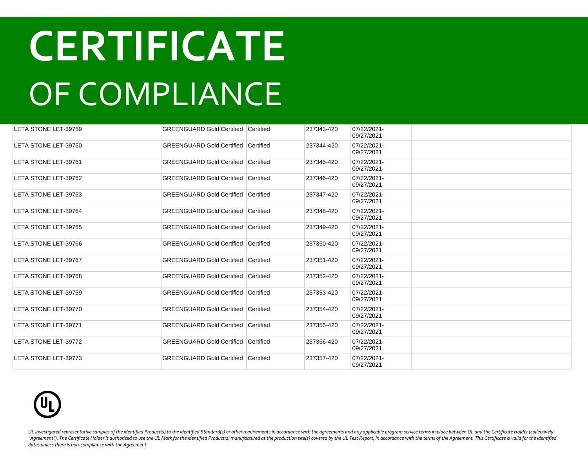| LETA STONE LET-39759 | <b>GREENGUARD Gold Certified Certified</b> |           | 237343-420 | 07/22/2021-<br>09/27/2021 |  |
|----------------------|--------------------------------------------|-----------|------------|---------------------------|--|
| LETA STONE LET-39760 | <b>GREENGUARD Gold Certified Certified</b> |           | 237344-420 | 07/22/2021-<br>09/27/2021 |  |
| LETA STONE LET-39761 | <b>GREENGUARD Gold Certified Certified</b> |           | 237345-420 | 07/22/2021-<br>09/27/2021 |  |
| LETA STONE LET-39762 | <b>GREENGUARD Gold Certified</b>           | Certified | 237346-420 | 07/22/2021-<br>09/27/2021 |  |
| LETA STONE LET-39763 | <b>GREENGUARD Gold Certified Certified</b> |           | 237347-420 | 07/22/2021-<br>09/27/2021 |  |
| LETA STONE LET-39764 | <b>GREENGUARD Gold Certified</b>           | Certified | 237348-420 | 07/22/2021-<br>09/27/2021 |  |
| LETA STONE LET-39765 | <b>GREENGUARD Gold Certified Certified</b> |           | 237349-420 | 07/22/2021-<br>09/27/2021 |  |
| LETA STONE LET-39766 | <b>GREENGUARD Gold Certified Certified</b> |           | 237350-420 | 07/22/2021-<br>09/27/2021 |  |
| LETA STONE LET-39767 | <b>GREENGUARD Gold Certified Certified</b> |           | 237351-420 | 07/22/2021-<br>09/27/2021 |  |
| LETA STONE LET-39768 | <b>GREENGUARD Gold Certified Certified</b> |           | 237352-420 | 07/22/2021-<br>09/27/2021 |  |
| LETA STONE LET-39769 | <b>GREENGUARD Gold Certified Certified</b> |           | 237353-420 | 07/22/2021-<br>09/27/2021 |  |
| LETA STONE LET-39770 | <b>GREENGUARD Gold Certified Certified</b> |           | 237354-420 | 07/22/2021-<br>09/27/2021 |  |
| LETA STONE LET-39771 | <b>GREENGUARD Gold Certified Certified</b> |           | 237355-420 | 07/22/2021-<br>09/27/2021 |  |
| LETA STONE LET-39772 | <b>GREENGUARD Gold Certified Certified</b> |           | 237356-420 | 07/22/2021-<br>09/27/2021 |  |
| LETA STONE LET-39773 | <b>GREENGUARD Gold Certified Certified</b> |           | 237357-420 | 07/22/2021-<br>09/27/2021 |  |

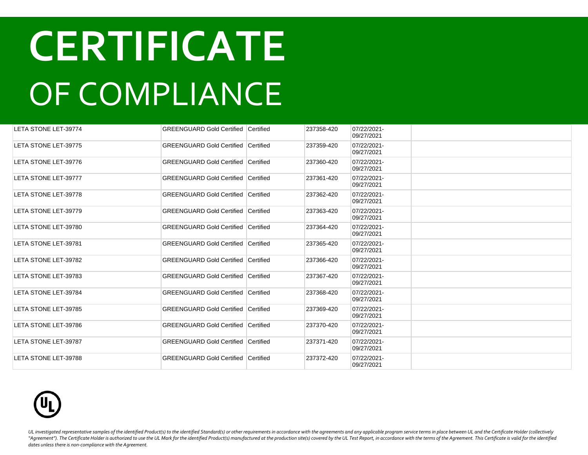| LETA STONE LET-39774        | <b>GREENGUARD Gold Certified Certified</b> |           | 237358-420 | 07/22/2021-<br>09/27/2021 |  |
|-----------------------------|--------------------------------------------|-----------|------------|---------------------------|--|
| LETA STONE LET-39775        | <b>GREENGUARD Gold Certified Certified</b> |           | 237359-420 | 07/22/2021-<br>09/27/2021 |  |
| LETA STONE LET-39776        | <b>GREENGUARD Gold Certified Certified</b> |           | 237360-420 | 07/22/2021-<br>09/27/2021 |  |
| LETA STONE LET-39777        | <b>GREENGUARD Gold Certified</b>           | Certified | 237361-420 | 07/22/2021-<br>09/27/2021 |  |
| <b>LETA STONE LET-39778</b> | <b>GREENGUARD Gold Certified Certified</b> |           | 237362-420 | 07/22/2021-<br>09/27/2021 |  |
| LETA STONE LET-39779        | <b>GREENGUARD Gold Certified Certified</b> |           | 237363-420 | 07/22/2021-<br>09/27/2021 |  |
| LETA STONE LET-39780        | <b>GREENGUARD Gold Certified Certified</b> |           | 237364-420 | 07/22/2021-<br>09/27/2021 |  |
| LETA STONE LET-39781        | <b>GREENGUARD Gold Certified</b>           | Certified | 237365-420 | 07/22/2021-<br>09/27/2021 |  |
| LETA STONE LET-39782        | <b>GREENGUARD Gold Certified</b>           | Certified | 237366-420 | 07/22/2021-<br>09/27/2021 |  |
| LETA STONE LET-39783        | <b>GREENGUARD Gold Certified Certified</b> |           | 237367-420 | 07/22/2021-<br>09/27/2021 |  |
| LETA STONE LET-39784        | <b>GREENGUARD Gold Certified Certified</b> |           | 237368-420 | 07/22/2021-<br>09/27/2021 |  |
| LETA STONE LET-39785        | <b>GREENGUARD Gold Certified Certified</b> |           | 237369-420 | 07/22/2021-<br>09/27/2021 |  |
| LETA STONE LET-39786        | <b>GREENGUARD Gold Certified Certified</b> |           | 237370-420 | 07/22/2021-<br>09/27/2021 |  |
| LETA STONE LET-39787        | <b>GREENGUARD Gold Certified Certified</b> |           | 237371-420 | 07/22/2021-<br>09/27/2021 |  |
| LETA STONE LET-39788        | <b>GREENGUARD Gold Certified Certified</b> |           | 237372-420 | 07/22/2021-<br>09/27/2021 |  |

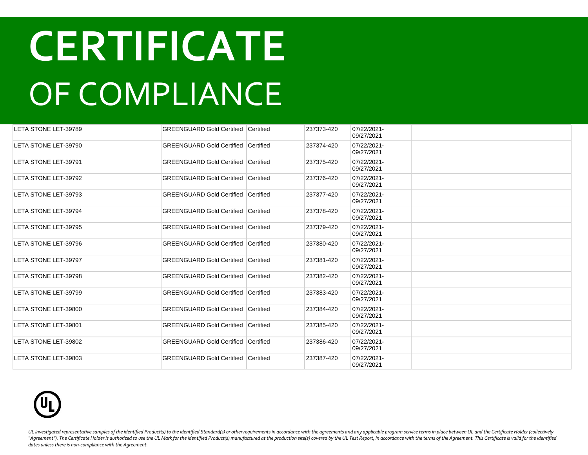| LETA STONE LET-39789        | <b>GREENGUARD Gold Certified Certified</b> |           | 237373-420 | 07/22/2021-<br>09/27/2021 |  |
|-----------------------------|--------------------------------------------|-----------|------------|---------------------------|--|
| LETA STONE LET-39790        | <b>GREENGUARD Gold Certified Certified</b> |           | 237374-420 | 07/22/2021-<br>09/27/2021 |  |
| LETA STONE LET-39791        | <b>GREENGUARD Gold Certified Certified</b> |           | 237375-420 | 07/22/2021-<br>09/27/2021 |  |
| LETA STONE LET-39792        | <b>GREENGUARD Gold Certified</b>           | Certified | 237376-420 | 07/22/2021-<br>09/27/2021 |  |
| LETA STONE LET-39793        | <b>GREENGUARD Gold Certified Certified</b> |           | 237377-420 | 07/22/2021-<br>09/27/2021 |  |
| <b>LETA STONE LET-39794</b> | <b>GREENGUARD Gold Certified</b>           | Certified | 237378-420 | 07/22/2021-<br>09/27/2021 |  |
| LETA STONE LET-39795        | <b>GREENGUARD Gold Certified Certified</b> |           | 237379-420 | 07/22/2021-<br>09/27/2021 |  |
| LETA STONE LET-39796        | <b>GREENGUARD Gold Certified</b>           | Certified | 237380-420 | 07/22/2021-<br>09/27/2021 |  |
| LETA STONE LET-39797        | <b>GREENGUARD Gold Certified Certified</b> |           | 237381-420 | 07/22/2021-<br>09/27/2021 |  |
| LETA STONE LET-39798        | <b>GREENGUARD Gold Certified Certified</b> |           | 237382-420 | 07/22/2021-<br>09/27/2021 |  |
| LETA STONE LET-39799        | <b>GREENGUARD Gold Certified Certified</b> |           | 237383-420 | 07/22/2021-<br>09/27/2021 |  |
| LETA STONE LET-39800        | <b>GREENGUARD Gold Certified</b>           | Certified | 237384-420 | 07/22/2021-<br>09/27/2021 |  |
| LETA STONE LET-39801        | <b>GREENGUARD Gold Certified Certified</b> |           | 237385-420 | 07/22/2021-<br>09/27/2021 |  |
| LETA STONE LET-39802        | GREENGUARD Gold Certified Certified        |           | 237386-420 | 07/22/2021-<br>09/27/2021 |  |
| LETA STONE LET-39803        | GREENGUARD Gold Certified Certified        |           | 237387-420 | 07/22/2021-<br>09/27/2021 |  |

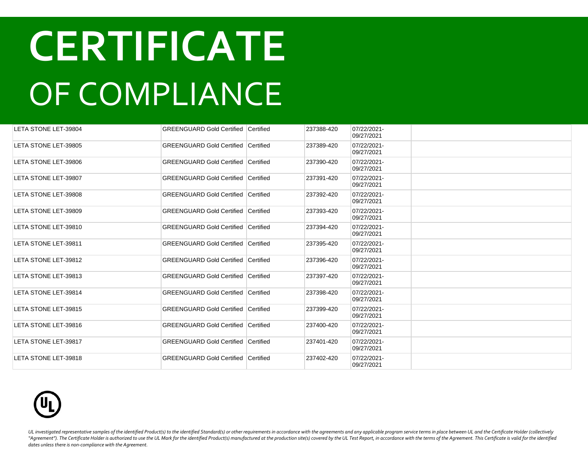| LETA STONE LET-39804 | <b>GREENGUARD Gold Certified Certified</b> |                  | 237388-420 | 07/22/2021-<br>09/27/2021 |  |
|----------------------|--------------------------------------------|------------------|------------|---------------------------|--|
| LETA STONE LET-39805 | <b>GREENGUARD Gold Certified</b>           | <b>Certified</b> | 237389-420 | 07/22/2021-<br>09/27/2021 |  |
| LETA STONE LET-39806 | <b>GREENGUARD Gold Certified Certified</b> |                  | 237390-420 | 07/22/2021-<br>09/27/2021 |  |
| LETA STONE LET-39807 | <b>GREENGUARD Gold Certified</b>           | Certified        | 237391-420 | 07/22/2021-<br>09/27/2021 |  |
| LETA STONE LET-39808 | <b>GREENGUARD Gold Certified Certified</b> |                  | 237392-420 | 07/22/2021-<br>09/27/2021 |  |
| LETA STONE LET-39809 | <b>GREENGUARD Gold Certified Certified</b> |                  | 237393-420 | 07/22/2021-<br>09/27/2021 |  |
| LETA STONE LET-39810 | GREENGUARD Gold Certified Certified        |                  | 237394-420 | 07/22/2021-<br>09/27/2021 |  |
| LETA STONE LET-39811 | GREENGUARD Gold Certified Certified        |                  | 237395-420 | 07/22/2021-<br>09/27/2021 |  |
| LETA STONE LET-39812 | GREENGUARD Gold Certified Certified        |                  | 237396-420 | 07/22/2021-<br>09/27/2021 |  |
| LETA STONE LET-39813 | <b>GREENGUARD Gold Certified Certified</b> |                  | 237397-420 | 07/22/2021-<br>09/27/2021 |  |
| LETA STONE LET-39814 | <b>GREENGUARD Gold Certified Certified</b> |                  | 237398-420 | 07/22/2021-<br>09/27/2021 |  |
| LETA STONE LET-39815 | <b>GREENGUARD Gold Certified Certified</b> |                  | 237399-420 | 07/22/2021-<br>09/27/2021 |  |
| LETA STONE LET-39816 | <b>GREENGUARD Gold Certified Certified</b> |                  | 237400-420 | 07/22/2021-<br>09/27/2021 |  |
| LETA STONE LET-39817 | <b>GREENGUARD Gold Certified Certified</b> |                  | 237401-420 | 07/22/2021-<br>09/27/2021 |  |
| LETA STONE LET-39818 | <b>GREENGUARD Gold Certified Certified</b> |                  | 237402-420 | 07/22/2021-<br>09/27/2021 |  |

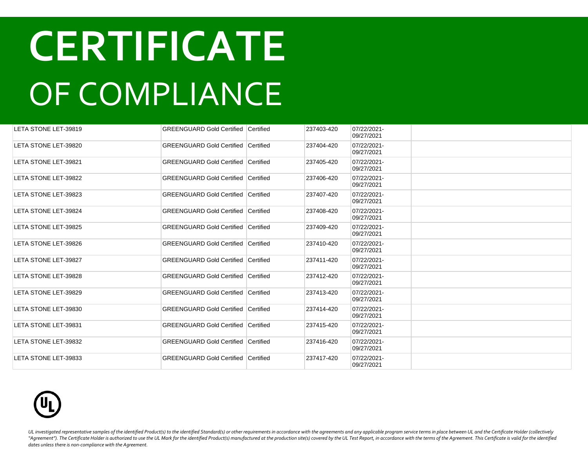| LETA STONE LET-39819        | <b>GREENGUARD Gold Certified Certified</b>   |                  | 237403-420 | 07/22/2021-<br>09/27/2021 |  |
|-----------------------------|----------------------------------------------|------------------|------------|---------------------------|--|
| LETA STONE LET-39820        | <b>GREENGUARD Gold Certified Certified</b>   |                  | 237404-420 | 07/22/2021-<br>09/27/2021 |  |
| LETA STONE LET-39821        | <b>GREENGUARD Gold Certified Certified</b>   |                  | 237405-420 | 07/22/2021-<br>09/27/2021 |  |
| LETA STONE LET-39822        | <b>GREENGUARD Gold Certified</b>             | <b>Certified</b> | 237406-420 | 07/22/2021-<br>09/27/2021 |  |
| LETA STONE LET-39823        | <b>GREENGUARD Gold Certified Certified</b>   |                  | 237407-420 | 07/22/2021-<br>09/27/2021 |  |
| LETA STONE LET-39824        | <b>GREENGUARD Gold Certified</b>             | Certified        | 237408-420 | 07/22/2021-<br>09/27/2021 |  |
| LETA STONE LET-39825        | <b>GREENGUARD Gold Certified   Certified</b> |                  | 237409-420 | 07/22/2021-<br>09/27/2021 |  |
| LETA STONE LET-39826        | <b>GREENGUARD Gold Certified</b>             | Certified        | 237410-420 | 07/22/2021-<br>09/27/2021 |  |
| LETA STONE LET-39827        | <b>GREENGUARD Gold Certified Certified</b>   |                  | 237411-420 | 07/22/2021-<br>09/27/2021 |  |
| <b>LETA STONE LET-39828</b> | <b>GREENGUARD Gold Certified Certified</b>   |                  | 237412-420 | 07/22/2021-<br>09/27/2021 |  |
| LETA STONE LET-39829        | <b>GREENGUARD Gold Certified Certified</b>   |                  | 237413-420 | 07/22/2021-<br>09/27/2021 |  |
| LETA STONE LET-39830        | <b>GREENGUARD Gold Certified Certified</b>   |                  | 237414-420 | 07/22/2021-<br>09/27/2021 |  |
| LETA STONE LET-39831        | <b>GREENGUARD Gold Certified Certified</b>   |                  | 237415-420 | 07/22/2021-<br>09/27/2021 |  |
| LETA STONE LET-39832        | <b>GREENGUARD Gold Certified Certified</b>   |                  | 237416-420 | 07/22/2021-<br>09/27/2021 |  |
| LETA STONE LET-39833        | <b>GREENGUARD Gold Certified Certified</b>   |                  | 237417-420 | 07/22/2021-<br>09/27/2021 |  |

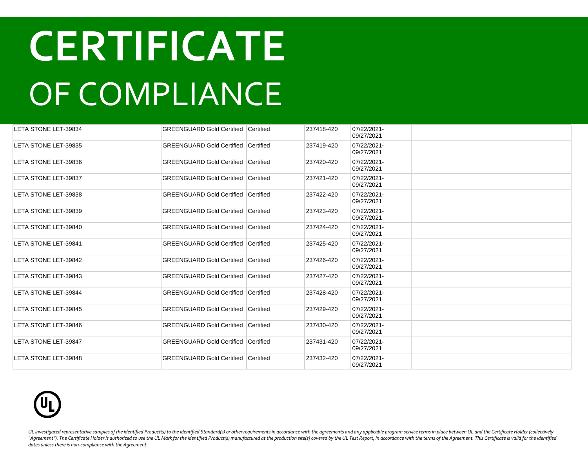| LETA STONE LET-39834 | <b>GREENGUARD Gold Certified Certified</b> |           | 237418-420 | 07/22/2021-<br>09/27/2021 |  |
|----------------------|--------------------------------------------|-----------|------------|---------------------------|--|
| LETA STONE LET-39835 | <b>GREENGUARD Gold Certified Certified</b> |           | 237419-420 | 07/22/2021-<br>09/27/2021 |  |
| LETA STONE LET-39836 | <b>GREENGUARD Gold Certified Certified</b> |           | 237420-420 | 07/22/2021-<br>09/27/2021 |  |
| LETA STONE LET-39837 | <b>GREENGUARD Gold Certified</b>           | Certified | 237421-420 | 07/22/2021-<br>09/27/2021 |  |
| LETA STONE LET-39838 | <b>GREENGUARD Gold Certified Certified</b> |           | 237422-420 | 07/22/2021-<br>09/27/2021 |  |
| LETA STONE LET-39839 | <b>GREENGUARD Gold Certified</b>           | Certified | 237423-420 | 07/22/2021-<br>09/27/2021 |  |
| LETA STONE LET-39840 | <b>GREENGUARD Gold Certified Certified</b> |           | 237424-420 | 07/22/2021-<br>09/27/2021 |  |
| LETA STONE LET-39841 | <b>GREENGUARD Gold Certified</b>           | Certified | 237425-420 | 07/22/2021-<br>09/27/2021 |  |
| LETA STONE LET-39842 | <b>GREENGUARD Gold Certified Certified</b> |           | 237426-420 | 07/22/2021-<br>09/27/2021 |  |
| LETA STONE LET-39843 | <b>GREENGUARD Gold Certified Certified</b> |           | 237427-420 | 07/22/2021-<br>09/27/2021 |  |
| LETA STONE LET-39844 | <b>GREENGUARD Gold Certified Certified</b> |           | 237428-420 | 07/22/2021-<br>09/27/2021 |  |
| LETA STONE LET-39845 | <b>GREENGUARD Gold Certified</b>           | Certified | 237429-420 | 07/22/2021-<br>09/27/2021 |  |
| LETA STONE LET-39846 | <b>GREENGUARD Gold Certified Certified</b> |           | 237430-420 | 07/22/2021-<br>09/27/2021 |  |
| LETA STONE LET-39847 | GREENGUARD Gold Certified Certified        |           | 237431-420 | 07/22/2021-<br>09/27/2021 |  |
| LETA STONE LET-39848 | GREENGUARD Gold Certified Certified        |           | 237432-420 | 07/22/2021-<br>09/27/2021 |  |

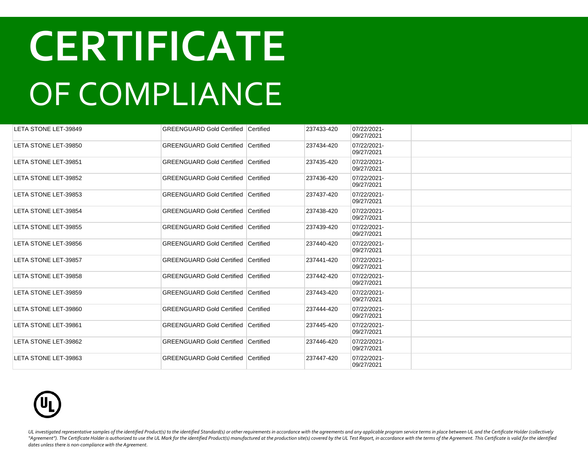| LETA STONE LET-39849 | <b>GREENGUARD Gold Certified Certified</b> |           | 237433-420 | 07/22/2021-<br>09/27/2021 |  |
|----------------------|--------------------------------------------|-----------|------------|---------------------------|--|
| LETA STONE LET-39850 | <b>GREENGUARD Gold Certified Certified</b> |           | 237434-420 | 07/22/2021-<br>09/27/2021 |  |
| LETA STONE LET-39851 | <b>GREENGUARD Gold Certified Certified</b> |           | 237435-420 | 07/22/2021-<br>09/27/2021 |  |
| LETA STONE LET-39852 | <b>GREENGUARD Gold Certified Certified</b> |           | 237436-420 | 07/22/2021-<br>09/27/2021 |  |
| LETA STONE LET-39853 | <b>GREENGUARD Gold Certified Certified</b> |           | 237437-420 | 07/22/2021-<br>09/27/2021 |  |
| LETA STONE LET-39854 | <b>GREENGUARD Gold Certified Certified</b> |           | 237438-420 | 07/22/2021-<br>09/27/2021 |  |
| LETA STONE LET-39855 | <b>GREENGUARD Gold Certified Certified</b> |           | 237439-420 | 07/22/2021-<br>09/27/2021 |  |
| LETA STONE LET-39856 | <b>GREENGUARD Gold Certified</b>           | Certified | 237440-420 | 07/22/2021-<br>09/27/2021 |  |
| LETA STONE LET-39857 | <b>GREENGUARD Gold Certified Certified</b> |           | 237441-420 | 07/22/2021-<br>09/27/2021 |  |
| LETA STONE LET-39858 | <b>GREENGUARD Gold Certified Certified</b> |           | 237442-420 | 07/22/2021-<br>09/27/2021 |  |
| LETA STONE LET-39859 | <b>GREENGUARD Gold Certified Certified</b> |           | 237443-420 | 07/22/2021-<br>09/27/2021 |  |
| LETA STONE LET-39860 | <b>GREENGUARD Gold Certified Certified</b> |           | 237444-420 | 07/22/2021-<br>09/27/2021 |  |
| LETA STONE LET-39861 | <b>GREENGUARD Gold Certified Certified</b> |           | 237445-420 | 07/22/2021-<br>09/27/2021 |  |
| LETA STONE LET-39862 | <b>GREENGUARD Gold Certified Certified</b> |           | 237446-420 | 07/22/2021-<br>09/27/2021 |  |
| LETA STONE LET-39863 | <b>GREENGUARD Gold Certified Certified</b> |           | 237447-420 | 07/22/2021-<br>09/27/2021 |  |

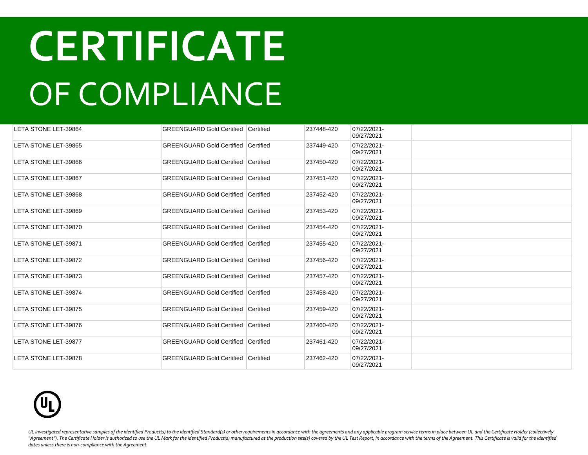| LETA STONE LET-39864 | <b>GREENGUARD Gold Certified Certified</b> |           | 237448-420 | 07/22/2021-<br>09/27/2021 |  |
|----------------------|--------------------------------------------|-----------|------------|---------------------------|--|
| LETA STONE LET-39865 | <b>GREENGUARD Gold Certified</b>           | Certified | 237449-420 | 07/22/2021-<br>09/27/2021 |  |
| LETA STONE LET-39866 | <b>GREENGUARD Gold Certified Certified</b> |           | 237450-420 | 07/22/2021-<br>09/27/2021 |  |
| LETA STONE LET-39867 | GREENGUARD Gold Certified Certified        |           | 237451-420 | 07/22/2021-<br>09/27/2021 |  |
| LETA STONE LET-39868 | GREENGUARD Gold Certified Certified        |           | 237452-420 | 07/22/2021-<br>09/27/2021 |  |
| LETA STONE LET-39869 | <b>GREENGUARD Gold Certified Certified</b> |           | 237453-420 | 07/22/2021-<br>09/27/2021 |  |
| LETA STONE LET-39870 | <b>GREENGUARD Gold Certified Certified</b> |           | 237454-420 | 07/22/2021-<br>09/27/2021 |  |
| LETA STONE LET-39871 | <b>GREENGUARD Gold Certified Certified</b> |           | 237455-420 | 07/22/2021-<br>09/27/2021 |  |
| LETA STONE LET-39872 | <b>GREENGUARD Gold Certified Certified</b> |           | 237456-420 | 07/22/2021-<br>09/27/2021 |  |
| LETA STONE LET-39873 | <b>GREENGUARD Gold Certified Certified</b> |           | 237457-420 | 07/22/2021-<br>09/27/2021 |  |
| LETA STONE LET-39874 | <b>GREENGUARD Gold Certified Certified</b> |           | 237458-420 | 07/22/2021-<br>09/27/2021 |  |
| LETA STONE LET-39875 | <b>GREENGUARD Gold Certified Certified</b> |           | 237459-420 | 07/22/2021-<br>09/27/2021 |  |
| LETA STONE LET-39876 | <b>GREENGUARD Gold Certified Certified</b> |           | 237460-420 | 07/22/2021-<br>09/27/2021 |  |
| LETA STONE LET-39877 | <b>GREENGUARD Gold Certified Certified</b> |           | 237461-420 | 07/22/2021-<br>09/27/2021 |  |
| LETA STONE LET-39878 | <b>GREENGUARD Gold Certified Certified</b> |           | 237462-420 | 07/22/2021-<br>09/27/2021 |  |

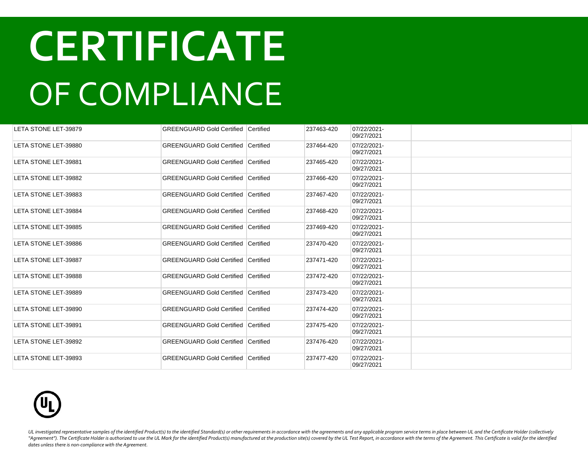| LETA STONE LET-39879        | <b>GREENGUARD Gold Certified Certified</b> |                  | 237463-420 | 07/22/2021-<br>09/27/2021 |  |
|-----------------------------|--------------------------------------------|------------------|------------|---------------------------|--|
| LETA STONE LET-39880        | <b>GREENGUARD Gold Certified Certified</b> |                  | 237464-420 | 07/22/2021-<br>09/27/2021 |  |
| LETA STONE LET-39881        | <b>GREENGUARD Gold Certified Certified</b> |                  | 237465-420 | 07/22/2021-<br>09/27/2021 |  |
| LETA STONE LET-39882        | <b>GREENGUARD Gold Certified</b>           | <b>Certified</b> | 237466-420 | 07/22/2021-<br>09/27/2021 |  |
| LETA STONE LET-39883        | <b>GREENGUARD Gold Certified Certified</b> |                  | 237467-420 | 07/22/2021-<br>09/27/2021 |  |
| LETA STONE LET-39884        | <b>GREENGUARD Gold Certified</b>           | <b>Certified</b> | 237468-420 | 07/22/2021-<br>09/27/2021 |  |
| LETA STONE LET-39885        | <b>GREENGUARD Gold Certified Certified</b> |                  | 237469-420 | 07/22/2021-<br>09/27/2021 |  |
| LETA STONE LET-39886        | <b>GREENGUARD Gold Certified Certified</b> |                  | 237470-420 | 07/22/2021-<br>09/27/2021 |  |
| <b>LETA STONE LET-39887</b> | <b>GREENGUARD Gold Certified Certified</b> |                  | 237471-420 | 07/22/2021-<br>09/27/2021 |  |
| LETA STONE LET-39888        | <b>GREENGUARD Gold Certified Certified</b> |                  | 237472-420 | 07/22/2021-<br>09/27/2021 |  |
| LETA STONE LET-39889        | <b>GREENGUARD Gold Certified Certified</b> |                  | 237473-420 | 07/22/2021-<br>09/27/2021 |  |
| LETA STONE LET-39890        | <b>GREENGUARD Gold Certified Certified</b> |                  | 237474-420 | 07/22/2021-<br>09/27/2021 |  |
| LETA STONE LET-39891        | <b>GREENGUARD Gold Certified Certified</b> |                  | 237475-420 | 07/22/2021-<br>09/27/2021 |  |
| LETA STONE LET-39892        | <b>GREENGUARD Gold Certified Certified</b> |                  | 237476-420 | 07/22/2021-<br>09/27/2021 |  |
| LETA STONE LET-39893        | <b>GREENGUARD Gold Certified Certified</b> |                  | 237477-420 | 07/22/2021-<br>09/27/2021 |  |

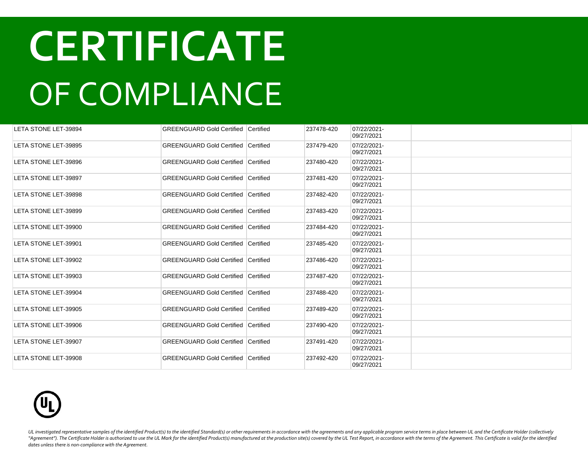| LETA STONE LET-39894 | <b>GREENGUARD Gold Certified Certified</b> |                  | 237478-420 | 07/22/2021-<br>09/27/2021 |  |
|----------------------|--------------------------------------------|------------------|------------|---------------------------|--|
| LETA STONE LET-39895 | <b>GREENGUARD Gold Certified</b>           | <b>Certified</b> | 237479-420 | 07/22/2021-<br>09/27/2021 |  |
| LETA STONE LET-39896 | <b>GREENGUARD Gold Certified Certified</b> |                  | 237480-420 | 07/22/2021-<br>09/27/2021 |  |
| LETA STONE LET-39897 | <b>GREENGUARD Gold Certified</b>           | <b>Certified</b> | 237481-420 | 07/22/2021-<br>09/27/2021 |  |
| LETA STONE LET-39898 | <b>GREENGUARD Gold Certified Certified</b> |                  | 237482-420 | 07/22/2021-<br>09/27/2021 |  |
| LETA STONE LET-39899 | GREENGUARD Gold Certified                  | <b>Certified</b> | 237483-420 | 07/22/2021-<br>09/27/2021 |  |
| LETA STONE LET-39900 | <b>GREENGUARD Gold Certified Certified</b> |                  | 237484-420 | 07/22/2021-<br>09/27/2021 |  |
| LETA STONE LET-39901 | <b>GREENGUARD Gold Certified Certified</b> |                  | 237485-420 | 07/22/2021-<br>09/27/2021 |  |
| LETA STONE LET-39902 | <b>GREENGUARD Gold Certified Certified</b> |                  | 237486-420 | 07/22/2021-<br>09/27/2021 |  |
| LETA STONE LET-39903 | <b>GREENGUARD Gold Certified Certified</b> |                  | 237487-420 | 07/22/2021-<br>09/27/2021 |  |
| LETA STONE LET-39904 | <b>GREENGUARD Gold Certified Certified</b> |                  | 237488-420 | 07/22/2021-<br>09/27/2021 |  |
| LETA STONE LET-39905 | <b>GREENGUARD Gold Certified Certified</b> |                  | 237489-420 | 07/22/2021-<br>09/27/2021 |  |
| LETA STONE LET-39906 | <b>GREENGUARD Gold Certified Certified</b> |                  | 237490-420 | 07/22/2021-<br>09/27/2021 |  |
| LETA STONE LET-39907 | <b>GREENGUARD Gold Certified Certified</b> |                  | 237491-420 | 07/22/2021-<br>09/27/2021 |  |
| LETA STONE LET-39908 | <b>GREENGUARD Gold Certified Certified</b> |                  | 237492-420 | 07/22/2021-<br>09/27/2021 |  |

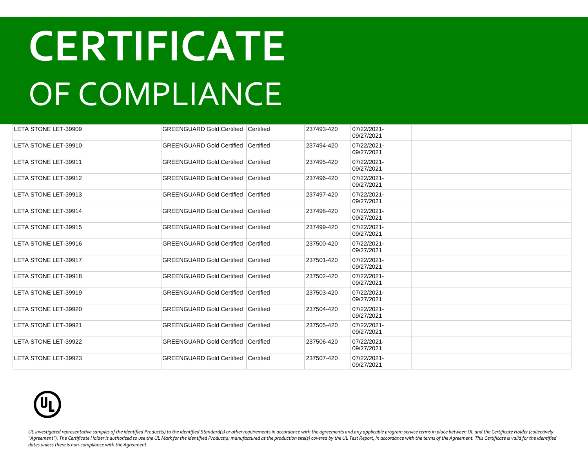| LETA STONE LET-39909 | <b>GREENGUARD Gold Certified Certified</b> |           | 237493-420 | 07/22/2021-<br>09/27/2021 |  |
|----------------------|--------------------------------------------|-----------|------------|---------------------------|--|
| LETA STONE LET-39910 | <b>GREENGUARD Gold Certified Certified</b> |           | 237494-420 | 07/22/2021-<br>09/27/2021 |  |
| LETA STONE LET-39911 | <b>GREENGUARD Gold Certified Certified</b> |           | 237495-420 | 07/22/2021-<br>09/27/2021 |  |
| LETA STONE LET-39912 | <b>GREENGUARD Gold Certified</b>           | Certified | 237496-420 | 07/22/2021-<br>09/27/2021 |  |
| LETA STONE LET-39913 | <b>GREENGUARD Gold Certified Certified</b> |           | 237497-420 | 07/22/2021-<br>09/27/2021 |  |
| LETA STONE LET-39914 | <b>GREENGUARD Gold Certified</b>           | Certified | 237498-420 | 07/22/2021-<br>09/27/2021 |  |
| LETA STONE LET-39915 | <b>GREENGUARD Gold Certified Certified</b> |           | 237499-420 | 07/22/2021-<br>09/27/2021 |  |
| LETA STONE LET-39916 | <b>GREENGUARD Gold Certified Certified</b> |           | 237500-420 | 07/22/2021-<br>09/27/2021 |  |
| LETA STONE LET-39917 | <b>GREENGUARD Gold Certified Certified</b> |           | 237501-420 | 07/22/2021-<br>09/27/2021 |  |
| LETA STONE LET-39918 | <b>GREENGUARD Gold Certified Certified</b> |           | 237502-420 | 07/22/2021-<br>09/27/2021 |  |
| LETA STONE LET-39919 | <b>GREENGUARD Gold Certified Certified</b> |           | 237503-420 | 07/22/2021-<br>09/27/2021 |  |
| LETA STONE LET-39920 | <b>GREENGUARD Gold Certified Certified</b> |           | 237504-420 | 07/22/2021-<br>09/27/2021 |  |
| LETA STONE LET-39921 | <b>GREENGUARD Gold Certified Certified</b> |           | 237505-420 | 07/22/2021-<br>09/27/2021 |  |
| LETA STONE LET-39922 | <b>GREENGUARD Gold Certified Certified</b> |           | 237506-420 | 07/22/2021-<br>09/27/2021 |  |
| LETA STONE LET-39923 | <b>GREENGUARD Gold Certified Certified</b> |           | 237507-420 | 07/22/2021-<br>09/27/2021 |  |

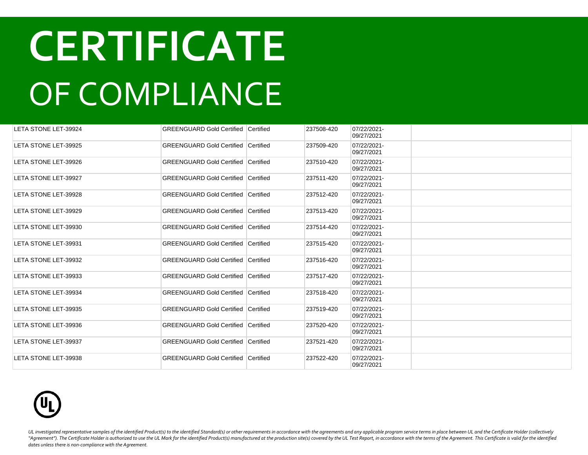| LETA STONE LET-39924        | <b>GREENGUARD Gold Certified Certified</b> |           | 237508-420 | 07/22/2021-<br>09/27/2021 |  |
|-----------------------------|--------------------------------------------|-----------|------------|---------------------------|--|
| LETA STONE LET-39925        | <b>GREENGUARD Gold Certified Certified</b> |           | 237509-420 | 07/22/2021-<br>09/27/2021 |  |
| <b>LETA STONE LET-39926</b> | <b>GREENGUARD Gold Certified Certified</b> |           | 237510-420 | 07/22/2021-<br>09/27/2021 |  |
| LETA STONE LET-39927        | <b>GREENGUARD Gold Certified</b>           | Certified | 237511-420 | 07/22/2021-<br>09/27/2021 |  |
| <b>LETA STONE LET-39928</b> | <b>GREENGUARD Gold Certified Certified</b> |           | 237512-420 | 07/22/2021-<br>09/27/2021 |  |
| LETA STONE LET-39929        | <b>GREENGUARD Gold Certified Certified</b> |           | 237513-420 | 07/22/2021-<br>09/27/2021 |  |
| LETA STONE LET-39930        | <b>GREENGUARD Gold Certified</b>           | Certified | 237514-420 | 07/22/2021-<br>09/27/2021 |  |
| LETA STONE LET-39931        | <b>GREENGUARD Gold Certified</b>           | Certified | 237515-420 | 07/22/2021-<br>09/27/2021 |  |
| LETA STONE LET-39932        | <b>GREENGUARD Gold Certified</b>           | Certified | 237516-420 | 07/22/2021-<br>09/27/2021 |  |
| LETA STONE LET-39933        | <b>GREENGUARD Gold Certified Certified</b> |           | 237517-420 | 07/22/2021-<br>09/27/2021 |  |
| LETA STONE LET-39934        | <b>GREENGUARD Gold Certified Certified</b> |           | 237518-420 | 07/22/2021-<br>09/27/2021 |  |
| LETA STONE LET-39935        | <b>GREENGUARD Gold Certified Certified</b> |           | 237519-420 | 07/22/2021-<br>09/27/2021 |  |
| LETA STONE LET-39936        | <b>GREENGUARD Gold Certified Certified</b> |           | 237520-420 | 07/22/2021-<br>09/27/2021 |  |
| LETA STONE LET-39937        | <b>GREENGUARD Gold Certified Certified</b> |           | 237521-420 | 07/22/2021-<br>09/27/2021 |  |
| LETA STONE LET-39938        | <b>GREENGUARD Gold Certified Certified</b> |           | 237522-420 | 07/22/2021-<br>09/27/2021 |  |

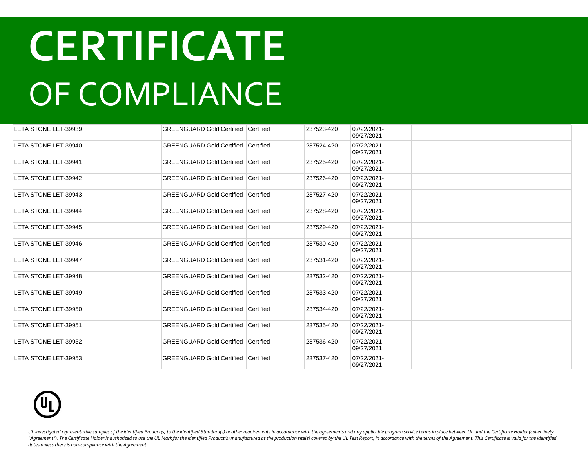| LETA STONE LET-39939        | <b>GREENGUARD Gold Certified Certified</b> |           | 237523-420 | 07/22/2021-<br>09/27/2021 |  |
|-----------------------------|--------------------------------------------|-----------|------------|---------------------------|--|
| LETA STONE LET-39940        | <b>GREENGUARD Gold Certified Certified</b> |           | 237524-420 | 07/22/2021-<br>09/27/2021 |  |
| LETA STONE LET-39941        | <b>GREENGUARD Gold Certified Certified</b> |           | 237525-420 | 07/22/2021-<br>09/27/2021 |  |
| LETA STONE LET-39942        | <b>GREENGUARD Gold Certified</b>           | Certified | 237526-420 | 07/22/2021-<br>09/27/2021 |  |
| LETA STONE LET-39943        | <b>GREENGUARD Gold Certified Certified</b> |           | 237527-420 | 07/22/2021-<br>09/27/2021 |  |
| LETA STONE LET-39944        | <b>GREENGUARD Gold Certified Certified</b> |           | 237528-420 | 07/22/2021-<br>09/27/2021 |  |
| LETA STONE LET-39945        | <b>GREENGUARD Gold Certified Certified</b> |           | 237529-420 | 07/22/2021-<br>09/27/2021 |  |
| LETA STONE LET-39946        | <b>GREENGUARD Gold Certified Certified</b> |           | 237530-420 | 07/22/2021-<br>09/27/2021 |  |
| LETA STONE LET-39947        | <b>GREENGUARD Gold Certified Certified</b> |           | 237531-420 | 07/22/2021-<br>09/27/2021 |  |
| LETA STONE LET-39948        | <b>GREENGUARD Gold Certified Certified</b> |           | 237532-420 | 07/22/2021-<br>09/27/2021 |  |
| LETA STONE LET-39949        | <b>GREENGUARD Gold Certified Certified</b> |           | 237533-420 | 07/22/2021-<br>09/27/2021 |  |
| LETA STONE LET-39950        | <b>GREENGUARD Gold Certified Certified</b> |           | 237534-420 | 07/22/2021-<br>09/27/2021 |  |
| <b>LETA STONE LET-39951</b> | <b>GREENGUARD Gold Certified Certified</b> |           | 237535-420 | 07/22/2021-<br>09/27/2021 |  |
| LETA STONE LET-39952        | <b>GREENGUARD Gold Certified Certified</b> |           | 237536-420 | 07/22/2021-<br>09/27/2021 |  |
| LETA STONE LET-39953        | <b>GREENGUARD Gold Certified Certified</b> |           | 237537-420 | 07/22/2021-<br>09/27/2021 |  |

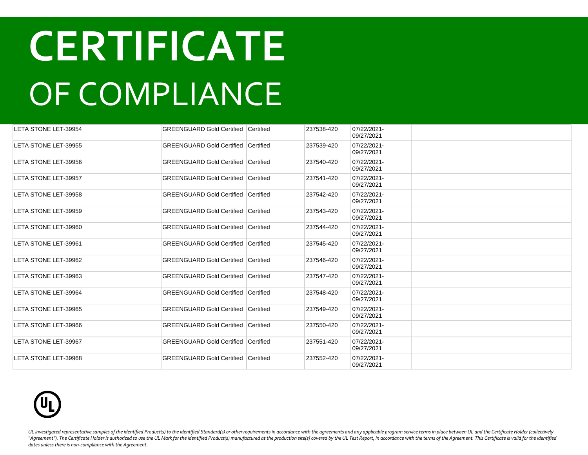| LETA STONE LET-39954        | <b>GREENGUARD Gold Certified Certified</b> |           | 237538-420 | 07/22/2021-<br>09/27/2021 |  |
|-----------------------------|--------------------------------------------|-----------|------------|---------------------------|--|
| LETA STONE LET-39955        | <b>GREENGUARD Gold Certified Certified</b> |           | 237539-420 | 07/22/2021-<br>09/27/2021 |  |
| LETA STONE LET-39956        | <b>GREENGUARD Gold Certified Certified</b> |           | 237540-420 | 07/22/2021-<br>09/27/2021 |  |
| LETA STONE LET-39957        | <b>GREENGUARD Gold Certified</b>           | Certified | 237541-420 | 07/22/2021-<br>09/27/2021 |  |
| LETA STONE LET-39958        | <b>GREENGUARD Gold Certified Certified</b> |           | 237542-420 | 07/22/2021-<br>09/27/2021 |  |
| LETA STONE LET-39959        | <b>GREENGUARD Gold Certified Certified</b> |           | 237543-420 | 07/22/2021-<br>09/27/2021 |  |
| LETA STONE LET-39960        | GREENGUARD Gold Certified Certified        |           | 237544-420 | 07/22/2021-<br>09/27/2021 |  |
| LETA STONE LET-39961        | GREENGUARD Gold Certified Certified        |           | 237545-420 | 07/22/2021-<br>09/27/2021 |  |
| LETA STONE LET-39962        | GREENGUARD Gold Certified Certified        |           | 237546-420 | 07/22/2021-<br>09/27/2021 |  |
| LETA STONE LET-39963        | <b>GREENGUARD Gold Certified Certified</b> |           | 237547-420 | 07/22/2021-<br>09/27/2021 |  |
| LETA STONE LET-39964        | <b>GREENGUARD Gold Certified Certified</b> |           | 237548-420 | 07/22/2021-<br>09/27/2021 |  |
| LETA STONE LET-39965        | <b>GREENGUARD Gold Certified Certified</b> |           | 237549-420 | 07/22/2021-<br>09/27/2021 |  |
| LETA STONE LET-39966        | <b>GREENGUARD Gold Certified Certified</b> |           | 237550-420 | 07/22/2021-<br>09/27/2021 |  |
| <b>LETA STONE LET-39967</b> | <b>GREENGUARD Gold Certified Certified</b> |           | 237551-420 | 07/22/2021-<br>09/27/2021 |  |
| LETA STONE LET-39968        | <b>GREENGUARD Gold Certified Certified</b> |           | 237552-420 | 07/22/2021-<br>09/27/2021 |  |

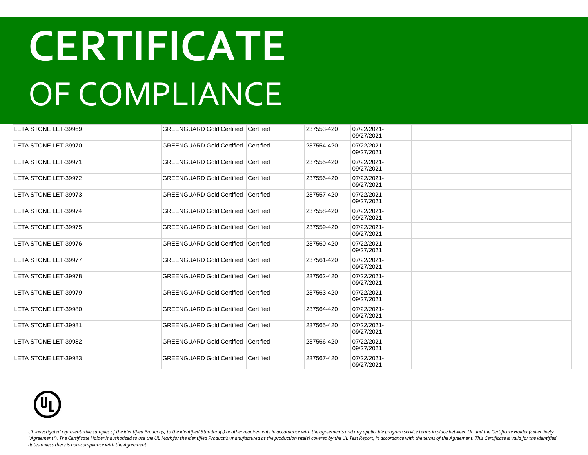| LETA STONE LET-39969 | <b>GREENGUARD Gold Certified Certified</b> |           | 237553-420 | 07/22/2021-<br>09/27/2021 |  |
|----------------------|--------------------------------------------|-----------|------------|---------------------------|--|
| LETA STONE LET-39970 | <b>GREENGUARD Gold Certified Certified</b> |           | 237554-420 | 07/22/2021-<br>09/27/2021 |  |
| LETA STONE LET-39971 | <b>GREENGUARD Gold Certified Certified</b> |           | 237555-420 | 07/22/2021-<br>09/27/2021 |  |
| LETA STONE LET-39972 | <b>GREENGUARD Gold Certified</b>           | Certified | 237556-420 | 07/22/2021-<br>09/27/2021 |  |
| LETA STONE LET-39973 | <b>GREENGUARD Gold Certified Certified</b> |           | 237557-420 | 07/22/2021-<br>09/27/2021 |  |
| LETA STONE LET-39974 | <b>GREENGUARD Gold Certified Certified</b> |           | 237558-420 | 07/22/2021-<br>09/27/2021 |  |
| LETA STONE LET-39975 | GREENGUARD Gold Certified Certified        |           | 237559-420 | 07/22/2021-<br>09/27/2021 |  |
| LETA STONE LET-39976 | GREENGUARD Gold Certified Certified        |           | 237560-420 | 07/22/2021-<br>09/27/2021 |  |
| LETA STONE LET-39977 | GREENGUARD Gold Certified Certified        |           | 237561-420 | 07/22/2021-<br>09/27/2021 |  |
| LETA STONE LET-39978 | <b>GREENGUARD Gold Certified Certified</b> |           | 237562-420 | 07/22/2021-<br>09/27/2021 |  |
| LETA STONE LET-39979 | <b>GREENGUARD Gold Certified Certified</b> |           | 237563-420 | 07/22/2021-<br>09/27/2021 |  |
| LETA STONE LET-39980 | <b>GREENGUARD Gold Certified Certified</b> |           | 237564-420 | 07/22/2021-<br>09/27/2021 |  |
| LETA STONE LET-39981 | <b>GREENGUARD Gold Certified Certified</b> |           | 237565-420 | 07/22/2021-<br>09/27/2021 |  |
| LETA STONE LET-39982 | <b>GREENGUARD Gold Certified Certified</b> |           | 237566-420 | 07/22/2021-<br>09/27/2021 |  |
| LETA STONE LET-39983 | <b>GREENGUARD Gold Certified Certified</b> |           | 237567-420 | 07/22/2021-<br>09/27/2021 |  |

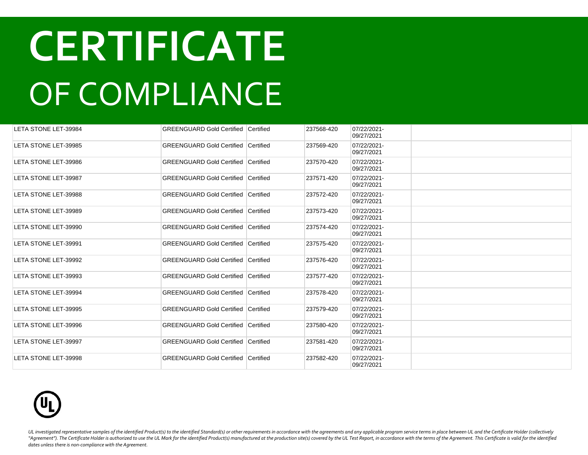| LETA STONE LET-39984 | <b>GREENGUARD Gold Certified Certified</b> |           | 237568-420 | 07/22/2021-<br>09/27/2021 |  |
|----------------------|--------------------------------------------|-----------|------------|---------------------------|--|
| LETA STONE LET-39985 | <b>GREENGUARD Gold Certified Certified</b> |           | 237569-420 | 07/22/2021-<br>09/27/2021 |  |
| LETA STONE LET-39986 | <b>GREENGUARD Gold Certified Certified</b> |           | 237570-420 | 07/22/2021-<br>09/27/2021 |  |
| LETA STONE LET-39987 | <b>GREENGUARD Gold Certified</b>           | Certified | 237571-420 | 07/22/2021-<br>09/27/2021 |  |
| LETA STONE LET-39988 | <b>GREENGUARD Gold Certified Certified</b> |           | 237572-420 | 07/22/2021-<br>09/27/2021 |  |
| LETA STONE LET-39989 | <b>GREENGUARD Gold Certified Certified</b> |           | 237573-420 | 07/22/2021-<br>09/27/2021 |  |
| LETA STONE LET-39990 | GREENGUARD Gold Certified Certified        |           | 237574-420 | 07/22/2021-<br>09/27/2021 |  |
| LETA STONE LET-39991 | GREENGUARD Gold Certified Certified        |           | 237575-420 | 07/22/2021-<br>09/27/2021 |  |
| LETA STONE LET-39992 | GREENGUARD Gold Certified Certified        |           | 237576-420 | 07/22/2021-<br>09/27/2021 |  |
| LETA STONE LET-39993 | <b>GREENGUARD Gold Certified Certified</b> |           | 237577-420 | 07/22/2021-<br>09/27/2021 |  |
| LETA STONE LET-39994 | <b>GREENGUARD Gold Certified Certified</b> |           | 237578-420 | 07/22/2021-<br>09/27/2021 |  |
| LETA STONE LET-39995 | <b>GREENGUARD Gold Certified Certified</b> |           | 237579-420 | 07/22/2021-<br>09/27/2021 |  |
| LETA STONE LET-39996 | <b>GREENGUARD Gold Certified Certified</b> |           | 237580-420 | 07/22/2021-<br>09/27/2021 |  |
| LETA STONE LET-39997 | <b>GREENGUARD Gold Certified Certified</b> |           | 237581-420 | 07/22/2021-<br>09/27/2021 |  |
| LETA STONE LET-39998 | <b>GREENGUARD Gold Certified Certified</b> |           | 237582-420 | 07/22/2021-<br>09/27/2021 |  |